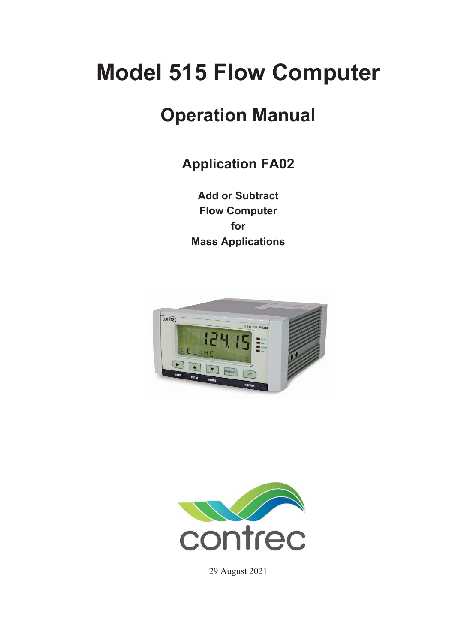# **Model 515 Flow Computer**

# **Operation Manual**

**Application FA02**

**Add or Subtract Flow Computer for Mass Applications** 





29 August 2021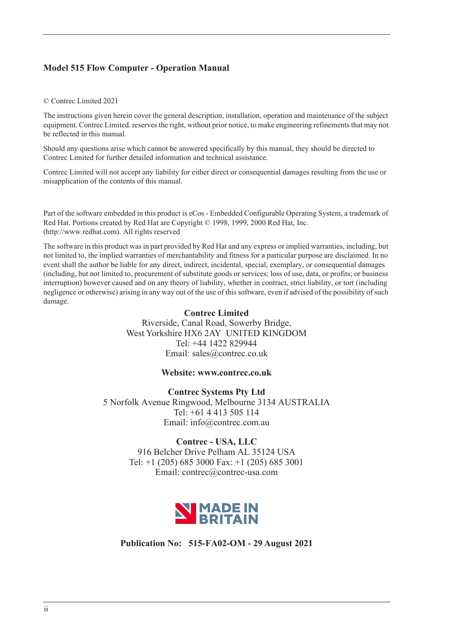### **Model 515 Flow Computer - Operation Manual**

#### © Contrec Limited 2021

The instructions given herein cover the general description, installation, operation and maintenance of the subject equipment. Contrec Limited. reserves the right, without prior notice, to make engineering refinements that may not be reflected in this manual.

Should any questions arise which cannot be answered specifically by this manual, they should be directed to Contrec Limited for further detailed information and technical assistance.

Contrec Limited will not accept any liability for either direct or consequential damages resulting from the use or misapplication of the contents of this manual.

Part of the software embedded in this product is eCos - Embedded Configurable Operating System, a trademark of Red Hat. Portions created by Red Hat are Copyright © 1998, 1999, 2000 Red Hat, Inc. (http://www.redhat.com). All rights reserved

The software in this product was in part provided by Red Hat and any express or implied warranties, including, but not limited to, the implied warranties of merchantability and fitness for a particular purpose are disclaimed. In no event shall the author be liable for any direct, indirect, incidental, special, exemplary, or consequential damages (including, but not limited to, procurement of substitute goods or services; loss of use, data, or profits; or business interruption) however caused and on any theory of liability, whether in contract, strict liability, or tort (including negligence or otherwise) arising in any way out of the use of this software, even if advised of the possibility of such damage.

#### **Contrec Limited**

Riverside, Canal Road, Sowerby Bridge, West Yorkshire HX6 2AY UNITED KINGDOM Tel: +44 1422 829944 Email: sales@contrec.co.uk

#### **Website: www.contrec.co.uk**

**Contrec Systems Pty Ltd** 5 Norfolk Avenue Ringwood, Melbourne 3134 AUSTRALIA Tel: +61 4 413 505 114 Email: info@contrec.com.au

#### **Contrec - USA, LLC**

916 Belcher Drive Pelham AL 35124 USA Tel: +1 (205) 685 3000 Fax: +1 (205) 685 3001 Email: contrec@contrec-usa.com



**Publication No: 515-FA02-OM - 29 August 2021**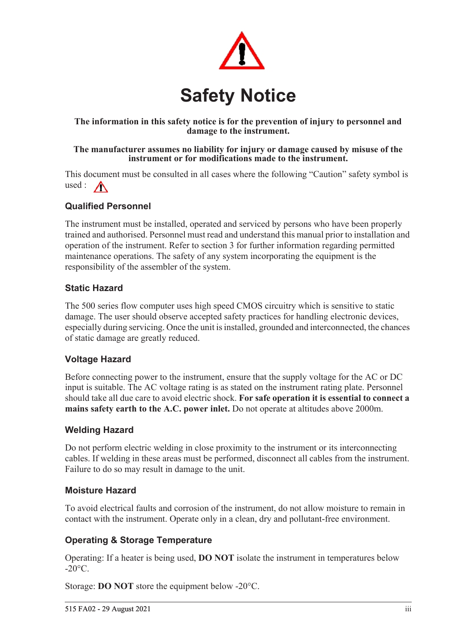

### **The information in this safety notice is for the prevention of injury to personnel and damage to the instrument.**

#### **The manufacturer assumes no liability for injury or damage caused by misuse of the instrument or for modifications made to the instrument.**

This document must be consulted in all cases where the following "Caution" safety symbol is used :  $\bigwedge$ 

### **Qualified Personnel**

The instrument must be installed, operated and serviced by persons who have been properly trained and authorised. Personnel must read and understand this manual prior to installation and operation of the instrument. Refer to section 3 for further information regarding permitted maintenance operations. The safety of any system incorporating the equipment is the responsibility of the assembler of the system.

### **Static Hazard**

The 500 series flow computer uses high speed CMOS circuitry which is sensitive to static damage. The user should observe accepted safety practices for handling electronic devices, especially during servicing. Once the unit is installed, grounded and interconnected, the chances of static damage are greatly reduced.

### **Voltage Hazard**

Before connecting power to the instrument, ensure that the supply voltage for the AC or DC input is suitable. The AC voltage rating is as stated on the instrument rating plate. Personnel should take all due care to avoid electric shock. **For safe operation it is essential to connect a mains safety earth to the A.C. power inlet.** Do not operate at altitudes above 2000m.

### **Welding Hazard**

Do not perform electric welding in close proximity to the instrument or its interconnecting cables. If welding in these areas must be performed, disconnect all cables from the instrument. Failure to do so may result in damage to the unit.

### **Moisture Hazard**

To avoid electrical faults and corrosion of the instrument, do not allow moisture to remain in contact with the instrument. Operate only in a clean, dry and pollutant-free environment.

### **Operating & Storage Temperature**

Operating: If a heater is being used, **DO NOT** isolate the instrument in temperatures below  $-20^{\circ}$ C.

Storage: **DO NOT** store the equipment below -20°C.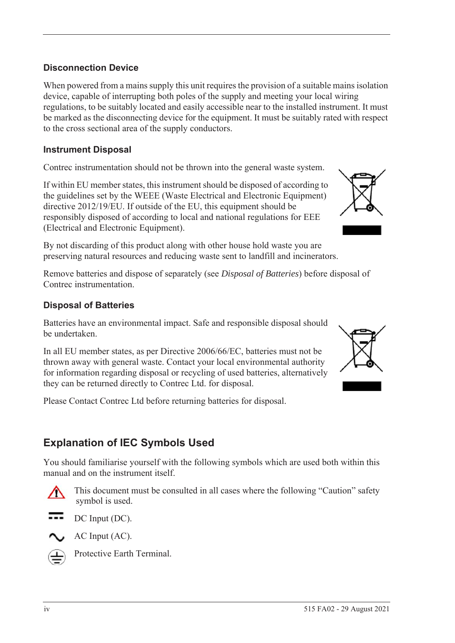### **Disconnection Device**

When powered from a mains supply this unit requires the provision of a suitable mains isolation device, capable of interrupting both poles of the supply and meeting your local wiring regulations, to be suitably located and easily accessible near to the installed instrument. It must be marked as the disconnecting device for the equipment. It must be suitably rated with respect to the cross sectional area of the supply conductors.

### **Instrument Disposal**

Contrec instrumentation should not be thrown into the general waste system.

If within EU member states, this instrument should be disposed of according to the guidelines set by the WEEE (Waste Electrical and Electronic Equipment) directive 2012/19/EU. If outside of the EU, this equipment should be responsibly disposed of according to local and national regulations for EEE (Electrical and Electronic Equipment).

By not discarding of this product along with other house hold waste you are preserving natural resources and reducing waste sent to landfill and incinerators.

Remove batteries and dispose of separately (see *Disposal of Batteries*) before disposal of Contrec instrumentation.

### **Disposal of Batteries**

Batteries have an environmental impact. Safe and responsible disposal should be undertaken.

In all EU member states, as per Directive 2006/66/EC, batteries must not be thrown away with general waste. Contact your local environmental authority for information regarding disposal or recycling of used batteries, alternatively they can be returned directly to Contrec Ltd. for disposal.

Please Contact Contrec Ltd before returning batteries for disposal.

# **Explanation of IEC Symbols Used**

You should familiarise yourself with the following symbols which are used both within this manual and on the instrument itself.



 This document must be consulted in all cases where the following "Caution" safety symbol is used.



AC Input (AC).



Protective Earth Terminal.



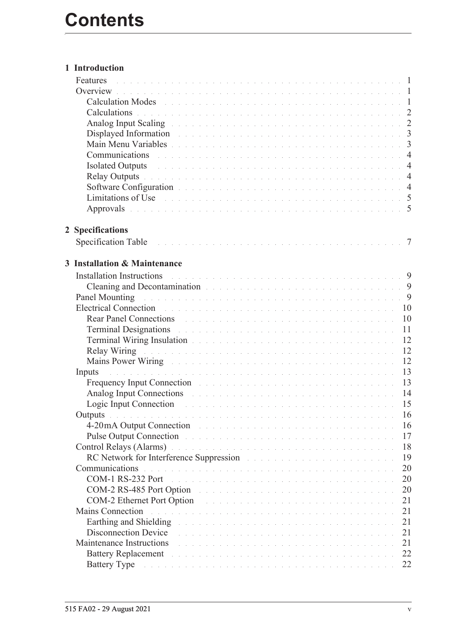| 1 Introduction                                                                                                                                                                                                                                                                                            |  |  |  |  |  |  |    |  |
|-----------------------------------------------------------------------------------------------------------------------------------------------------------------------------------------------------------------------------------------------------------------------------------------------------------|--|--|--|--|--|--|----|--|
| Features<br>. The contract of the contract of the contract of the contract of the contract of $\mathcal{A}$                                                                                                                                                                                               |  |  |  |  |  |  |    |  |
|                                                                                                                                                                                                                                                                                                           |  |  |  |  |  |  |    |  |
| Calculation Modes et al., and a contract the contract of the contract of the contract of the 1                                                                                                                                                                                                            |  |  |  |  |  |  |    |  |
| Calculations experience in the contract of the contract of the contract of the contract of the contract of the contract of the contract of the contract of the contract of the contract of the contract of the contract of the                                                                            |  |  |  |  |  |  |    |  |
| Analog Input Scaling (and the contract of the contract of the contract of the 2                                                                                                                                                                                                                           |  |  |  |  |  |  |    |  |
| Displayed Information and the contract of the contract of the contract of the state of the 3                                                                                                                                                                                                              |  |  |  |  |  |  |    |  |
| Main Menu Variables and a contract the contract of the contract of the contract of the contract of the contract of the contract of the contract of the contract of the contract of the contract of the contract of the contrac                                                                            |  |  |  |  |  |  |    |  |
| Communications research and contract the contract of the contract of the contract of 4                                                                                                                                                                                                                    |  |  |  |  |  |  |    |  |
| Isolated Outputs and a contract the contract of the contract of the contract of the 4                                                                                                                                                                                                                     |  |  |  |  |  |  |    |  |
| Relay Outputs in the contract of the contract of the contract of the contract of the contract of the contract of the contract of the contract of the contract of the contract of the contract of the contract of the contract                                                                             |  |  |  |  |  |  |    |  |
| Software Configuration et al., and a contract of the contract of the contract of the 4                                                                                                                                                                                                                    |  |  |  |  |  |  |    |  |
| Limitations of Use the company of the company of the company of the company of the company of the company of the company of the company of the company of the company of the company of the company of the company of the comp                                                                            |  |  |  |  |  |  |    |  |
| Approvals received a construction of the contract of the construction of 5                                                                                                                                                                                                                                |  |  |  |  |  |  |    |  |
|                                                                                                                                                                                                                                                                                                           |  |  |  |  |  |  |    |  |
| 2 Specifications                                                                                                                                                                                                                                                                                          |  |  |  |  |  |  |    |  |
|                                                                                                                                                                                                                                                                                                           |  |  |  |  |  |  |    |  |
|                                                                                                                                                                                                                                                                                                           |  |  |  |  |  |  |    |  |
| 3 Installation & Maintenance                                                                                                                                                                                                                                                                              |  |  |  |  |  |  |    |  |
| Installation Instructions                                                                                                                                                                                                                                                                                 |  |  |  |  |  |  |    |  |
| Cleaning and Decontamination and the contract of the contract of the contract of the state of the Second Second Second Second Second Second Second Second Second Second Second Second Second Second Second Second Second Secon                                                                            |  |  |  |  |  |  |    |  |
| Panel Mounting Theorem 2014 Contract of the Community Contract of the Community Community Community Community Community Community Community Community Community Community Community Community Community Community Community Co                                                                            |  |  |  |  |  |  |    |  |
| Electrical Connection and a construction of the contract of the contract of the contract of the contract of the                                                                                                                                                                                           |  |  |  |  |  |  | 10 |  |
| <b>Rear Panel Connections <i>Rear</i> Panel Connections <i>Rear</i> Panel <i>Rear Panel <b>Connections</b></i> <b><i>Rear Panel <b><i>Rear Panel <b>Connections</b> Rear Panel <b><i>Rear</i></b></i> <b><i>Panel <b><i>Rear</i></b> Panel <b><i>Rear</i></b></i> <b><i>Panel</i></b></b></b></i></b></b> |  |  |  |  |  |  | 10 |  |
| Terminal Designations and a contract the contract of the contract of the contract of the contract of the contract of the contract of the contract of the contract of the contract of the contract of the contract of the contr                                                                            |  |  |  |  |  |  | 11 |  |
| Terminal Wiring Insulation and a contract of the contract of the contract of the contract of the contract of the contract of the contract of the contract of the contract of the contract of the contract of the contract of t                                                                            |  |  |  |  |  |  | 12 |  |
|                                                                                                                                                                                                                                                                                                           |  |  |  |  |  |  | 12 |  |
| Mains Power Wiring Theory of the company of the company of the company of the company of the company of the company of the company of the company of the company of the company of the company of the company of the company o                                                                            |  |  |  |  |  |  | 12 |  |
| a constitución de la constitución de la constitución de la constitución de la constitución de la constitución<br>Inputs                                                                                                                                                                                   |  |  |  |  |  |  | 13 |  |
| Frequency Input Connection and a construction of the contract of the contract of the contract of the contract of the contract of the contract of the contract of the contract of the contract of the contract of the contract                                                                             |  |  |  |  |  |  | 13 |  |
| Analog Input Connections and a contract the contract of the contract of the contract of the 14                                                                                                                                                                                                            |  |  |  |  |  |  |    |  |
| Logic Input Connection and the connection of the connection of the connection of the connection of the connection                                                                                                                                                                                         |  |  |  |  |  |  | 15 |  |
|                                                                                                                                                                                                                                                                                                           |  |  |  |  |  |  | 16 |  |
| 4-20 mA Output Connection and a constant of the contract of the contract of the contract of the contract of the contract of the contract of the contract of the contract of the contract of the contract of the contract of th                                                                            |  |  |  |  |  |  | 16 |  |
| Pulse Output Connection and and a subsequence of the set of the set of the set of the set of the set of the set of the set of the set of the set of the set of the set of the set of the set of the set of the set of the set                                                                             |  |  |  |  |  |  | 17 |  |
| Control Relays (Alarms) and a contract the contract of the contract of the contract of the contract of the contract of the contract of the contract of the contract of the contract of the contract of the contract of the con                                                                            |  |  |  |  |  |  | 18 |  |
| RC Network for Interference Suppression and a substitution of the set of the set of the set of the set of the                                                                                                                                                                                             |  |  |  |  |  |  | 19 |  |
| Communications<br>.<br>In the second complete state of the second complete state of the second complete state of the second complete                                                                                                                                                                      |  |  |  |  |  |  | 20 |  |
| COM-1 RS-232 Port<br>in a construction of the construction of the construction of the construction of the construction of the construction of the construction of the construction of the construction of the construction of the construction of t                                                       |  |  |  |  |  |  | 20 |  |
| COM-2 RS-485 Port Option                                                                                                                                                                                                                                                                                  |  |  |  |  |  |  | 20 |  |
| COM-2 Ethernet Port Option and the contract of the contract of the contract of the contract of the contract of                                                                                                                                                                                            |  |  |  |  |  |  | 21 |  |
| <b>Mains Connection</b><br>and a complete that the complete state of the complete state of the complete state of the complete state of the                                                                                                                                                                |  |  |  |  |  |  | 21 |  |
| Earthing and Shielding Theorem 2014 Contract the Community of the Community of the Community of the Community of the Community of the Community of the Community of the Community of the Community of the Community of the Com                                                                            |  |  |  |  |  |  | 21 |  |
| <b>Disconnection Device</b><br>de la caractería de la caractería de la caractería de la caractería de la caractería de la caractería                                                                                                                                                                      |  |  |  |  |  |  | 21 |  |
| Maintenance Instructions<br>a construcción de la construcción de la construcción de la construcción de la construcción de la construcción                                                                                                                                                                 |  |  |  |  |  |  | 21 |  |
| <b>Battery Replacement</b><br>.<br>In the second complete the second complete second complete the second complete second complete second complete                                                                                                                                                         |  |  |  |  |  |  | 22 |  |
| Battery Type and a substitution of the state of the state of the state of the state of the state of the state of the state of the state of the state of the state of the state of the state of the state of the state of the s                                                                            |  |  |  |  |  |  | 22 |  |
|                                                                                                                                                                                                                                                                                                           |  |  |  |  |  |  |    |  |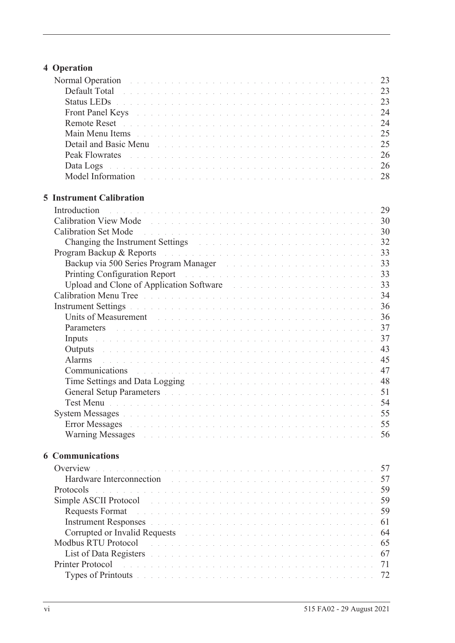# **[4 Operation](#page-32-0)**

| Normal Operation and a contract the contract of the contract of the contract of the 23                                                                                                                                         |    |
|--------------------------------------------------------------------------------------------------------------------------------------------------------------------------------------------------------------------------------|----|
| Default Total de la commune de la commune de la commune de la commune de la commune de 23                                                                                                                                      |    |
| Status LEDs <b>Election Community 23</b> Status 2014 19:30 August 23                                                                                                                                                           |    |
| Front Panel Keys And All Albert Hans and Albert Hans and Albert Hans and Albert 24                                                                                                                                             |    |
|                                                                                                                                                                                                                                |    |
| Main Menu Items des anderes and des anderes and des anderes and the contract of the 25                                                                                                                                         |    |
|                                                                                                                                                                                                                                |    |
|                                                                                                                                                                                                                                |    |
| Data Logs de la componentación de la componentación de la componentación de 26                                                                                                                                                 |    |
| Model Information and a contract the contract of the contract of the contract of the 28                                                                                                                                        |    |
|                                                                                                                                                                                                                                |    |
| <b>5 Instrument Calibration</b>                                                                                                                                                                                                |    |
| Introduction                                                                                                                                                                                                                   |    |
|                                                                                                                                                                                                                                |    |
|                                                                                                                                                                                                                                |    |
| Changing the Instrument Settings and a contract of the contract of the settings of the contract of the contract of the contract of the contract of the contract of the contract of the contract of the contract of the contrac |    |
| Program Backup & Reports and a contract the contract of the contract of the 23                                                                                                                                                 |    |
|                                                                                                                                                                                                                                |    |
|                                                                                                                                                                                                                                |    |
| Upload and Clone of Application Software Marshall and Allen and Allen and State and State and State and State and State and State and State and State and State and State and State and State and State and State and State an |    |
|                                                                                                                                                                                                                                |    |
|                                                                                                                                                                                                                                |    |
| Units of Measurement entering the contract of the contract of the contract of the state of the 36                                                                                                                              |    |
| Parameters and a construction of the construction of the construction of the 37                                                                                                                                                |    |
| Inputs and a construction of the construction of the construction of the construction of $37$                                                                                                                                  |    |
| Outputs and a construction of the construction of the construction of the construction of the construction of the construction of the construction of the construction of the construction of the construction of the construc | 43 |
| Alarms<br>a de la caractería de la caractería de la caractería de la caractería de la caractería de la caractería                                                                                                              | 45 |
| Communications and a contract the contract of the contract of the contract of the contract of the contract of                                                                                                                  | 47 |
| Time Settings and Data Logging The Contract of the Contract of the Settings and Data Logging                                                                                                                                   | 48 |
| General Setup Parameters and a contract of the contract of the contract of the S1                                                                                                                                              |    |
| Test Menu barras de la construcción de la construcción de la construcción de la construcción de la S4                                                                                                                          |    |
|                                                                                                                                                                                                                                |    |
| <b>Error Messages</b><br>.<br>The company of the company of the company of the company of the company of the company of the company of the company                                                                             | 55 |
| Warning Messages experience and the contract of the contract of the state of the state of the S6                                                                                                                               |    |
| <b>6 Communications</b>                                                                                                                                                                                                        |    |
| Overview<br>a constitución de la caractería de la caractería de la caractería de la caractería de la caractería de la cara                                                                                                     | 57 |
| Hardware Interconnection                                                                                                                                                                                                       | 57 |
| .<br>In de la casa de la casa de la casa de la casa de la casa de la casa de la casa de la casa de la casa de la ca<br>Protocols                                                                                               | 59 |
|                                                                                                                                                                                                                                | 59 |
| Simple ASCII Protocol<br>.<br>In the company of the company of the company of the company of the company of the company of the company of th                                                                                   |    |
| <b>Requests Format</b><br>.<br>The contract of the contract of the contract of the contract of the contract of the contract of the contract of                                                                                 | 59 |
| Instrument Responses and a construction of the construction of the construction of the construction of the construction of the construction of the construction of the construction of the construction of the construction of | 61 |
| Corrupted or Invalid Requests and a subsequently as a series of the set of the set of the set of the set of the                                                                                                                | 64 |
| Modbus RTU Protocol<br>والمتعاون والمتعاون والمتعاون والمتعاونة والمتعاونة والمتعاونة والمتعاونة والمتعاونة والمتعاونة والمتعاونة                                                                                              | 65 |
| List of Data Registers and a consequence of the consequence of the consequence of the consequence of the consequence of the consequence of the consequence of the consequence of the consequence of the consequence of the con | 67 |
| Printer Protocol<br>.<br>The companies of the companies of the companies of the companies of the companies of the companies of the comp                                                                                        | 71 |
| Types of Printouts and a contract the contract of the contract of the contract of the contract of the contract of the contract of the contract of the contract of the contract of the contract of the contract of the contract | 72 |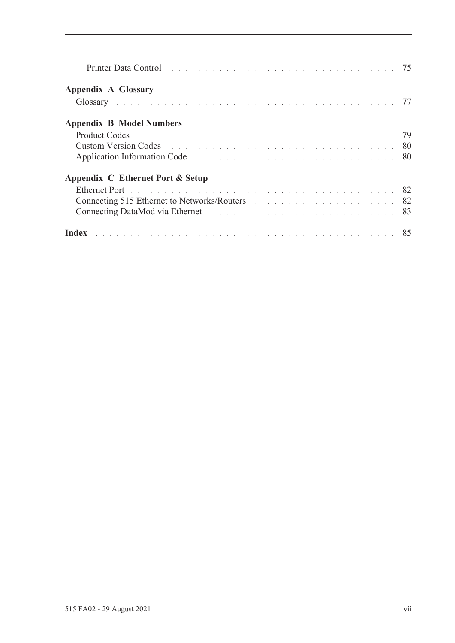| Printer Data Control entrepreneur and the control of the control of the control of the control of the control of the control of the control of the control of the control of the control of the control of the control of the  |  |
|--------------------------------------------------------------------------------------------------------------------------------------------------------------------------------------------------------------------------------|--|
| <b>Appendix A Glossary</b>                                                                                                                                                                                                     |  |
| Glossary and the contract of the contract of the contract of the contract of the contract of the contract of the contract of the contract of the contract of the contract of the contract of the contract of the contract of t |  |
| <b>Appendix B Model Numbers</b>                                                                                                                                                                                                |  |
|                                                                                                                                                                                                                                |  |
| <b>Custom Version Codes Contract Codes Codes Codes Code Reserves Additional Codes Code Reserves Additional Codes Codes Codes Codes Codes Codes Codes Codes Codes Codes Codes Codes Codes Cod</b>                               |  |
| Application Information Code experience and a series and a series and a series of 80                                                                                                                                           |  |
| Appendix C Ethernet Port & Setup                                                                                                                                                                                               |  |
| Ethernet Port de la communication de la communication de la communication de la S2                                                                                                                                             |  |
| Connecting 515 Ethernet to Networks/Routers and the connection of the 1982                                                                                                                                                     |  |
|                                                                                                                                                                                                                                |  |
| Index <b>Executive Contract Contract Contract Contract Contract Contract Contract Contract RS</b>                                                                                                                              |  |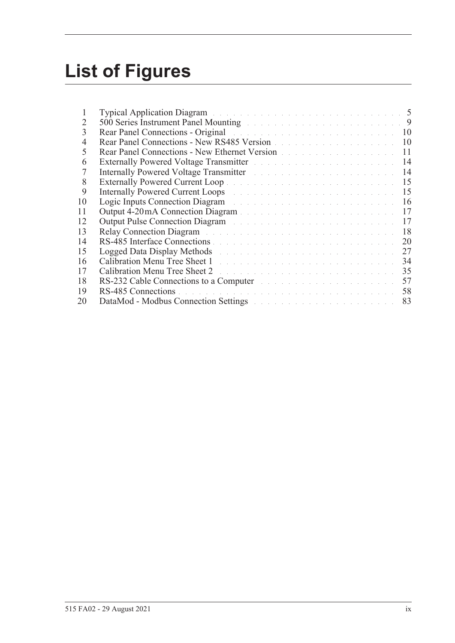# **List of Figures**

| L  | <b>Typical Application Diagram</b> and the substitution of the substitution of the substitution of the substitution of the substitution of the substitution of the substitution of the substitution of the substitution of the subs  |  |
|----|--------------------------------------------------------------------------------------------------------------------------------------------------------------------------------------------------------------------------------------|--|
| 2  | 500 Series Instrument Panel Mounting and a contract of the contract of the 19                                                                                                                                                        |  |
| 3  | Rear Panel Connections - Original and a substitution of the contract of the 10                                                                                                                                                       |  |
| 4  | Rear Panel Connections - New RS485 Version<br>10                                                                                                                                                                                     |  |
| 5  | Rear Panel Connections - New Ethernet Version<br>11                                                                                                                                                                                  |  |
| 6  | Externally Powered Voltage Transmitter and a contract to the contract of 14                                                                                                                                                          |  |
| 7  | 14<br>Internally Powered Voltage Transmitter March 2014 and State and State and State and                                                                                                                                            |  |
| 8  | 15                                                                                                                                                                                                                                   |  |
| 9  | 15<br>Internally Powered Current Loops and a substitution of the state of the state of the state of the state of the                                                                                                                 |  |
| 10 | Logic Inputs Connection Diagram and a connection of the Connection of the Connection of the Connection of the Connection of the Connection of the Connection of the Connection of the Connection of the Connection of the Conn<br>16 |  |
| 11 | 17                                                                                                                                                                                                                                   |  |
| 12 | 17<br>Output Pulse Connection Diagram and a connection of the Connection of the Connection of the Connection of the Connection of the Connection of the Connection of the Connection of the Connection of the Connection of the Conn |  |
| 13 | 18<br>Relay Connection Diagram and a connection of the connection of the connection of the connection of the connection of the connection of the connection of the connection of the connection of the connection of the connection  |  |
| 14 | 20                                                                                                                                                                                                                                   |  |
| 15 | 27<br>Logged Data Display Methods and a contract the contract of the contract of the contract of the contract of the contract of the contract of the contract of the contract of the contract of the contract of the contract of the |  |
| 16 | Calibration Menu Tree Sheet 1 and the community of the community of the Sheet 1<br>34                                                                                                                                                |  |
| 17 | 35<br>Calibration Menu Tree Sheet 2 and the contract of the contract of the contract of the contract of the contract of the contract of the contract of the contract of the contract of the contract of the contract of the contract |  |
| 18 | 57<br>RS-232 Cable Connections to a Computer and the substantial contract the set of the set of the set of the set of the set of the set of the set of the set of the set of the set of the set of the set of the set of the set of  |  |
| 19 | 58                                                                                                                                                                                                                                   |  |
| 20 | 83<br>DataMod - Modbus Connection Settings and the connection of the connection of the settings of the connection of the connection of the connection of the connection of the connection of the connection of the connection of the |  |
|    |                                                                                                                                                                                                                                      |  |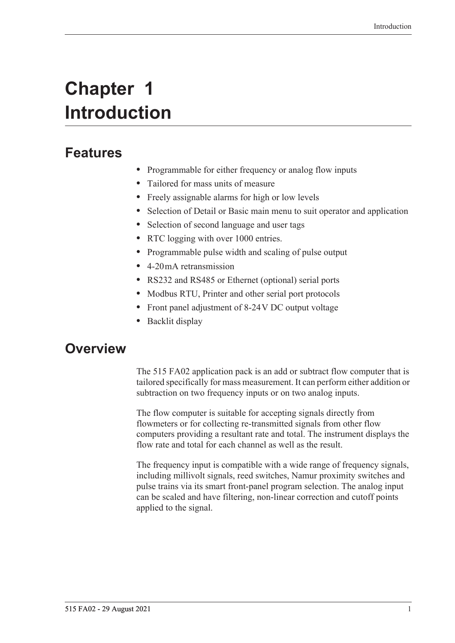# <span id="page-10-0"></span>**Chapter 1 Introduction**

# <span id="page-10-1"></span>**Features**

- **•** Programmable for either frequency or analog flow inputs
- **•** Tailored for mass units of measure
- **•** Freely assignable alarms for high or low levels
- **•** Selection of Detail or Basic main menu to suit operator and application
- **•** Selection of second language and user tags
- **•** RTC logging with over 1000 entries.
- **•** Programmable pulse width and scaling of pulse output
- **•** 4-20 mA retransmission
- **•** RS232 and RS485 or Ethernet (optional) serial ports
- **•** Modbus RTU, Printer and other serial port protocols
- **•** Front panel adjustment of 8-24 V DC output voltage
- **•** Backlit display

# <span id="page-10-2"></span>**Overview**

The 515 FA02 application pack is an add or subtract flow computer that is tailored specifically for mass measurement. It can perform either addition or subtraction on two frequency inputs or on two analog inputs.

The flow computer is suitable for accepting signals directly from flowmeters or for collecting re-transmitted signals from other flow computers providing a resultant rate and total. The instrument displays the flow rate and total for each channel as well as the result.

The frequency input is compatible with a wide range of frequency signals, including millivolt signals, reed switches, Namur proximity switches and pulse trains via its smart front-panel program selection. The analog input can be scaled and have filtering, non-linear correction and cutoff points applied to the signal.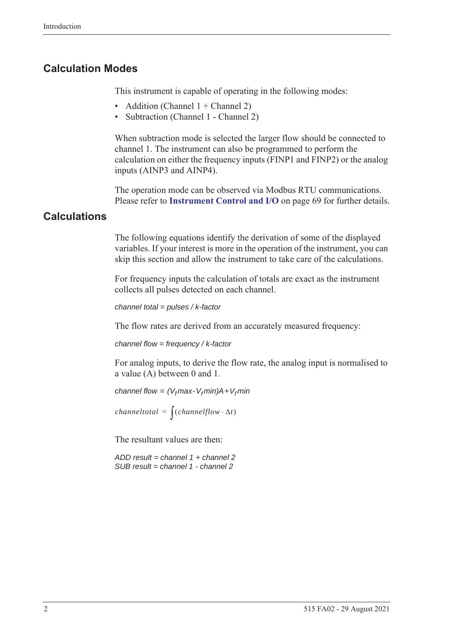### <span id="page-11-0"></span>**Calculation Modes**

This instrument is capable of operating in the following modes:

- Addition (Channel  $1 +$ Channel 2)
- Subtraction (Channel 1 Channel 2)

When subtraction mode is selected the larger flow should be connected to channel 1. The instrument can also be programmed to perform the calculation on either the frequency inputs (FINP1 and FINP2) or the analog inputs (AINP3 and AINP4).

The operation mode can be observed via Modbus RTU communications. Please refer to **[Instrument Control and I/O](#page-78-0)** on page 69 for further details.

### <span id="page-11-1"></span>**Calculations**

The following equations identify the derivation of some of the displayed variables. If your interest is more in the operation of the instrument, you can skip this section and allow the instrument to take care of the calculations.

For frequency inputs the calculation of totals are exact as the instrument collects all pulses detected on each channel.

```
channel total = pulses / k-factor
```
The flow rates are derived from an accurately measured frequency:

*channel flow = frequency / k-factor*

For analog inputs, to derive the flow rate, the analog input is normalised to a value (A) between 0 and 1.

*channel flow =*  $(V_f max - V_f min)A + V_f min$ 

*channeltotal* =  $\int (channelflow \cdot \Delta t)$ 

The resultant values are then:

*ADD result = channel 1 + channel 2 SUB result = channel 1 - channel 2*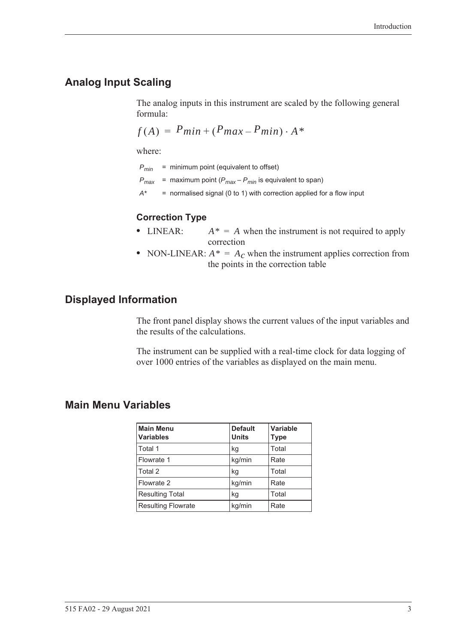# <span id="page-12-0"></span>**Analog Input Scaling**

The analog inputs in this instrument are scaled by the following general formula:

$$
f(A) = P_{min} + (P_{max} - P_{min}) \cdot A^*
$$

where:

*Pmin* = minimum point (equivalent to offset)

- $P_{max}$  = maximum point ( $P_{max} P_{min}$  is equivalent to span)
- *A\** = normalised signal (0 to 1) with correction applied for a flow input

#### **Correction Type**

- LINEAR:  $A^* = A$  when the instrument is not required to apply correction
- NON-LINEAR:  $A^* = A_c$  when the instrument applies correction from the points in the correction table

### <span id="page-12-1"></span>**Displayed Information**

The front panel display shows the current values of the input variables and the results of the calculations.

The instrument can be supplied with a real-time clock for data logging of over 1000 entries of the variables as displayed on the main menu.

### <span id="page-12-2"></span>**Main Menu Variables**

| <b>Main Menu</b><br><b>Variables</b> | <b>Default</b><br><b>Units</b> | Variable<br><b>Type</b> |
|--------------------------------------|--------------------------------|-------------------------|
| Total 1                              | kg                             | Total                   |
| Flowrate 1                           | kg/min                         | Rate                    |
| Total 2                              | kg                             | Total                   |
| Flowrate 2                           | kg/min                         | Rate                    |
| <b>Resulting Total</b>               | kg                             | Total                   |
| <b>Resulting Flowrate</b>            | kg/min                         | Rate                    |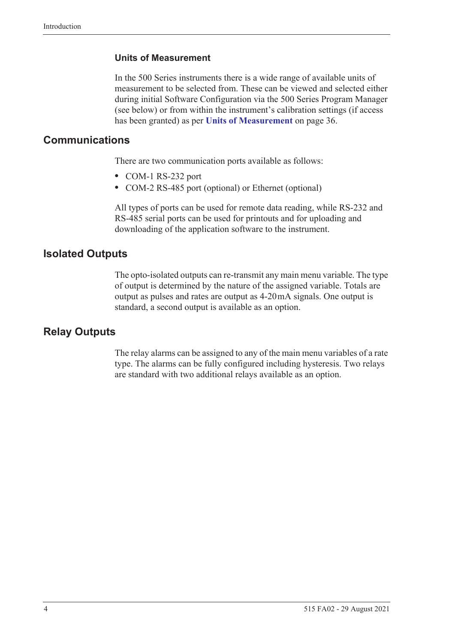#### **Units of Measurement**

In the 500 Series instruments there is a wide range of available units of measurement to be selected from. These can be viewed and selected either during initial Software Configuration via the 500 Series Program Manager (see below) or from within the instrument's calibration settings (if access has been granted) as per **[Units of Measurement](#page-45-2)** on page 36.

### <span id="page-13-0"></span>**Communications**

There are two communication ports available as follows:

- **•** COM-1 RS-232 port
- **•** COM-2 RS-485 port (optional) or Ethernet (optional)

All types of ports can be used for remote data reading, while RS-232 and RS-485 serial ports can be used for printouts and for uploading and downloading of the application software to the instrument.

### <span id="page-13-1"></span>**Isolated Outputs**

The opto-isolated outputs can re-transmit any main menu variable. The type of output is determined by the nature of the assigned variable. Totals are output as pulses and rates are output as 4-20 mA signals. One output is standard, a second output is available as an option.

### <span id="page-13-2"></span>**Relay Outputs**

The relay alarms can be assigned to any of the main menu variables of a rate type. The alarms can be fully configured including hysteresis. Two relays are standard with two additional relays available as an option.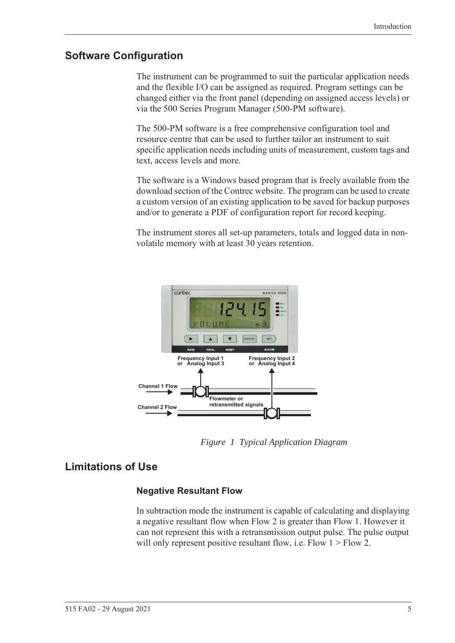### <span id="page-14-0"></span>**Software Configuration**

The instrument can be programmed to suit the particular application needs and the flexible I/O can be assigned as required. Program settings can be changed either via the front panel (depending on assigned access levels) or via the 500 Series Program Manager (500-PM software).

The 500-PM software is a free comprehensive configuration tool and resource centre that can be used to further tailor an instrument to suit specific application needs including units of measurement, custom tags and text, access levels and more.

The software is a Windows based program that is freely available from the download section of the Contrec website. The program can be used to create a custom version of an existing application to be saved for backup purposes and/or to generate a PDF of configuration report for record keeping.

The instrument stores all set-up parameters, totals and logged data in nonvolatile memory with at least 30 years retention.



*Figure 1 Typical Application Diagram*

## <span id="page-14-1"></span>**Limitations of Use**

### <span id="page-14-2"></span>**Negative Resultant Flow**

In subtraction mode the instrument is capable of calculating and displaying a negative resultant flow when Flow 2 is greater than Flow 1. However it can not represent this with a retransmission output pulse. The pulse output will only represent positive resultant flow, i.e. Flow  $1 >$  Flow 2.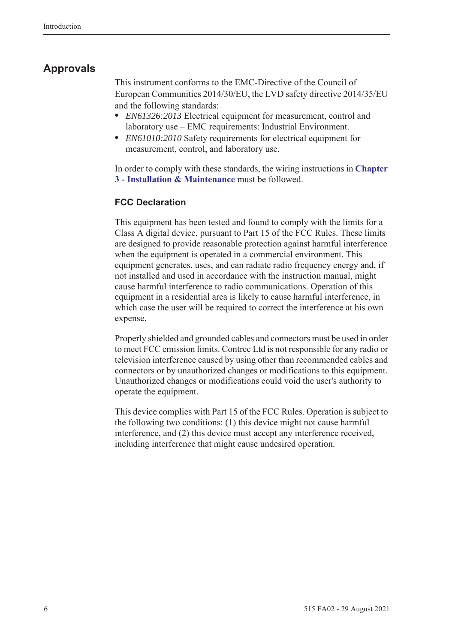# <span id="page-15-0"></span>**Approvals**

This instrument conforms to the EMC-Directive of the Council of European Communities 2014/30/EU, the LVD safety directive 2014/35/EU and the following standards:

- **•** *EN61326:2013* Electrical equipment for measurement, control and laboratory use – EMC requirements: Industrial Environment.
- **•** *EN61010:2010* Safety requirements for electrical equipment for measurement, control, and laboratory use.

In order to comply with these standards, the wiring instructions in **[Chapter](#page-18-5)  [3 - Installation & Maintenance](#page-18-5)** must be followed.

### **FCC Declaration**

This equipment has been tested and found to comply with the limits for a Class A digital device, pursuant to Part 15 of the FCC Rules. These limits are designed to provide reasonable protection against harmful interference when the equipment is operated in a commercial environment. This equipment generates, uses, and can radiate radio frequency energy and, if not installed and used in accordance with the instruction manual, might cause harmful interference to radio communications. Operation of this equipment in a residential area is likely to cause harmful interference, in which case the user will be required to correct the interference at his own expense.

Properly shielded and grounded cables and connectors must be used in order to meet FCC emission limits. Contrec Ltd is not responsible for any radio or television interference caused by using other than recommended cables and connectors or by unauthorized changes or modifications to this equipment. Unauthorized changes or modifications could void the user's authority to operate the equipment.

This device complies with Part 15 of the FCC Rules. Operation is subject to the following two conditions: (1) this device might not cause harmful interference, and (2) this device must accept any interference received, including interference that might cause undesired operation.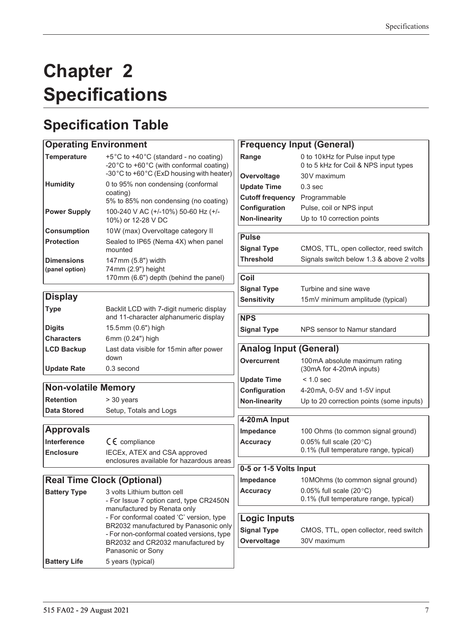# <span id="page-16-0"></span>**Chapter 2 Specifications**

# <span id="page-16-1"></span>**Specification Table**

# **Operating Environment**

| <b>Temperature</b>                  | +5°C to +40°C (standard - no coating)<br>-20°C to +60°C (with conformal coating)<br>-30°C to +60°C (ExD housing with heater) |
|-------------------------------------|------------------------------------------------------------------------------------------------------------------------------|
| <b>Humidity</b>                     | 0 to 95% non condensing (conformal<br>coating)<br>5% to 85% non condensing (no coating)                                      |
| <b>Power Supply</b>                 | 100-240 V AC (+/-10%) 50-60 Hz (+/-<br>10%) or 12-28 V DC                                                                    |
| <b>Consumption</b>                  | 10W (max) Overvoltage category II                                                                                            |
| <b>Protection</b>                   | Sealed to IP65 (Nema 4X) when panel<br>mounted                                                                               |
| <b>Dimensions</b><br>(panel option) | 147mm (5.8") width<br>74 mm (2.9") height<br>170mm (6.6") depth (behind the panel)                                           |

# **Display**

| <b>Type</b>        | Backlit LCD with 7-digit numeric display<br>and 11-character alphanumeric display |
|--------------------|-----------------------------------------------------------------------------------|
| <b>Digits</b>      | 15.5mm (0.6") high                                                                |
| <b>Characters</b>  | 6mm (0.24") high                                                                  |
| <b>LCD Backup</b>  | Last data visible for 15 min after power<br>down                                  |
| <b>Update Rate</b> | 0.3 second                                                                        |

### **Non-volatile Memory**

**Retention** > 30 years **Data Stored** Setup, Totals and Logs

### **Approvals**

| <b>Interference</b> | $C \in \mathbb{C}$ compliance                                            |
|---------------------|--------------------------------------------------------------------------|
| <b>Enclosure</b>    | IECEx, ATEX and CSA approved<br>enclosures available for hazardous areas |

# **Real Time Clock (Optional)**

| <b>Battery Type</b> | 3 volts Lithium button cell<br>- For Issue 7 option card, type CR2450N<br>manufactured by Renata only<br>- For conformal coated 'C' version, type<br>BR2032 manufactured by Panasonic only<br>- For non-conformal coated versions, type<br>BR2032 and CR2032 manufactured by<br>Panasonic or Sony |
|---------------------|---------------------------------------------------------------------------------------------------------------------------------------------------------------------------------------------------------------------------------------------------------------------------------------------------|
| <b>Battery Life</b> | 5 years (typical)                                                                                                                                                                                                                                                                                 |

|                               | <b>Frequency Input (General)</b>         |
|-------------------------------|------------------------------------------|
| Range                         | 0 to 10kHz for Pulse input type          |
|                               | 0 to 5 kHz for Coil & NPS input types    |
| Overvoltage                   | 30V maximum                              |
| <b>Update Time</b>            | 0.3 <sub>sec</sub>                       |
| <b>Cutoff frequency</b>       | Programmable                             |
| Configuration                 | Pulse, coil or NPS input                 |
| <b>Non-linearity</b>          | Up to 10 correction points               |
|                               |                                          |
| <b>Pulse</b>                  |                                          |
| <b>Signal Type</b>            | CMOS, TTL, open collector, reed switch   |
| <b>Threshold</b>              | Signals switch below 1.3 & above 2 volts |
| Coil                          |                                          |
|                               |                                          |
| <b>Signal Type</b>            | Turbine and sine wave                    |
| <b>Sensitivity</b>            | 15mV minimum amplitude (typical)         |
| <b>NPS</b>                    |                                          |
| <b>Signal Type</b>            | NPS sensor to Namur standard             |
|                               |                                          |
| <b>Analog Input (General)</b> |                                          |
| Overcurrent                   | 100mA absolute maximum rating            |
|                               | (30mA for 4-20mA inputs)                 |
| <b>Update Time</b>            | $< 1.0$ sec                              |
| Configuration                 | 4-20mA, 0-5V and 1-5V input              |
| <b>Non-linearity</b>          | Up to 20 correction points (some inputs) |
|                               |                                          |
| 4-20mA Input                  |                                          |
| <b>Impedance</b>              | 100 Ohms (to common signal ground)       |
| <b>Accuracy</b>               | 0.05% full scale $(20^{\circ}C)$         |
|                               | 0.1% (full temperature range, typical)   |
| 0-5 or 1-5 Volts Input        |                                          |
| <b>Impedance</b>              | 10MOhms (to common signal ground)        |
| <b>Accuracy</b>               | 0.05% full scale $(20^{\circ}C)$         |
|                               | 0.1% (full temperature range, typical)   |
|                               |                                          |
| <b>Logic Inputs</b>           |                                          |
|                               |                                          |

**Overvoltage** 30V maximum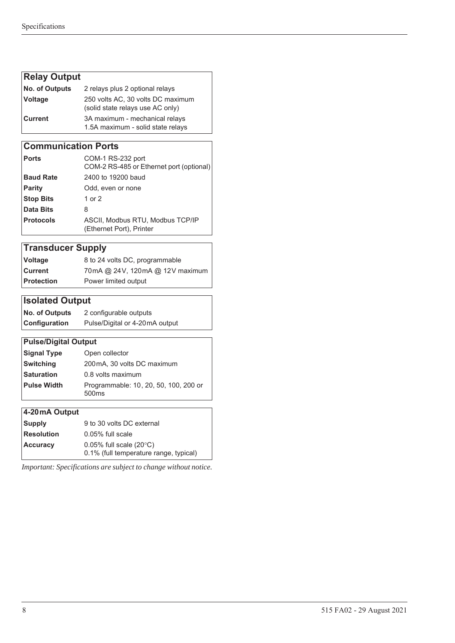# **Relay Output**

| <b>No. of Outputs</b> | 2 relays plus 2 optional relays                                       |
|-----------------------|-----------------------------------------------------------------------|
| Voltage               | 250 volts AC, 30 volts DC maximum<br>(solid state relays use AC only) |
| l Current l           | 3A maximum - mechanical relays<br>1.5A maximum - solid state relays   |

### **Communication Ports**

| ∣ Ports          | COM-1 RS-232 port<br>COM-2 RS-485 or Ethernet port (optional) |
|------------------|---------------------------------------------------------------|
| <b>Baud Rate</b> | 2400 to 19200 baud                                            |
| Parity           | Odd, even or none                                             |
| <b>Stop Bits</b> | 1 or 2                                                        |
| Data Bits        | 8                                                             |
| <b>Protocols</b> | ASCII, Modbus RTU, Modbus TCP/IP<br>(Ethernet Port), Printer  |

# **Transducer Supply**

| Voltage    | 8 to 24 volts DC, programmable  |
|------------|---------------------------------|
| ∣Current   | 70mA @ 24V, 120mA @ 12V maximum |
| Protection | Power limited output            |

# **Isolated Output**

| <b>No. of Outputs</b> | 2 configurable outputs         |
|-----------------------|--------------------------------|
| <b>Configuration</b>  | Pulse/Digital or 4-20mA output |

### **Pulse/Digital Output**

| Signal Type | Open collector                                             |
|-------------|------------------------------------------------------------|
| Switching   | 200 mA, 30 volts DC maximum                                |
| Saturation  | 0.8 volts maximum                                          |
| Pulse Width | Programmable: 10, 20, 50, 100, 200 or<br>500 <sub>ms</sub> |
|             |                                                            |

### **4-20 mA Output**

| <b>Supply</b>     | 9 to 30 volts DC external                                                  |  |  |
|-------------------|----------------------------------------------------------------------------|--|--|
| <b>Resolution</b> | $0.05\%$ full scale                                                        |  |  |
| <b>Accuracy</b>   | 0.05% full scale $(20^{\circ}C)$<br>0.1% (full temperature range, typical) |  |  |

*Important: Specifications are subject to change without notice.*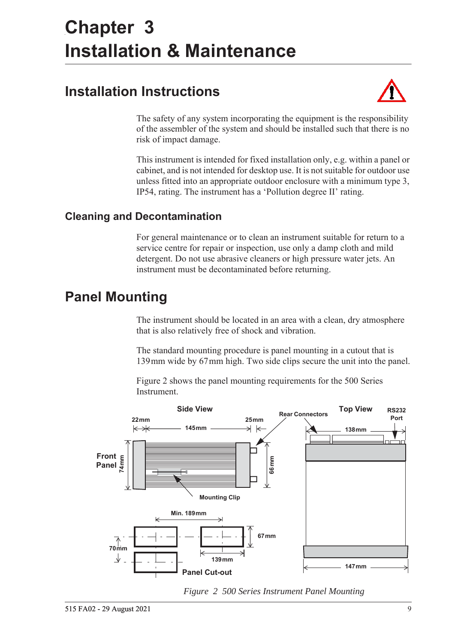# <span id="page-18-5"></span><span id="page-18-0"></span>**Chapter 3 Installation & Maintenance**

# <span id="page-18-1"></span>**Installation Instructions**



The safety of any system incorporating the equipment is the responsibility of the assembler of the system and should be installed such that there is no risk of impact damage.

This instrument is intended for fixed installation only, e.g. within a panel or cabinet, and is not intended for desktop use. It is not suitable for outdoor use unless fitted into an appropriate outdoor enclosure with a minimum type 3, IP54, rating. The instrument has a 'Pollution degree II' rating.

# <span id="page-18-2"></span>**Cleaning and Decontamination**

For general maintenance or to clean an instrument suitable for return to a service centre for repair or inspection, use only a damp cloth and mild detergent. Do not use abrasive cleaners or high pressure water jets. An instrument must be decontaminated before returning.

# <span id="page-18-3"></span>**Panel Mounting**

The instrument should be located in an area with a clean, dry atmosphere that is also relatively free of shock and vibration.

The standard mounting procedure is panel mounting in a cutout that is 139 mm wide by 67 mm high. Two side clips secure the unit into the panel.

[Figure 2](#page-18-4) shows the panel mounting requirements for the 500 Series Instrument.



<span id="page-18-4"></span>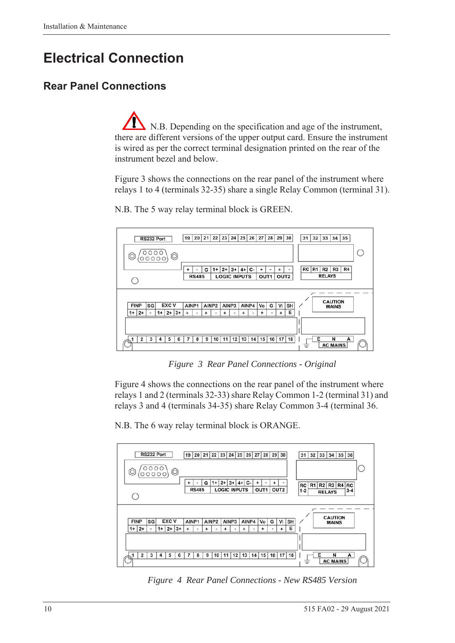# <span id="page-19-0"></span>**Electrical Connection**

# <span id="page-19-1"></span>**Rear Panel Connections**

N.B. Depending on the specification and age of the instrument, there are different versions of the upper output card. Ensure the instrument is wired as per the correct terminal designation printed on the rear of the instrument bezel and below.

[Figure 3](#page-19-2) shows the connections on the rear panel of the instrument where relays 1 to 4 (terminals 32-35) share a single Relay Common (terminal 31).



N.B. The 5 way relay terminal block is GREEN.

*Figure 3 Rear Panel Connections - Original*

<span id="page-19-2"></span>[Figure 4](#page-19-3) shows the connections on the rear panel of the instrument where relays 1 and 2 (terminals 32-33) share Relay Common 1-2 (terminal 31) and relays 3 and 4 (terminals 34-35) share Relay Common 3-4 (terminal 36.

N.B. The 6 way relay terminal block is ORANGE.



<span id="page-19-3"></span>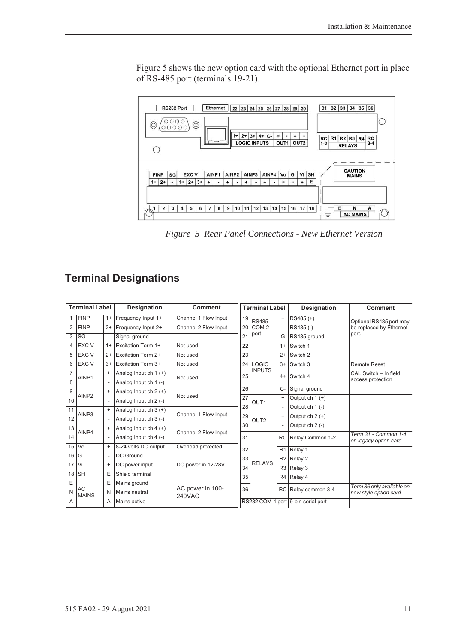[Figure 5](#page-20-1) shows the new option card with the optional Ethernet port in place of RS-485 port (terminals 19-21).



<span id="page-20-1"></span>*Figure 5 Rear Panel Connections - New Ethernet Version*

# <span id="page-20-0"></span>**Terminal Designations**

|                 | <b>Terminal Label</b> |                          | Designation               | <b>Comment</b>                          | <b>Terminal Label</b> |                  |                | Designation                        | <b>Comment</b>                                |
|-----------------|-----------------------|--------------------------|---------------------------|-----------------------------------------|-----------------------|------------------|----------------|------------------------------------|-----------------------------------------------|
| 1               | <b>FINP</b>           | $1+$                     | Frequency Input 1+        | Channel 1 Flow Input                    | 19                    | <b>RS485</b>     | $\ddot{}$      | RS485 (+)                          | Optional RS485 port may                       |
| 2               | <b>FINP</b>           | $2+$                     | Frequency Input 2+        | Channel 2 Flow Input<br>20 <sub>1</sub> |                       | COM-2            |                | RS485(-)                           | be replaced by Ethernet                       |
| 3               | SG                    | $\overline{\phantom{a}}$ | Signal ground             |                                         | 21                    | port             | G              | RS485 ground                       | port.                                         |
| 4               | EXC V                 | $1+$                     | <b>Excitation Term 1+</b> | Not used                                | 22                    |                  | $1+$           | Switch 1                           |                                               |
| 5               | EXC V                 | $2+$                     | <b>Excitation Term 2+</b> | Not used                                | 23                    |                  | $2+$           | Switch 2                           |                                               |
| 6               | <b>EXC V</b>          | $3+$                     | Excitation Term 3+        | Not used                                | 24                    | <b>LOGIC</b>     | $3+$           | Switch 3                           | <b>Remote Reset</b>                           |
| $\overline{7}$  | AINP1                 | $\ddot{}$                | Analog Input ch $1 (+)$   | Not used                                |                       | <b>INPUTS</b>    | $4+$           | Switch 4                           | CAL Switch - In field                         |
| 8               |                       |                          | Analog Input ch 1 (-)     |                                         |                       |                  |                |                                    | access protection                             |
| 9               | AINP <sub>2</sub>     | $\ddot{}$                | Analog Input ch $2 (+)$   |                                         | 26<br>$\overline{27}$ |                  | $C-$           | Signal ground                      |                                               |
| 10              |                       |                          | Analog Input ch 2 (-)     | Not used                                |                       | OUT <sub>1</sub> | $+$            | Output ch $1 (+)$                  |                                               |
| 11              |                       | $\ddot{}$                | Analog Input ch $3 (+)$   |                                         | 28<br>29              |                  |                | Output $ch 1$ (-)                  |                                               |
| 12              | AINP3                 | $\overline{\phantom{a}}$ | Analog Input ch 3 (-)     | Channel 1 Flow Input                    |                       | OUT <sub>2</sub> | $\ddot{}$      | Output ch $2 (+)$                  |                                               |
| $\overline{13}$ |                       | $\ddot{}$                | Analog Input ch $4 (+)$   |                                         |                       |                  |                | Output $ch 2$ (-)                  |                                               |
| 14              | AINP4                 |                          | Analog Input ch 4 (-)     | Channel 2 Flow Input                    | 31                    |                  | <b>RC</b>      | Relay Common 1-2                   | Term 31 - Common 1-4<br>on legacy option card |
| 15              | Vo                    | $\ddot{}$                | 8-24 volts DC output      | Overload protected                      | 32                    |                  | R <sub>1</sub> | Relay 1                            |                                               |
| 16              | G                     | $\overline{\phantom{a}}$ | <b>DC</b> Ground          |                                         | 33                    |                  | R2             | Relay 2                            |                                               |
| 17              | Vi                    | $\ddot{}$                | DC power input            | DC power in 12-28V                      | $\overline{34}$       | <b>RELAYS</b>    | R3             | Relay 3                            |                                               |
| 18              | <b>SH</b>             | E                        | Shield terminal           |                                         |                       | 35               | R4             | Relay 4                            |                                               |
| Ε               |                       | Ε                        | Mains ground              | AC power in 100-<br><b>240VAC</b>       |                       |                  |                |                                    | Term 36 only available on                     |
| N               | AC<br><b>MAINS</b>    | N                        | Mains neutral             |                                         |                       | 36               | RC             | Relay common 3-4                   | new style option card                         |
| A               |                       | Α                        | Mains active              |                                         |                       |                  |                | RS232 COM-1 port 9-pin serial port |                                               |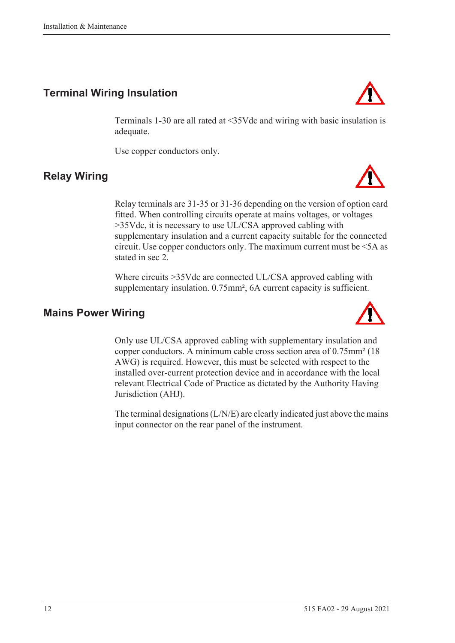# <span id="page-21-0"></span>**Terminal Wiring Insulation**

Terminals 1-30 are all rated at <35Vdc and wiring with basic insulation is adequate.

Use copper conductors only.

# <span id="page-21-1"></span>**Relay Wiring**

Relay terminals are 31-35 or 31-36 depending on the version of option card fitted. When controlling circuits operate at mains voltages, or voltages >35Vdc, it is necessary to use UL/CSA approved cabling with supplementary insulation and a current capacity suitable for the connected circuit. Use copper conductors only. The maximum current must be <5A as stated in sec 2.

Where circuits >35Vdc are connected UL/CSA approved cabling with supplementary insulation. 0.75mm<sup>2</sup>, 6A current capacity is sufficient.

## <span id="page-21-2"></span>**Mains Power Wiring**

Only use UL/CSA approved cabling with supplementary insulation and copper conductors. A minimum cable cross section area of 0.75mm² (18 AWG) is required. However, this must be selected with respect to the installed over-current protection device and in accordance with the local relevant Electrical Code of Practice as dictated by the Authority Having Jurisdiction (AHJ).

The terminal designations (L/N/E) are clearly indicated just above the mains input connector on the rear panel of the instrument.





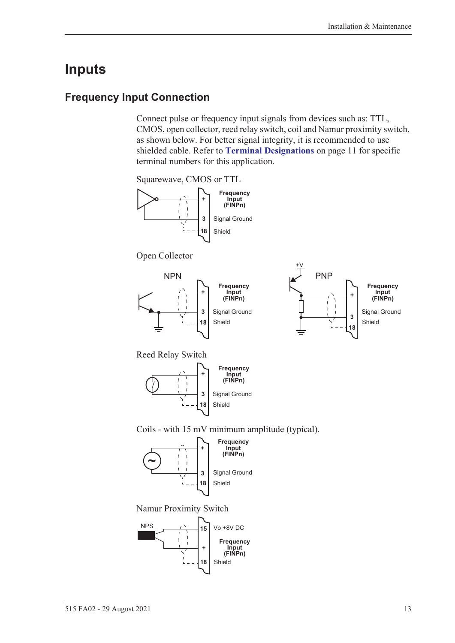# <span id="page-22-0"></span>**Inputs**

## <span id="page-22-1"></span>**Frequency Input Connection**

Connect pulse or frequency input signals from devices such as: TTL, CMOS, open collector, reed relay switch, coil and Namur proximity switch, as shown below. For better signal integrity, it is recommended to use shielded cable. Refer to **[Terminal Designations](#page-20-0)** on page 11 for specific terminal numbers for this application.

Squarewave, CMOS or TTL



Open Collector





Reed Relay Switch



Coils - with 15 mV minimum amplitude (typical).



Namur Proximity Switch

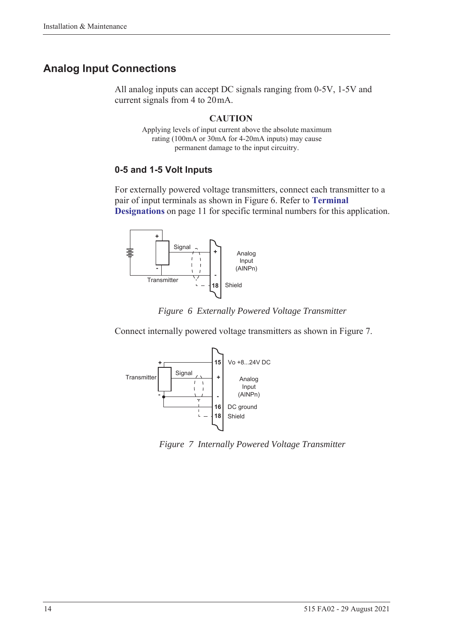# <span id="page-23-0"></span>**Analog Input Connections**

All analog inputs can accept DC signals ranging from 0-5V, 1-5V and current signals from 4 to 20 mA.

### **CAUTION**

Applying levels of input current above the absolute maximum rating (100mA or 30mA for 4-20mA inputs) may cause permanent damage to the input circuitry.

### **0-5 and 1-5 Volt Inputs**

For externally powered voltage transmitters, connect each transmitter to a pair of input terminals as shown in [Figure 6](#page-23-1). Refer to **[Terminal](#page-20-0)  [Designations](#page-20-0)** on page 11 for specific terminal numbers for this application.





<span id="page-23-1"></span>Connect internally powered voltage transmitters as shown in [Figure 7.](#page-23-2)



<span id="page-23-2"></span>*Figure 7 Internally Powered Voltage Transmitter*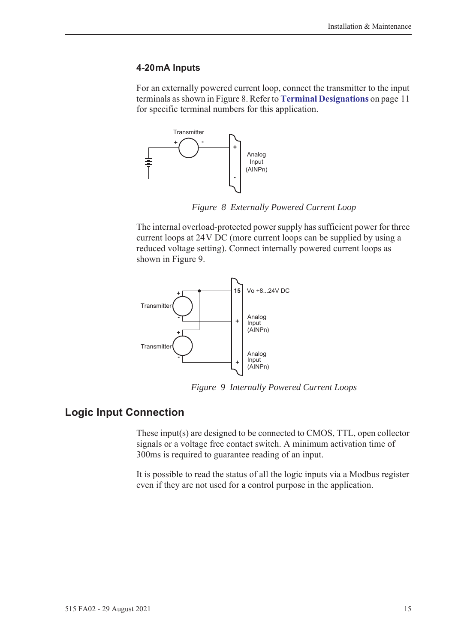#### **4-20 mA Inputs**

For an externally powered current loop, connect the transmitter to the input terminals as shown in [Figure 8.](#page-24-1) Refer to **[Terminal Designations](#page-20-0)** on page 11 for specific terminal numbers for this application.



*Figure 8 Externally Powered Current Loop*

<span id="page-24-1"></span>The internal overload-protected power supply has sufficient power for three current loops at 24 V DC (more current loops can be supplied by using a reduced voltage setting). Connect internally powered current loops as shown in [Figure 9.](#page-24-2)



*Figure 9 Internally Powered Current Loops*

### <span id="page-24-0"></span>**Logic Input Connection**

<span id="page-24-2"></span>These input(s) are designed to be connected to CMOS, TTL, open collector signals or a voltage free contact switch. A minimum activation time of 300ms is required to guarantee reading of an input.

It is possible to read the status of all the logic inputs via a Modbus register even if they are not used for a control purpose in the application.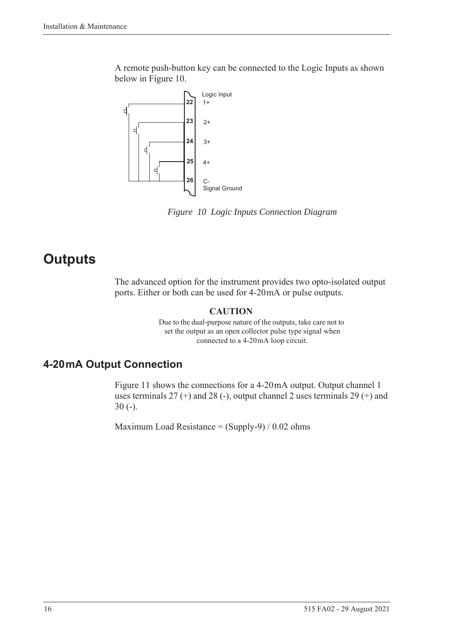A remote push-button key can be connected to the Logic Inputs as shown below in [Figure 10](#page-25-2).



<span id="page-25-2"></span>*Figure 10 Logic Inputs Connection Diagram*

# <span id="page-25-0"></span>**Outputs**

The advanced option for the instrument provides two opto-isolated output ports. Either or both can be used for 4-20 mA or pulse outputs.

#### **CAUTION**

Due to the dual-purpose nature of the outputs, take care not to set the output as an open collector pulse type signal when connected to a 4-20 mA loop circuit.

# <span id="page-25-1"></span>**4-20 mA Output Connection**

[Figure 11](#page-26-1) shows the connections for a 4-20 mA output. Output channel 1 uses terminals  $27 (+)$  and  $28 (-)$ , output channel 2 uses terminals  $29 (+)$  and 30 (-).

Maximum Load Resistance =  $(Supply-9) / 0.02$  ohms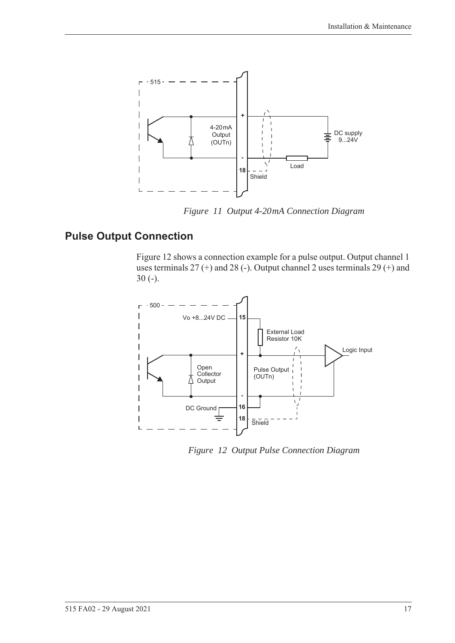

*Figure 11 Output 4-20 mA Connection Diagram*

# <span id="page-26-0"></span>**Pulse Output Connection**

<span id="page-26-1"></span>[Figure 12](#page-26-2) shows a connection example for a pulse output. Output channel 1 uses terminals 27 (+) and 28 (-). Output channel 2 uses terminals 29 (+) and 30 (-).



<span id="page-26-2"></span>*Figure 12 Output Pulse Connection Diagram*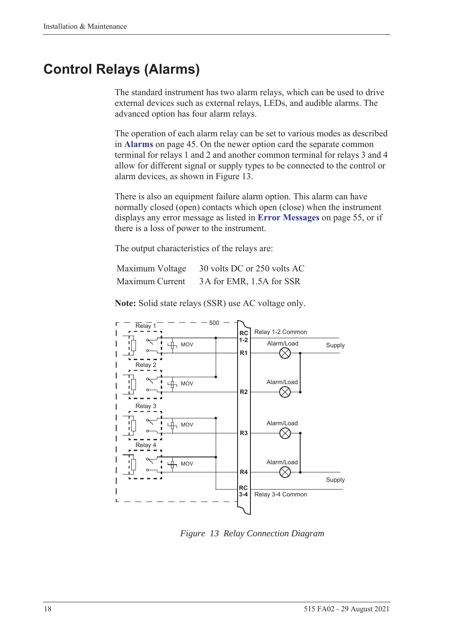# <span id="page-27-0"></span>**Control Relays (Alarms)**

The standard instrument has two alarm relays, which can be used to drive external devices such as external relays, LEDs, and audible alarms. The advanced option has four alarm relays.

The operation of each alarm relay can be set to various modes as described in **Alarms** [on page 45](#page-54-1). On the newer option card the separate common terminal for relays 1 and 2 and another common terminal for relays 3 and 4 allow for different signal or supply types to be connected to the control or alarm devices, as shown in [Figure 13.](#page-27-1)

There is also an equipment failure alarm option. This alarm can have normally closed (open) contacts which open (close) when the instrument displays any error message as listed in **[Error Messages](#page-64-2)** on page 55, or if there is a loss of power to the instrument.

The output characteristics of the relays are:

| Maximum Voltage | 30 volts DC or 250 volts AC |
|-----------------|-----------------------------|
| Maximum Current | 3A for EMR, 1.5A for SSR    |

**Note:** Solid state relays (SSR) use AC voltage only.



<span id="page-27-1"></span>*Figure 13 Relay Connection Diagram*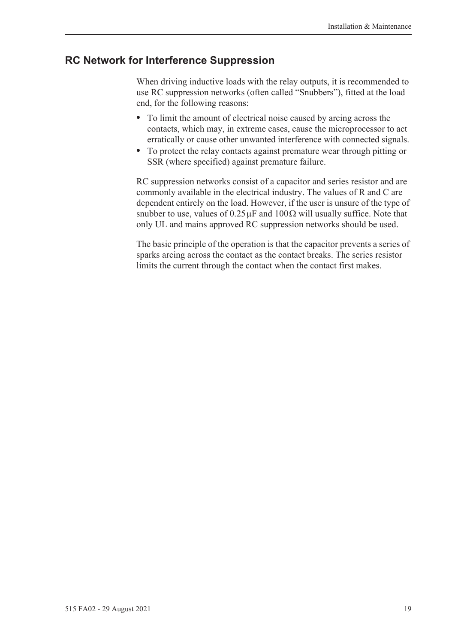### <span id="page-28-0"></span>**RC Network for Interference Suppression**

When driving inductive loads with the relay outputs, it is recommended to use RC suppression networks (often called "Snubbers"), fitted at the load end, for the following reasons:

- **•** To limit the amount of electrical noise caused by arcing across the contacts, which may, in extreme cases, cause the microprocessor to act erratically or cause other unwanted interference with connected signals.
- **•** To protect the relay contacts against premature wear through pitting or SSR (where specified) against premature failure.

RC suppression networks consist of a capacitor and series resistor and are commonly available in the electrical industry. The values of R and C are dependent entirely on the load. However, if the user is unsure of the type of snubber to use, values of  $0.25 \mu$ F and  $100 \Omega$  will usually suffice. Note that only UL and mains approved RC suppression networks should be used.

The basic principle of the operation is that the capacitor prevents a series of sparks arcing across the contact as the contact breaks. The series resistor limits the current through the contact when the contact first makes.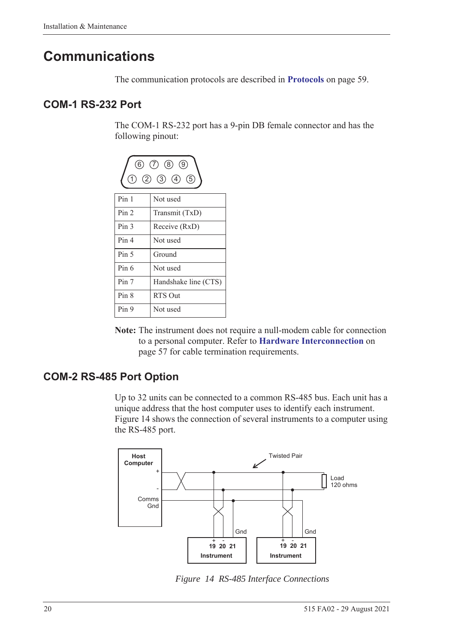# <span id="page-29-0"></span>**Communications**

The communication protocols are described in **Protocols** [on page 59.](#page-68-3)

### <span id="page-29-1"></span>**COM-1 RS-232 Port**

The COM-1 RS-232 port has a 9-pin DB female connector and has the following pinout:



**Note:** The instrument does not require a null-modem cable for connection to a personal computer. Refer to **[Hardware Interconnection](#page-66-4)** on [page 57](#page-66-4) for cable termination requirements.

# <span id="page-29-2"></span>**COM-2 RS-485 Port Option**

Up to 32 units can be connected to a common RS-485 bus. Each unit has a unique address that the host computer uses to identify each instrument. [Figure 14](#page-29-3) shows the connection of several instruments to a computer using the RS-485 port.



<span id="page-29-3"></span>*Figure 14 RS-485 Interface Connections*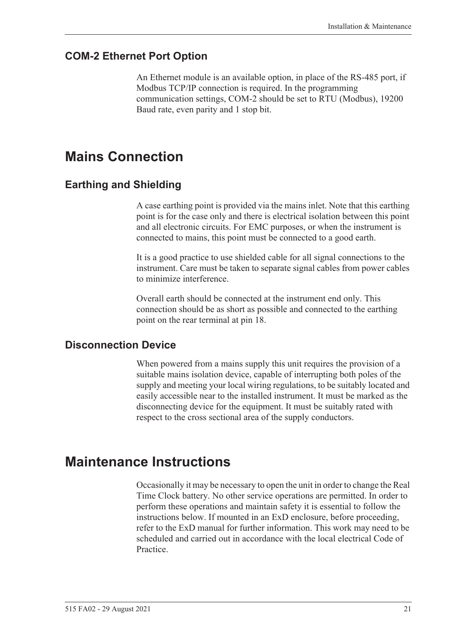## <span id="page-30-0"></span>**COM-2 Ethernet Port Option**

An Ethernet module is an available option, in place of the RS-485 port, if Modbus TCP/IP connection is required. In the programming communication settings, COM-2 should be set to RTU (Modbus), 19200 Baud rate, even parity and 1 stop bit.

# <span id="page-30-1"></span>**Mains Connection**

## <span id="page-30-2"></span>**Earthing and Shielding**

A case earthing point is provided via the mains inlet. Note that this earthing point is for the case only and there is electrical isolation between this point and all electronic circuits. For EMC purposes, or when the instrument is connected to mains, this point must be connected to a good earth.

It is a good practice to use shielded cable for all signal connections to the instrument. Care must be taken to separate signal cables from power cables to minimize interference.

Overall earth should be connected at the instrument end only. This connection should be as short as possible and connected to the earthing point on the rear terminal at pin 18.

### <span id="page-30-3"></span>**Disconnection Device**

When powered from a mains supply this unit requires the provision of a suitable mains isolation device, capable of interrupting both poles of the supply and meeting your local wiring regulations, to be suitably located and easily accessible near to the installed instrument. It must be marked as the disconnecting device for the equipment. It must be suitably rated with respect to the cross sectional area of the supply conductors.

# <span id="page-30-4"></span>**Maintenance Instructions**

Occasionally it may be necessary to open the unit in order to change the Real Time Clock battery. No other service operations are permitted. In order to perform these operations and maintain safety it is essential to follow the instructions below. If mounted in an ExD enclosure, before proceeding, refer to the ExD manual for further information. This work may need to be scheduled and carried out in accordance with the local electrical Code of Practice.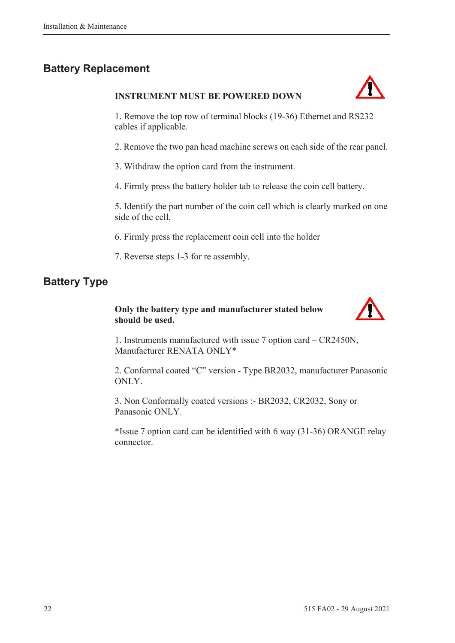# <span id="page-31-0"></span>**Battery Replacement**

#### **INSTRUMENT MUST BE POWERED DOWN**



1. Remove the top row of terminal blocks (19-36) Ethernet and RS232 cables if applicable.

2. Remove the two pan head machine screws on each side of the rear panel.

3. Withdraw the option card from the instrument.

4. Firmly press the battery holder tab to release the coin cell battery.

5. Identify the part number of the coin cell which is clearly marked on one side of the cell.

6. Firmly press the replacement coin cell into the holder

7. Reverse steps 1-3 for re assembly.

# <span id="page-31-1"></span>**Battery Type**

### **Only the battery type and manufacturer stated below should be used.**



1. Instruments manufactured with issue 7 option card – CR2450N, Manufacturer RENATA ONLY\*

2. Conformal coated "C" version - Type BR2032, manufacturer Panasonic ONLY.

3. Non Conformally coated versions :- BR2032, CR2032, Sony or Panasonic ONLY.

\*Issue 7 option card can be identified with 6 way (31-36) ORANGE relay connector.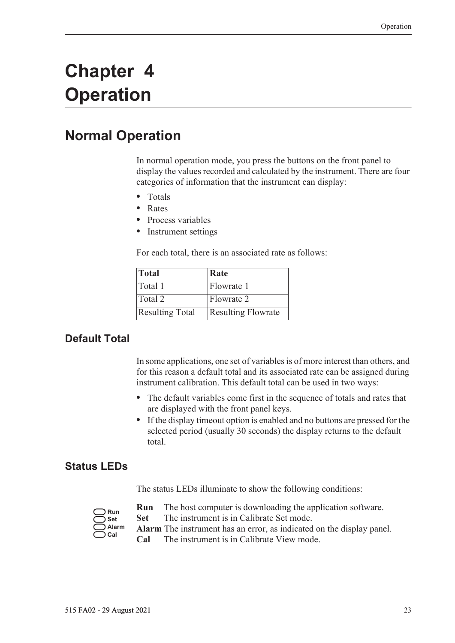# <span id="page-32-0"></span>**Chapter 4 Operation**

# <span id="page-32-1"></span>**Normal Operation**

In normal operation mode, you press the buttons on the front panel to display the values recorded and calculated by the instrument. There are four categories of information that the instrument can display:

- **•** Totals
- **•** Rates
- **•** Process variables
- **•** Instrument settings

For each total, there is an associated rate as follows:

| Total                  | Rate                      |
|------------------------|---------------------------|
| Total 1                | Flowrate 1                |
| Total 2                | Flowrate 2                |
| <b>Resulting Total</b> | <b>Resulting Flowrate</b> |

# <span id="page-32-2"></span>**Default Total**

In some applications, one set of variables is of more interest than others, and for this reason a default total and its associated rate can be assigned during instrument calibration. This default total can be used in two ways:

- **•** The default variables come first in the sequence of totals and rates that are displayed with the front panel keys.
- **•** If the display timeout option is enabled and no buttons are pressed for the selected period (usually 30 seconds) the display returns to the default total.

### <span id="page-32-3"></span>**Status LEDs**

The status LEDs illuminate to show the following conditions:

| Run   |
|-------|
| Set   |
| Alarm |
| Cal   |

- **Run** The host computer is downloading the application software.
- **Set** The instrument is in Calibrate Set mode.
- **Alarm** The instrument has an error, as indicated on the display panel.
- **Cal** The instrument is in Calibrate View mode.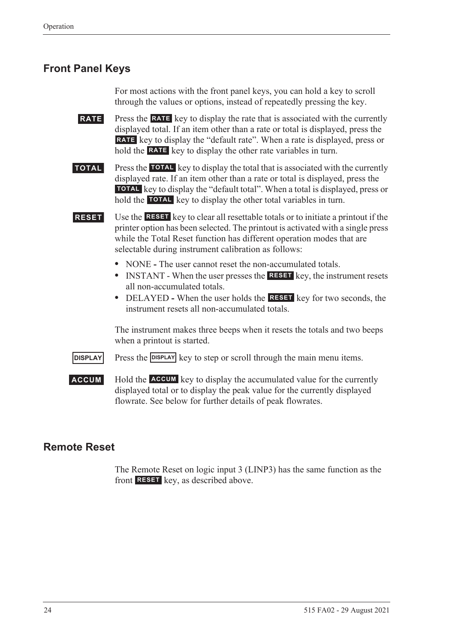# <span id="page-33-0"></span>**Front Panel Keys**

For most actions with the front panel keys, you can hold a key to scroll through the values or options, instead of repeatedly pressing the key.

**RATE** Press the **RATE** key to display the rate that is associated with the currently displayed total. If an item other than a rate or total is displayed, press the RATE key to display the "default rate". When a rate is displayed, press or hold the **RATE** key to display the other rate variables in turn.

**TOTAL** Press the TOTAL key to display the total that is associated with the currently displayed rate. If an item other than a rate or total is displayed, press the **TOTAL** key to display the "default total". When a total is displayed, press or hold the **TOTAL** key to display the other total variables in turn.

**RESET** Use the **RESET** key to clear all resettable totals or to initiate a printout if the printer option has been selected. The printout is activated with a single press while the Total Reset function has different operation modes that are selectable during instrument calibration as follows:

- NONE The user cannot reset the non-accumulated totals.
- INSTANT When the user presses the **RESET** key, the instrument resets all non-accumulated totals.
- DELAYED When the user holds the **RESET** key for two seconds, the instrument resets all non-accumulated totals.

The instrument makes three beeps when it resets the totals and two beeps when a printout is started.

**DISPLAY** Press the **DISPLAY** key to step or scroll through the main menu items.

**ACCUM** Hold the **ACCUM** key to display the accumulated value for the currently displayed total or to display the peak value for the currently displayed flowrate. See below for further details of peak flowrates.

### <span id="page-33-1"></span>**Remote Reset**

The Remote Reset on logic input 3 (LINP3) has the same function as the front **RESET** key, as described above.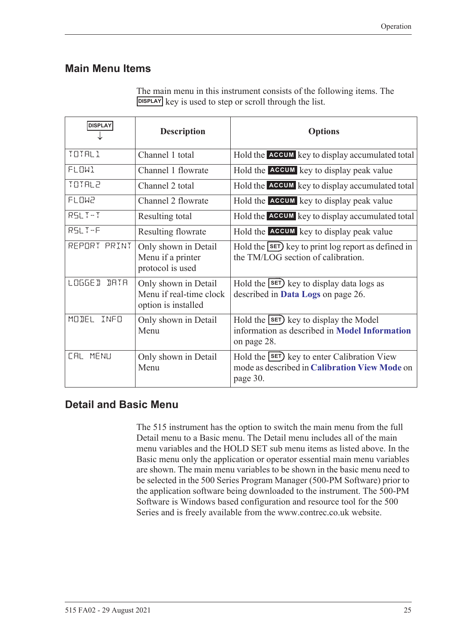## <span id="page-34-0"></span>**Main Menu Items**

| <b>DISPLAY</b>         | <b>Description</b>                                                     | <b>Options</b>                                                                                                 |
|------------------------|------------------------------------------------------------------------|----------------------------------------------------------------------------------------------------------------|
| TOTAL1                 | Channel 1 total                                                        | Hold the ACCUM key to display accumulated total                                                                |
| <b>FLOW1</b>           | Channel 1 flowrate                                                     | Hold the ACCUM key to display peak value                                                                       |
| TOTAL2                 | Channel 2 total                                                        | Hold the ACCUM key to display accumulated total                                                                |
| <b>FLOW2</b>           | Channel 2 flowrate                                                     | Hold the <b>ACCUM</b> key to display peak value                                                                |
| $RSLT-T$               | Resulting total                                                        | Hold the ACCUM key to display accumulated total                                                                |
| RSLT-F                 | Resulting flowrate                                                     | Hold the ACCUM key to display peak value                                                                       |
| REPORT PRINT           | Only shown in Detail<br>Menu if a printer<br>protocol is used          | Hold the SET) key to print log report as defined in<br>the TM/LOG section of calibration.                      |
| <b>LOGGE D</b><br>IRTR | Only shown in Detail<br>Menu if real-time clock<br>option is installed | Hold the $\text{SET}$ key to display data logs as<br>described in Data Logs on page 26.                        |
| MODEL<br>INFO          | Only shown in Detail<br>Menu                                           | Hold the $\text{SET}$ key to display the Model<br>information as described in Model Information<br>on page 28. |
| <b>CAL MENU</b>        | Only shown in Detail<br>Menu                                           | Hold the <b>SET</b> key to enter Calibration View<br>mode as described in Calibration View Mode on<br>page 30. |

The main menu in this instrument consists of the following items. The **DISPLAY** key is used to step or scroll through the list.

# <span id="page-34-1"></span>**Detail and Basic Menu**

The 515 instrument has the option to switch the main menu from the full Detail menu to a Basic menu. The Detail menu includes all of the main menu variables and the HOLD SET sub menu items as listed above. In the Basic menu only the application or operator essential main menu variables are shown. The main menu variables to be shown in the basic menu need to be selected in the 500 Series Program Manager (500-PM Software) prior to the application software being downloaded to the instrument. The 500-PM Software is Windows based configuration and resource tool for the 500 Series and is freely available from the www.contrec.co.uk website.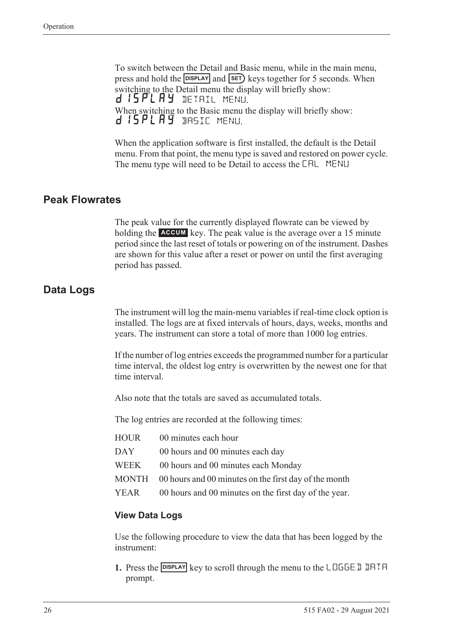To switch between the Detail and Basic menu, while in the main menu, press and hold the **DISPLAY** and **SET**) keys together for 5 seconds. When switching to the Detail menu the display will briefly show: d 15 PL A Y DETAIL MENU. When switching to the Basic menu the display will briefly show: d 15PLAY BASIC MENU.

When the application software is first installed, the default is the Detail menu. From that point, the menu type is saved and restored on power cycle. The menu type will need to be Detail to access the CAL MENU

### <span id="page-35-0"></span>**Peak Flowrates**

The peak value for the currently displayed flowrate can be viewed by holding the **ACCUM** key. The peak value is the average over a 15 minute period since the last reset of totals or powering on of the instrument. Dashes are shown for this value after a reset or power on until the first averaging period has passed.

### <span id="page-35-1"></span>**Data Logs**

The instrument will log the main-menu variables if real-time clock option is installed. The logs are at fixed intervals of hours, days, weeks, months and years. The instrument can store a total of more than 1000 log entries.

If the number of log entries exceeds the programmed number for a particular time interval, the oldest log entry is overwritten by the newest one for that time interval.

Also note that the totals are saved as accumulated totals.

The log entries are recorded at the following times:

| HOUR | 00 minutes each hour                                        |
|------|-------------------------------------------------------------|
| DAY  | 00 hours and 00 minutes each day                            |
| WEEK | 00 hours and 00 minutes each Monday                         |
|      | MONTH 00 hours and 00 minutes on the first day of the month |
| YEAR | 00 hours and 00 minutes on the first day of the year.       |

#### **View Data Logs**

Use the following procedure to view the data that has been logged by the instrument:

**1.** Press the **DISPLAY** key to scroll through the menu to the LOGGE D DATA prompt.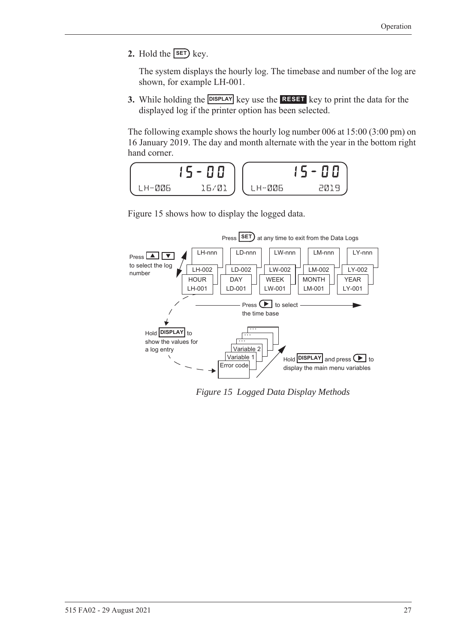**2.** Hold the  $\overline{\text{SET}}$  key.

The system displays the hourly log. The timebase and number of the log are shown, for example LH-001.

**3.** While holding the **DISPLAY** key use the **RESET** key to print the data for the displayed log if the printer option has been selected.

The following example shows the hourly log number 006 at 15:00 (3:00 pm) on 16 January 2019. The day and month alternate with the year in the bottom right hand corner.



[Figure 15](#page-36-0) shows how to display the logged data.



<span id="page-36-0"></span>*Figure 15 Logged Data Display Methods*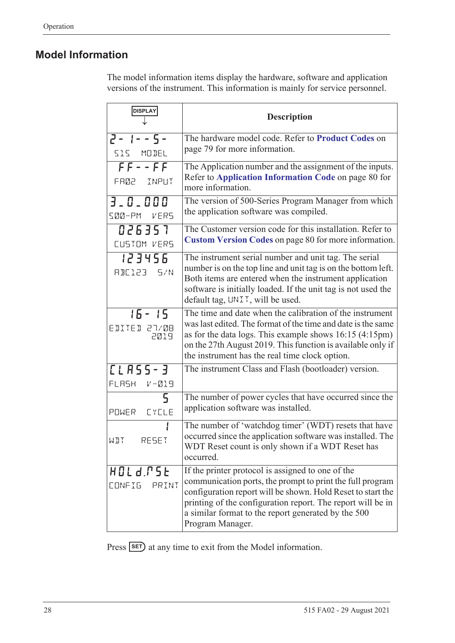### <span id="page-37-0"></span>**Model Information**

The model information items display the hardware, software and application versions of the instrument. This information is mainly for service personnel.

| <b>DISPLAY</b>                    | <b>Description</b>                                                                                                                                                                                                                                                                                                      |
|-----------------------------------|-------------------------------------------------------------------------------------------------------------------------------------------------------------------------------------------------------------------------------------------------------------------------------------------------------------------------|
| $2 - 1 - - 5 -$<br>SIS MODEL      | The hardware model code. Refer to Product Codes on<br>page 79 for more information.                                                                                                                                                                                                                                     |
| $FF--FF$<br>FA02 INPUT            | The Application number and the assignment of the inputs.<br>Refer to Application Information Code on page 80 for<br>more information.                                                                                                                                                                                   |
| 3.0.000<br>SØØ-PM VERS            | The version of 500-Series Program Manager from which<br>the application software was compiled.                                                                                                                                                                                                                          |
| 026357<br>CUSTOM VERS             | The Customer version code for this installation. Refer to<br>Custom Version Codes on page 80 for more information.                                                                                                                                                                                                      |
| 123456<br>RBE123 5/N              | The instrument serial number and unit tag. The serial<br>number is on the top line and unit tag is on the bottom left.<br>Both items are entered when the instrument application<br>software is initially loaded. If the unit tag is not used the<br>default tag, UNIT, will be used.                                   |
| $15 - 15$<br>EDITED 27/08<br>2019 | The time and date when the calibration of the instrument<br>was last edited. The format of the time and date is the same<br>as for the data logs. This example shows $16:15$ (4:15pm)<br>on the 27th August 2019. This function is available only if<br>the instrument has the real time clock option.                  |
| [LASS-3<br>FLASH V-019            | The instrument Class and Flash (bootloader) version.                                                                                                                                                                                                                                                                    |
| $\mathsf{S}$<br>POWER EYELE       | The number of power cycles that have occurred since the<br>application software was installed.                                                                                                                                                                                                                          |
| RESET<br>WIT                      | The number of 'watchdog timer' (WDT) resets that have<br>occurred since the application software was installed. The<br>WDT Reset count is only shown if a WDT Reset has<br>occurred.                                                                                                                                    |
| HOLd.PSE<br>CONFIG<br>PRINT       | If the printer protocol is assigned to one of the<br>communication ports, the prompt to print the full program<br>configuration report will be shown. Hold Reset to start the<br>printing of the configuration report. The report will be in<br>a similar format to the report generated by the 500<br>Program Manager. |

Press **SET**) at any time to exit from the Model information.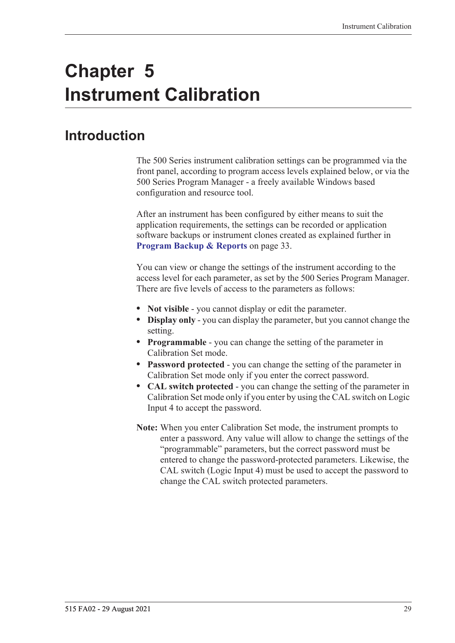# **Chapter 5 Instrument Calibration**

# **Introduction**

The 500 Series instrument calibration settings can be programmed via the front panel, according to program access levels explained below, or via the 500 Series Program Manager - a freely available Windows based configuration and resource tool.

After an instrument has been configured by either means to suit the application requirements, the settings can be recorded or application software backups or instrument clones created as explained further in **[Program Backup & Reports](#page-42-0)** on page 33.

You can view or change the settings of the instrument according to the access level for each parameter, as set by the 500 Series Program Manager. There are five levels of access to the parameters as follows:

- **• Not visible** you cannot display or edit the parameter.
- **• Display only** you can display the parameter, but you cannot change the setting.
- **• Programmable** you can change the setting of the parameter in Calibration Set mode.
- **• Password protected** you can change the setting of the parameter in Calibration Set mode only if you enter the correct password.
- **• CAL switch protected**  you can change the setting of the parameter in Calibration Set mode only if you enter by using the CAL switch on Logic Input 4 to accept the password.
- **Note:** When you enter Calibration Set mode, the instrument prompts to enter a password. Any value will allow to change the settings of the "programmable" parameters, but the correct password must be entered to change the password-protected parameters. Likewise, the CAL switch (Logic Input 4) must be used to accept the password to change the CAL switch protected parameters.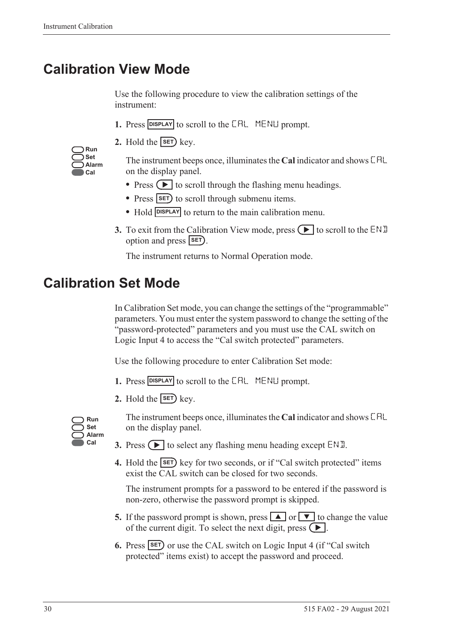# **Calibration View Mode**

Use the following procedure to view the calibration settings of the instrument:

- 1. Press **DISPLAY** to scroll to the **CAL** MENLI prompt.
- **2.** Hold the  $\overline{\text{SET}}$  key.

| Run   |
|-------|
| Set   |
| Alarm |
| Cal   |

The instrument beeps once, illuminates the **Cal** indicator and shows CAL on the display panel.

- Press  $\left( \blacktriangleright \right)$  to scroll through the flashing menu headings.
- Press **SET** to scroll through submenu items.
- Hold **DISPLAY** to return to the main calibration menu.
- **3.** To exit from the Calibration View mode, press  $\Box$  to scroll to the END option and press **SET**).

The instrument returns to Normal Operation mode.

# **Calibration Set Mode**

In Calibration Set mode, you can change the settings of the "programmable" parameters. You must enter the system password to change the setting of the "password-protected" parameters and you must use the CAL switch on Logic Input 4 to access the "Cal switch protected" parameters.

Use the following procedure to enter Calibration Set mode:

- **1.** Press **DISPLAY** to scroll to the **CAL** MENLI prompt.
- **2.** Hold the  $\overline{\text{SET}}$  key.



The instrument beeps once, illuminates the **Cal** indicator and shows CAL on the display panel.

- **3.** Press  $\left( \blacktriangleright \right)$  to select any flashing menu heading except END.
- **4.** Hold the **SET** key for two seconds, or if "Cal switch protected" items exist the CAL switch can be closed for two seconds.

The instrument prompts for a password to be entered if the password is non-zero, otherwise the password prompt is skipped.

- **5.** If the password prompt is shown, press  $\boxed{\blacktriangle}$  or  $\boxed{\blacktriangledown}$  to change the value of the current digit. To select the next digit, press  $\left( \blacktriangleright \right)$ .
- **6.** Press **SET** or use the CAL switch on Logic Input 4 (if "Cal switch protected" items exist) to accept the password and proceed.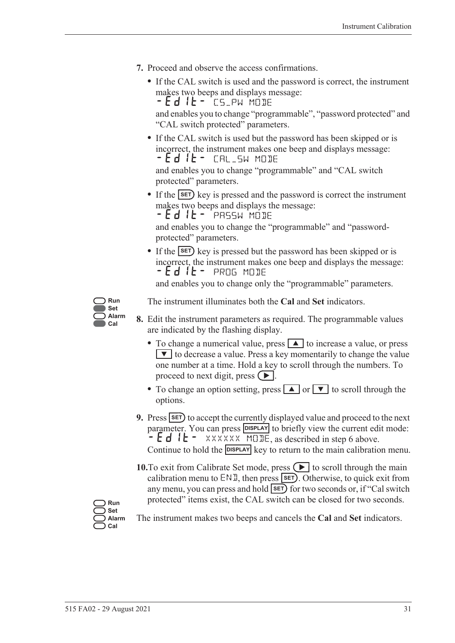- **7.** Proceed and observe the access confirmations.
	- **•** If the CAL switch is used and the password is correct, the instrument makes two beeps and displays message: - Ed IL - CS\_PW MODE

and enables you to change "programmable", "password protected" and "CAL switch protected" parameters.

**•** If the CAL switch is used but the password has been skipped or is incorrect, the instrument makes one beep and displays message: -EDIT- CAL\_SW MODE

and enables you to change "programmable" and "CAL switch protected" parameters.

• If the **SET**) key is pressed and the password is correct the instrument makes two beeps and displays the message:

 $-Ed$  it - PASSW MODE

and enables you to change the "programmable" and "passwordprotected" parameters.

• If the **SET**) key is pressed but the password has been skipped or is incorrect, the instrument makes one beep and displays the message: -EDIT- PROG MODE

and enables you to change only the "programmable" parameters.



The instrument illuminates both the **Cal** and **Set** indicators.

- **8.** Edit the instrument parameters as required. The programmable values are indicated by the flashing display.
	- To change a numerical value, press **A** to increase a value, or press  $\blacktriangledown$  to decrease a value. Press a key momentarily to change the value one number at a time. Hold a key to scroll through the numbers. To proceed to next digit, press  $( \blacktriangleright ).$
	- To change an option setting, press **A** or **V** to scroll through the options.
- **9.** Press **SET** to accept the currently displayed value and proceed to the next parameter. You can press **DISPLAY** to briefly view the current edit mode:  $-Ed$   $E - \frac{2}{x}$  XXXXXX MODE, as described in step 6 above. Continue to hold the **DISPLAY** key to return to the main calibration menu.
- **10.**To exit from Calibrate Set mode, press  $\left( \blacktriangleright \right)$  to scroll through the main calibration menu to  $ENI$ , then press  $SET$ . Otherwise, to quick exit from any menu, you can press and hold **SET** for two seconds or, if "Cal switch protected" items exist, the CAL switch can be closed for two seconds.

**Run Set Alarm Cal**

The instrument makes two beeps and cancels the **Cal** and **Set** indicators.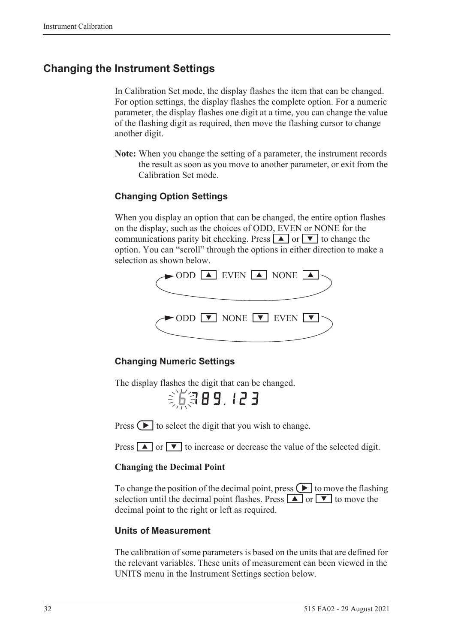### **Changing the Instrument Settings**

In Calibration Set mode, the display flashes the item that can be changed. For option settings, the display flashes the complete option. For a numeric parameter, the display flashes one digit at a time, you can change the value of the flashing digit as required, then move the flashing cursor to change another digit.

**Note:** When you change the setting of a parameter, the instrument records the result as soon as you move to another parameter, or exit from the Calibration Set mode.

#### **Changing Option Settings**

When you display an option that can be changed, the entire option flashes on the display, such as the choices of ODD, EVEN or NONE for the communications parity bit checking. Press  $\boxed{\blacktriangle}$  or  $\boxed{\blacktriangledown}$  to change the option. You can "scroll" through the options in either direction to make a selection as shown below.



#### **Changing Numeric Settings**

The display flashes the digit that can be changed.

6789.123

Press  $\left( \blacktriangleright \right)$  to select the digit that you wish to change.

Press  $\boxed{\blacktriangle}$  or  $\boxed{\blacktriangledown}$  to increase or decrease the value of the selected digit.

#### **Changing the Decimal Point**

To change the position of the decimal point, press  $\Box$  to move the flashing selection until the decimal point flashes. Press  $\boxed{\blacktriangle}$  or  $\boxed{\blacktriangledown}$  to move the decimal point to the right or left as required.

#### **Units of Measurement**

The calibration of some parameters is based on the units that are defined for the relevant variables. These units of measurement can been viewed in the UNITS menu in the Instrument Settings section below.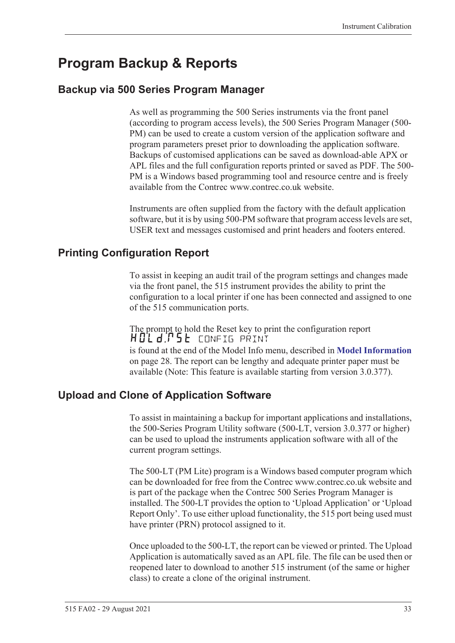# <span id="page-42-0"></span>**Program Backup & Reports**

### **Backup via 500 Series Program Manager**

As well as programming the 500 Series instruments via the front panel (according to program access levels), the 500 Series Program Manager (500- PM) can be used to create a custom version of the application software and program parameters preset prior to downloading the application software. Backups of customised applications can be saved as download-able APX or APL files and the full configuration reports printed or saved as PDF. The 500- PM is a Windows based programming tool and resource centre and is freely available from the Contrec www.contrec.co.uk website.

Instruments are often supplied from the factory with the default application software, but it is by using 500-PM software that program access levels are set, USER text and messages customised and print headers and footers entered.

### **Printing Configuration Report**

To assist in keeping an audit trail of the program settings and changes made via the front panel, the 515 instrument provides the ability to print the configuration to a local printer if one has been connected and assigned to one of the 515 communication ports.

The prompt to hold the Reset key to print the configuration report HOLd:P5E config print is found at the end of the Model Info menu, described in **[Model Information](#page-37-0)** [on page 28](#page-37-0). The report can be lengthy and adequate printer paper must be available (Note: This feature is available starting from version 3.0.377).

### **Upload and Clone of Application Software**

To assist in maintaining a backup for important applications and installations, the 500-Series Program Utility software (500-LT, version 3.0.377 or higher) can be used to upload the instruments application software with all of the current program settings.

The 500-LT (PM Lite) program is a Windows based computer program which can be downloaded for free from the Contrec www.contrec.co.uk website and is part of the package when the Contrec 500 Series Program Manager is installed. The 500-LT provides the option to 'Upload Application' or 'Upload Report Only'. To use either upload functionality, the 515 port being used must have printer (PRN) protocol assigned to it.

Once uploaded to the 500-LT, the report can be viewed or printed. The Upload Application is automatically saved as an APL file. The file can be used then or reopened later to download to another 515 instrument (of the same or higher class) to create a clone of the original instrument.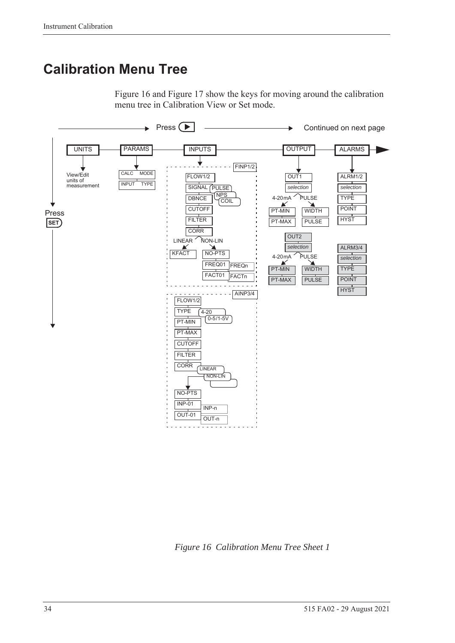# **Calibration Menu Tree**

[Figure 16](#page-43-0) and [Figure 17](#page-44-0) show the keys for moving around the calibration menu tree in Calibration View or Set mode.



<span id="page-43-0"></span>*Figure 16 Calibration Menu Tree Sheet 1*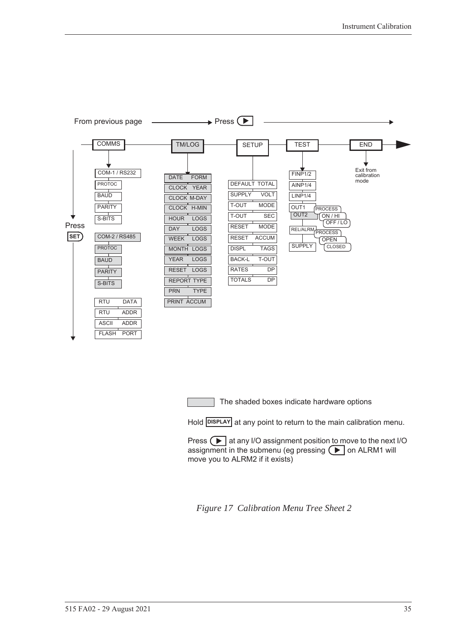

The shaded boxes indicate hardware options

Hold **DISPLAY** at any point to return to the main calibration menu.

Press  $\Box$  at any I/O assignment position to move to the next I/O assignment in the submenu (eg pressing  $\left( \blacktriangleright \right)$  on ALRM1 will move you to ALRM2 if it exists)

<span id="page-44-0"></span>*Figure 17 Calibration Menu Tree Sheet 2*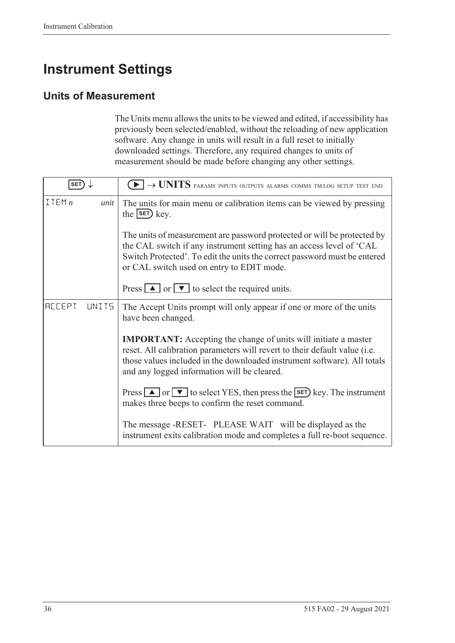# **Instrument Settings**

### **Units of Measurement**

The Units menu allows the units to be viewed and edited, if accessibility has previously been selected/enabled, without the reloading of new application software. Any change in units will result in a full reset to initially downloaded settings. Therefore, any required changes to units of measurement should be made before changing any other settings.

| <b>SET</b>              | $\blacktriangleright$ $\rightarrow$ UNITS params inputs outputs alarms comms tm/log setup test end                                                                                                                                                                              |
|-------------------------|---------------------------------------------------------------------------------------------------------------------------------------------------------------------------------------------------------------------------------------------------------------------------------|
| ITEMn<br>unit           | The units for main menu or calibration items can be viewed by pressing<br>the $s$ $F$ $k$ ey.                                                                                                                                                                                   |
|                         | The units of measurement are password protected or will be protected by<br>the CAL switch if any instrument setting has an access level of 'CAL<br>Switch Protected'. To edit the units the correct password must be entered<br>or CAL switch used on entry to EDIT mode.       |
|                         | Press $\boxed{\blacktriangle}$ or $\boxed{\blacktriangledown}$ to select the required units.                                                                                                                                                                                    |
| <b>ACCEPT</b><br>LINIT5 | The Accept Units prompt will only appear if one or more of the units<br>have been changed.                                                                                                                                                                                      |
|                         | <b>IMPORTANT:</b> Accepting the change of units will initiate a master<br>reset. All calibration parameters will revert to their default value (i.e.<br>those values included in the downloaded instrument software). All totals<br>and any logged information will be cleared. |
|                         | Press $\Box$ or $\nabla$ to select YES, then press the <b>SET</b> ) key. The instrument<br>makes three beeps to confirm the reset command.                                                                                                                                      |
|                         | The message -RESET- PLEASE WAIT will be displayed as the<br>instrument exits calibration mode and completes a full re-boot sequence.                                                                                                                                            |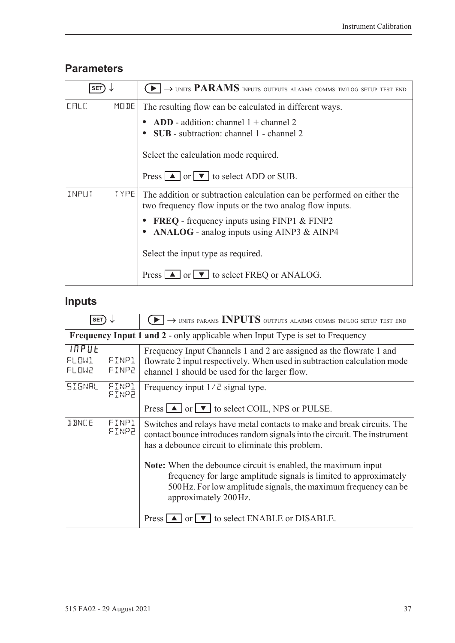### **Parameters**

| <b>SET</b> |             | $\blacktriangleright$ $\rightarrow$ units PARAMS inputs outputs alarms comms tm/log setup test end                                 |
|------------|-------------|------------------------------------------------------------------------------------------------------------------------------------|
| LALL       | MODE        | The resulting flow can be calculated in different ways.                                                                            |
|            |             | ADD - addition: channel $1 +$ channel 2<br><b>SUB</b> - subtraction: channel 1 - channel 2                                         |
|            |             | Select the calculation mode required.                                                                                              |
|            |             | Press $\boxed{\blacktriangle}$ or $\boxed{\blacktriangledown}$ to select ADD or SUB.                                               |
| INPUT      | <b>TYPE</b> | The addition or subtraction calculation can be performed on either the<br>two frequency flow inputs or the two analog flow inputs. |
|            |             | <b>FREQ</b> - frequency inputs using FINP1 & FINP2<br>• ANALOG - analog inputs using AINP3 & AINP4                                 |
|            |             | Select the input type as required.                                                                                                 |
|            |             | Press $\boxed{\blacktriangle}$ or $\boxed{\blacktriangledown}$ to select FREQ or ANALOG.                                           |

# **Inputs**

| SET <sup>'</sup>        |                | $\rightarrow$ UNITS PARAMS INPUTS OUTPUTS ALARMS COMMS TM/LOG SETUP TEST END                                                                                                                                                  |
|-------------------------|----------------|-------------------------------------------------------------------------------------------------------------------------------------------------------------------------------------------------------------------------------|
|                         |                | <b>Frequency Input 1 and 2 - only applicable when Input Type is set to Frequency</b>                                                                                                                                          |
| INPUE<br>FLOWl<br>FLOW2 | FINP1<br>FINP2 | Frequency Input Channels 1 and 2 are assigned as the flowrate 1 and<br>flowrate 2 input respectively. When used in subtraction calculation mode<br>channel 1 should be used for the larger flow.                              |
| SIGNAL                  | FINPl<br>FINP2 | Frequency input $1/\bar{c}$ signal type.<br>Press $\Box$ or $\nabla$ to select COIL, NPS or PULSE.                                                                                                                            |
| <b>JANCE</b>            | FINP1<br>FINP2 | Switches and relays have metal contacts to make and break circuits. The<br>contact bounce introduces random signals into the circuit. The instrument<br>has a debounce circuit to eliminate this problem.                     |
|                         |                | Note: When the debounce circuit is enabled, the maximum input<br>frequency for large amplitude signals is limited to approximately<br>500 Hz. For low amplitude signals, the maximum frequency can be<br>approximately 200Hz. |
|                         |                | Press $\Box$ or $\nabla$ to select ENABLE or DISABLE.                                                                                                                                                                         |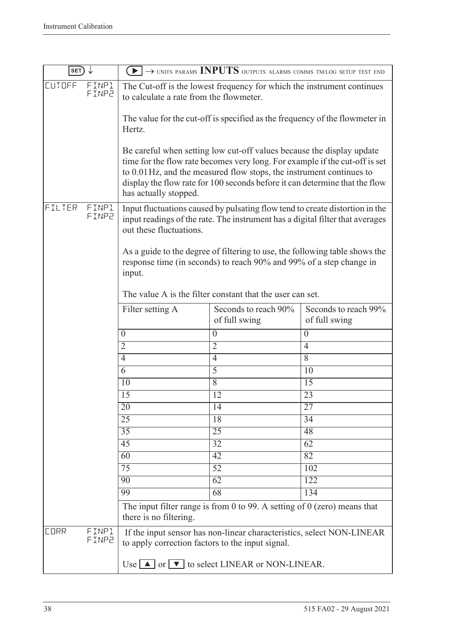| SET)          |                |                                                                                                                   | $\blacktriangleright$ $\rightarrow$ units params INPUTS outputs alarms comms tm/log setup test end                                                                                                                                                                                                          |                                       |
|---------------|----------------|-------------------------------------------------------------------------------------------------------------------|-------------------------------------------------------------------------------------------------------------------------------------------------------------------------------------------------------------------------------------------------------------------------------------------------------------|---------------------------------------|
| <b>CUTOFF</b> | FINP1<br>FINP2 | The Cut-off is the lowest frequency for which the instrument continues<br>to calculate a rate from the flowmeter. |                                                                                                                                                                                                                                                                                                             |                                       |
|               |                | Hertz.                                                                                                            | The value for the cut-off is specified as the frequency of the flowmeter in                                                                                                                                                                                                                                 |                                       |
|               |                | has actually stopped.                                                                                             | Be careful when setting low cut-off values because the display update<br>time for the flow rate becomes very long. For example if the cut-off is set<br>to 0.01 Hz, and the measured flow stops, the instrument continues to<br>display the flow rate for 100 seconds before it can determine that the flow |                                       |
| FILTER        | FINP1<br>FINP2 | out these fluctuations.                                                                                           | Input fluctuations caused by pulsating flow tend to create distortion in the<br>input readings of the rate. The instrument has a digital filter that averages                                                                                                                                               |                                       |
|               |                | input.                                                                                                            | As a guide to the degree of filtering to use, the following table shows the<br>response time (in seconds) to reach 90% and 99% of a step change in<br>The value A is the filter constant that the user can set.                                                                                             |                                       |
|               |                | Filter setting A                                                                                                  | Seconds to reach 90%<br>of full swing                                                                                                                                                                                                                                                                       | Seconds to reach 99%<br>of full swing |
|               |                | $\boldsymbol{0}$                                                                                                  | $\overline{0}$                                                                                                                                                                                                                                                                                              | $\boldsymbol{0}$                      |
|               |                | $\overline{2}$                                                                                                    | $\overline{2}$                                                                                                                                                                                                                                                                                              | $\overline{4}$                        |
|               |                | $\overline{4}$                                                                                                    | $\overline{4}$                                                                                                                                                                                                                                                                                              | 8                                     |
|               |                | 6                                                                                                                 | $\overline{5}$                                                                                                                                                                                                                                                                                              | 10                                    |
|               |                | 10                                                                                                                | $\overline{8}$                                                                                                                                                                                                                                                                                              | $\overline{15}$                       |
|               |                | 15                                                                                                                | 12                                                                                                                                                                                                                                                                                                          | 23                                    |
|               |                | 20                                                                                                                | 14                                                                                                                                                                                                                                                                                                          | 27                                    |
|               |                | $\overline{25}$                                                                                                   | $\overline{18}$                                                                                                                                                                                                                                                                                             | 34                                    |
|               |                | 35                                                                                                                | $\overline{25}$                                                                                                                                                                                                                                                                                             | 48                                    |
|               |                | 45                                                                                                                | 32                                                                                                                                                                                                                                                                                                          | 62                                    |
|               |                | 60                                                                                                                | $\overline{42}$                                                                                                                                                                                                                                                                                             | 82                                    |
|               |                | 75                                                                                                                | $\overline{52}$                                                                                                                                                                                                                                                                                             | 102                                   |
|               |                | 90                                                                                                                | 62                                                                                                                                                                                                                                                                                                          | 122                                   |
|               |                | 99                                                                                                                | $\overline{68}$                                                                                                                                                                                                                                                                                             | 134                                   |
|               |                | there is no filtering.                                                                                            | The input filter range is from 0 to 99. A setting of $0$ (zero) means that                                                                                                                                                                                                                                  |                                       |
| <b>CORR</b>   | FINP1<br>FINP2 | to apply correction factors to the input signal.                                                                  | If the input sensor has non-linear characteristics, select NON-LINEAR                                                                                                                                                                                                                                       |                                       |
|               |                |                                                                                                                   | Use $\Box$ or $\Box$ to select LINEAR or NON-LINEAR.                                                                                                                                                                                                                                                        |                                       |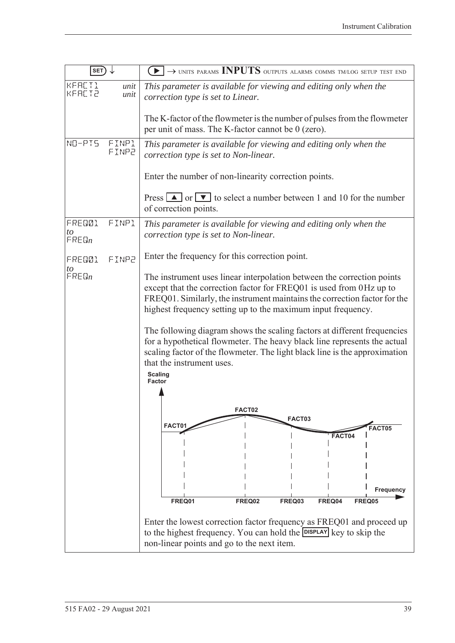| $SET) \downarrow$           |                | $\rightarrow$ UNITS PARAMS INPUTS OUTPUTS ALARMS COMMS TM/LOG SETUP TEST END<br>$\rightarrow$ $\rightarrow$ $\rightarrow$                                                                                                                                                                          |  |
|-----------------------------|----------------|----------------------------------------------------------------------------------------------------------------------------------------------------------------------------------------------------------------------------------------------------------------------------------------------------|--|
| KFACT1<br><b>KFACT2</b>     | unit<br>unit   | This parameter is available for viewing and editing only when the<br>correction type is set to Linear.                                                                                                                                                                                             |  |
|                             |                | The K-factor of the flowmeter is the number of pulses from the flowmeter<br>per unit of mass. The K-factor cannot be 0 (zero).                                                                                                                                                                     |  |
| NO-PIS                      | FINP1<br>FINP2 | This parameter is available for viewing and editing only when the<br>correction type is set to Non-linear.                                                                                                                                                                                         |  |
|                             |                | Enter the number of non-linearity correction points.                                                                                                                                                                                                                                               |  |
|                             |                | Press $\boxed{\blacktriangle}$ or $\boxed{\blacktriangledown}$ to select a number between 1 and 10 for the number<br>of correction points.                                                                                                                                                         |  |
| FRED01<br>to<br>$F$ REQ $n$ | FINP1          | This parameter is available for viewing and editing only when the<br>correction type is set to Non-linear.                                                                                                                                                                                         |  |
| FRED01<br>to                | FINP2          | Enter the frequency for this correction point.                                                                                                                                                                                                                                                     |  |
| $F$ RE $\mathbb{G}_n$       |                | The instrument uses linear interpolation between the correction points<br>except that the correction factor for FREQ01 is used from 0Hz up to<br>FREQ01. Similarly, the instrument maintains the correction factor for the<br>highest frequency setting up to the maximum input frequency.         |  |
|                             |                | The following diagram shows the scaling factors at different frequencies<br>for a hypothetical flowmeter. The heavy black line represents the actual<br>scaling factor of the flowmeter. The light black line is the approximation<br>that the instrument uses.<br><b>Scaling</b><br><b>Factor</b> |  |
|                             |                |                                                                                                                                                                                                                                                                                                    |  |
|                             |                | FACT02<br>FACT03                                                                                                                                                                                                                                                                                   |  |
|                             |                | FACT01<br>FACT05<br>FACT04                                                                                                                                                                                                                                                                         |  |
|                             |                |                                                                                                                                                                                                                                                                                                    |  |
|                             |                |                                                                                                                                                                                                                                                                                                    |  |
|                             |                | Frequency                                                                                                                                                                                                                                                                                          |  |
|                             |                | FREQ01<br>FREQ02<br>FREQ03<br>FREQ04<br>FREQ05                                                                                                                                                                                                                                                     |  |
|                             |                | Enter the lowest correction factor frequency as FREQ01 and proceed up<br>to the highest frequency. You can hold the DISPLAY key to skip the<br>non-linear points and go to the next item.                                                                                                          |  |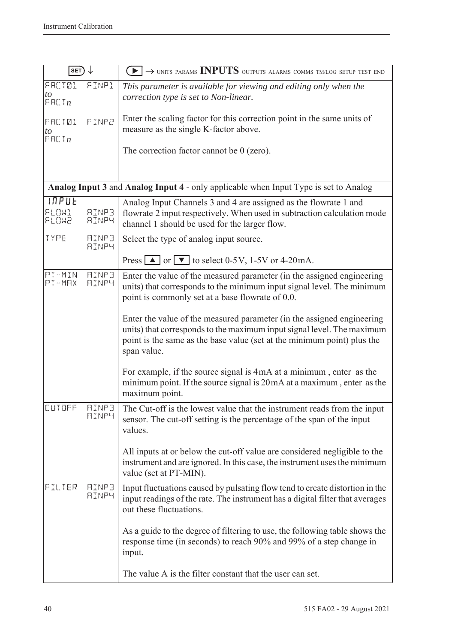| <b>SET</b>                       |                              | $\blacktriangleright$ $\rightarrow$ units params INPUTS outputs alarms comms tm/log setup test end                                                                                                                                         |
|----------------------------------|------------------------------|--------------------------------------------------------------------------------------------------------------------------------------------------------------------------------------------------------------------------------------------|
| <b>FRETØ1</b><br>to<br>F H C T n | FINP1                        | This parameter is available for viewing and editing only when the<br>correction type is set to Non-linear.                                                                                                                                 |
| FACT01<br>to<br>F H L T n        | FINP2                        | Enter the scaling factor for this correction point in the same units of<br>measure as the single K-factor above.                                                                                                                           |
|                                  |                              | The correction factor cannot be $0$ (zero).                                                                                                                                                                                                |
|                                  |                              | Analog Input 3 and Analog Input 4 - only applicable when Input Type is set to Analog                                                                                                                                                       |
| INPUE<br>FLOW1<br><b>FLOW2</b>   | <b>AINP3</b><br><b>AINP4</b> | Analog Input Channels 3 and 4 are assigned as the flowrate 1 and<br>flowrate 2 input respectively. When used in subtraction calculation mode<br>channel 1 should be used for the larger flow.                                              |
| TYPE                             | <b>RINP3</b><br><b>AINP4</b> | Select the type of analog input source.                                                                                                                                                                                                    |
|                                  |                              | Press $\Box$ or $\Box$ to select 0-5V, 1-5V or 4-20mA.                                                                                                                                                                                     |
| PT-MIN<br>PT-MAX                 | <b>AINP3</b><br><b>AINP4</b> | Enter the value of the measured parameter (in the assigned engineering<br>units) that corresponds to the minimum input signal level. The minimum<br>point is commonly set at a base flowrate of 0.0.                                       |
|                                  |                              | Enter the value of the measured parameter (in the assigned engineering<br>units) that corresponds to the maximum input signal level. The maximum<br>point is the same as the base value (set at the minimum point) plus the<br>span value. |
|                                  |                              | For example, if the source signal is 4mA at a minimum, enter as the<br>minimum point. If the source signal is 20mA at a maximum, enter as the<br>maximum point.                                                                            |
| <b>CUTOFF</b>                    | <b>AINP3</b><br><b>AINP4</b> | The Cut-off is the lowest value that the instrument reads from the input<br>sensor. The cut-off setting is the percentage of the span of the input<br>values.                                                                              |
|                                  |                              | All inputs at or below the cut-off value are considered negligible to the<br>instrument and are ignored. In this case, the instrument uses the minimum<br>value (set at PT-MIN).                                                           |
| FILTER                           | <b>AINP3</b><br><b>AINP4</b> | Input fluctuations caused by pulsating flow tend to create distortion in the<br>input readings of the rate. The instrument has a digital filter that averages<br>out these fluctuations.                                                   |
|                                  |                              | As a guide to the degree of filtering to use, the following table shows the<br>response time (in seconds) to reach 90% and 99% of a step change in<br>input.                                                                               |
|                                  |                              | The value A is the filter constant that the user can set.                                                                                                                                                                                  |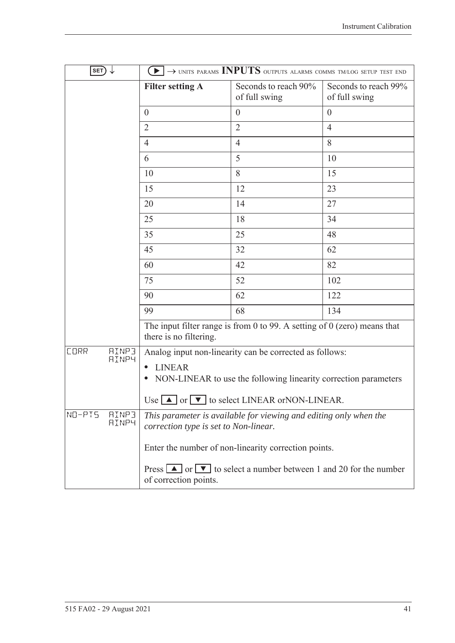| $\ket{\mathsf{SET}} \downarrow$             |                                       | $\blacktriangleright$ $\rightarrow$ units params INPUTS outputs alarms comms tm/log setup test end                |                                       |
|---------------------------------------------|---------------------------------------|-------------------------------------------------------------------------------------------------------------------|---------------------------------------|
|                                             | <b>Filter setting A</b>               | Seconds to reach 90%<br>of full swing                                                                             | Seconds to reach 99%<br>of full swing |
|                                             | $\overline{0}$                        | $\theta$                                                                                                          | $\theta$                              |
|                                             | $\overline{2}$                        | $\overline{2}$                                                                                                    | $\overline{4}$                        |
|                                             | 4                                     | $\overline{4}$                                                                                                    | 8                                     |
|                                             | 6                                     | 5                                                                                                                 | 10                                    |
|                                             | 10                                    | 8                                                                                                                 | 15                                    |
|                                             | 15                                    | 12                                                                                                                | 23                                    |
|                                             | 20                                    | 14                                                                                                                | 27                                    |
|                                             | 25                                    | 18                                                                                                                | 34                                    |
|                                             | 35                                    | 25                                                                                                                | 48                                    |
|                                             | 45                                    | 32                                                                                                                | 62                                    |
|                                             | 60                                    | 42                                                                                                                | 82                                    |
|                                             | 75                                    | 52                                                                                                                | 102                                   |
|                                             | 90                                    | 62                                                                                                                | 122                                   |
|                                             | 99                                    | 68                                                                                                                | 134                                   |
|                                             | there is no filtering.                | The input filter range is from 0 to 99. A setting of $0$ (zero) means that                                        |                                       |
| <b>AINP3</b><br><b>CORR</b><br><b>AINP4</b> |                                       | Analog input non-linearity can be corrected as follows:                                                           |                                       |
|                                             | <b>LINEAR</b>                         |                                                                                                                   |                                       |
|                                             |                                       | NON-LINEAR to use the following linearity correction parameters                                                   |                                       |
|                                             |                                       | Use $\Box$ or $\nabla$ to select LINEAR or NON-LINEAR.                                                            |                                       |
| NO-PIS<br><b>AINP3</b><br><b>AINP4</b>      | correction type is set to Non-linear. | This parameter is available for viewing and editing only when the                                                 |                                       |
|                                             |                                       | Enter the number of non-linearity correction points.                                                              |                                       |
|                                             | of correction points.                 | Press $\boxed{\blacktriangle}$ or $\boxed{\blacktriangledown}$ to select a number between 1 and 20 for the number |                                       |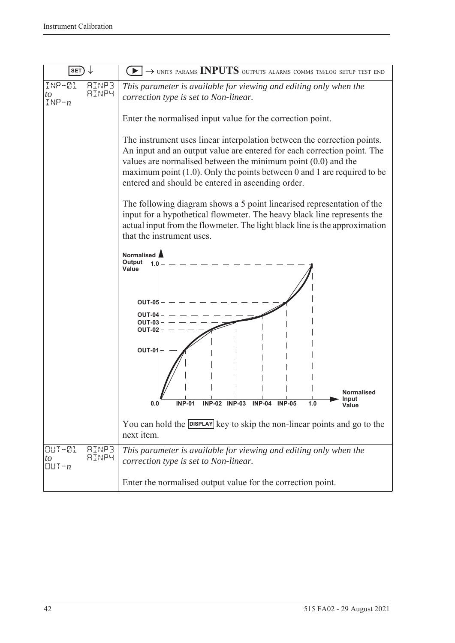| <b>SET</b>                                                    | $\rightarrow$ units params INPUTS outputs alarms comms tm/log setup test end                                                                                                                                                                                                                                                                             |  |  |
|---------------------------------------------------------------|----------------------------------------------------------------------------------------------------------------------------------------------------------------------------------------------------------------------------------------------------------------------------------------------------------------------------------------------------------|--|--|
| INP-01<br><b>AINP3</b><br>AINP4<br>to<br>$INP - n$            | This parameter is available for viewing and editing only when the<br>correction type is set to Non-linear.                                                                                                                                                                                                                                               |  |  |
|                                                               | Enter the normalised input value for the correction point.                                                                                                                                                                                                                                                                                               |  |  |
|                                                               | The instrument uses linear interpolation between the correction points.<br>An input and an output value are entered for each correction point. The<br>values are normalised between the minimum point $(0.0)$ and the<br>maximum point $(1.0)$ . Only the points between 0 and 1 are required to be<br>entered and should be entered in ascending order. |  |  |
|                                                               | The following diagram shows a 5 point linearised representation of the<br>input for a hypothetical flowmeter. The heavy black line represents the<br>actual input from the flowmeter. The light black line is the approximation<br>that the instrument uses.                                                                                             |  |  |
|                                                               | Normalised<br>Output<br>1.0<br>Value                                                                                                                                                                                                                                                                                                                     |  |  |
|                                                               | <b>OUT-05</b><br>OUT-04<br><b>OUT-03</b><br><b>OUT-02</b>                                                                                                                                                                                                                                                                                                |  |  |
|                                                               | <b>OUT-01</b>                                                                                                                                                                                                                                                                                                                                            |  |  |
|                                                               | <b>Normalised</b><br>Input<br><b>INP-01</b><br><b>INP-02 INP-03</b><br>$INP-04$<br><b>INP-05</b><br>1.0<br>0.0                                                                                                                                                                                                                                           |  |  |
|                                                               | You can hold the DISPLAY key to skip the non-linear points and go to the<br>next item.                                                                                                                                                                                                                                                                   |  |  |
| $UUT - QL$<br><b>AINP3</b><br><b>AINP4</b><br>to<br>$QUT - n$ | This parameter is available for viewing and editing only when the<br>correction type is set to Non-linear.                                                                                                                                                                                                                                               |  |  |
|                                                               | Enter the normalised output value for the correction point.                                                                                                                                                                                                                                                                                              |  |  |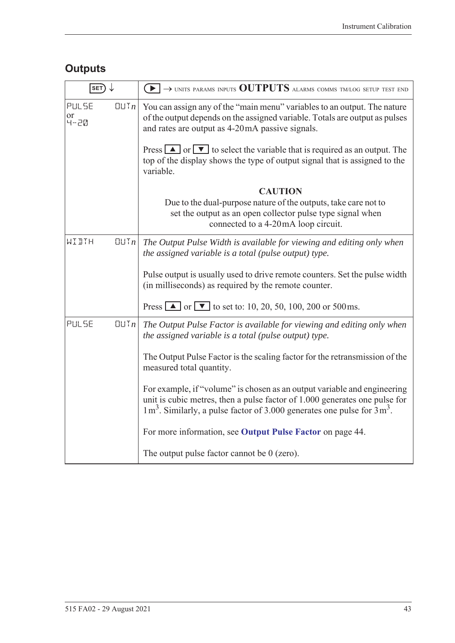# **Outputs**

| $\overline{\ket{\texttt{SET}}} \downarrow$ |                | $\left(\blacktriangleright\right)\rightarrow$ units params inputs $\text{OUTPUTS}$ alarms comms tm/log setup test end                                                                                                                  |  |
|--------------------------------------------|----------------|----------------------------------------------------------------------------------------------------------------------------------------------------------------------------------------------------------------------------------------|--|
| PULSE<br>or<br>4-20                        | [[]] In        | You can assign any of the "main menu" variables to an output. The nature<br>of the output depends on the assigned variable. Totals are output as pulses<br>and rates are output as 4-20mA passive signals.                             |  |
|                                            |                | Press $\Delta$ or $\nabla$ to select the variable that is required as an output. The<br>top of the display shows the type of output signal that is assigned to the<br>variable.                                                        |  |
|                                            |                | <b>CAUTION</b>                                                                                                                                                                                                                         |  |
|                                            |                | Due to the dual-purpose nature of the outputs, take care not to<br>set the output as an open collector pulse type signal when<br>connected to a 4-20mA loop circuit.                                                                   |  |
| WIDTH                                      | $\Box \Box Tn$ | The Output Pulse Width is available for viewing and editing only when<br>the assigned variable is a total (pulse output) type.                                                                                                         |  |
|                                            |                | Pulse output is usually used to drive remote counters. Set the pulse width<br>(in milliseconds) as required by the remote counter.                                                                                                     |  |
|                                            |                | Press $\blacksquare$ or $\blacksquare$ to set to: 10, 20, 50, 100, 200 or 500 ms.                                                                                                                                                      |  |
| PULSE                                      | QUTn           | The Output Pulse Factor is available for viewing and editing only when<br>the assigned variable is a total (pulse output) type.                                                                                                        |  |
|                                            |                | The Output Pulse Factor is the scaling factor for the retransmission of the<br>measured total quantity.                                                                                                                                |  |
|                                            |                | For example, if "volume" is chosen as an output variable and engineering<br>unit is cubic metres, then a pulse factor of 1.000 generates one pulse for<br>$1 m3$ . Similarly, a pulse factor of 3.000 generates one pulse for $3 m3$ . |  |
|                                            |                | For more information, see Output Pulse Factor on page 44.                                                                                                                                                                              |  |
|                                            |                | The output pulse factor cannot be $0$ (zero).                                                                                                                                                                                          |  |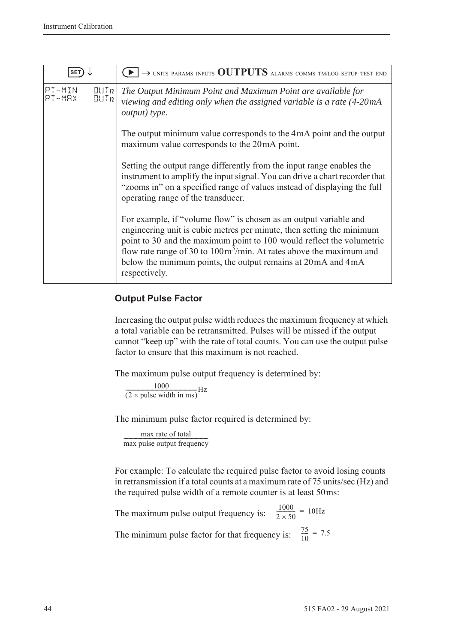| <b>SET</b>       |                                   | $\rightarrow$ units params inputs OUTPUTS alarms comms tm/log setup test end                                                                                                                                                                                                                                                                                                                    |
|------------------|-----------------------------------|-------------------------------------------------------------------------------------------------------------------------------------------------------------------------------------------------------------------------------------------------------------------------------------------------------------------------------------------------------------------------------------------------|
| PT-MIN<br>PT-MAX | $[[] \cup [n]$<br>$[[] \cup T_n]$ | The Output Minimum Point and Maximum Point are available for<br>viewing and editing only when the assigned variable is a rate (4-20mA<br>output) type.                                                                                                                                                                                                                                          |
|                  |                                   | The output minimum value corresponds to the 4mA point and the output<br>maximum value corresponds to the 20mA point.                                                                                                                                                                                                                                                                            |
|                  |                                   | Setting the output range differently from the input range enables the<br>instrument to amplify the input signal. You can drive a chart recorder that<br>"zooms in" on a specified range of values instead of displaying the full<br>operating range of the transducer.                                                                                                                          |
|                  |                                   | For example, if "volume flow" is chosen as an output variable and<br>engineering unit is cubic metres per minute, then setting the minimum<br>point to 30 and the maximum point to 100 would reflect the volumetric<br>flow rate range of 30 to $100 \text{m}^3/\text{min}$ . At rates above the maximum and<br>below the minimum points, the output remains at 20 mA and 4 mA<br>respectively. |

#### <span id="page-53-0"></span>**Output Pulse Factor**

Increasing the output pulse width reduces the maximum frequency at which a total variable can be retransmitted. Pulses will be missed if the output cannot "keep up" with the rate of total counts. You can use the output pulse factor to ensure that this maximum is not reached.

The maximum pulse output frequency is determined by:

 $\frac{1000}{(2 \times \text{pulse width in ms})} \text{Hz}$ 

The minimum pulse factor required is determined by:

max rate of total max rate of total<br>max pulse output frequency

For example: To calculate the required pulse factor to avoid losing counts in retransmission if a total counts at a maximum rate of 75 units/sec (Hz) and the required pulse width of a remote counter is at least 50ms:

The maximum pulse output frequency is:  $\frac{1000}{2 \times 50}$  = 10Hz The minimum pulse factor for that frequency is:  $\frac{75}{10}$  $\frac{75}{10}$  = 7.5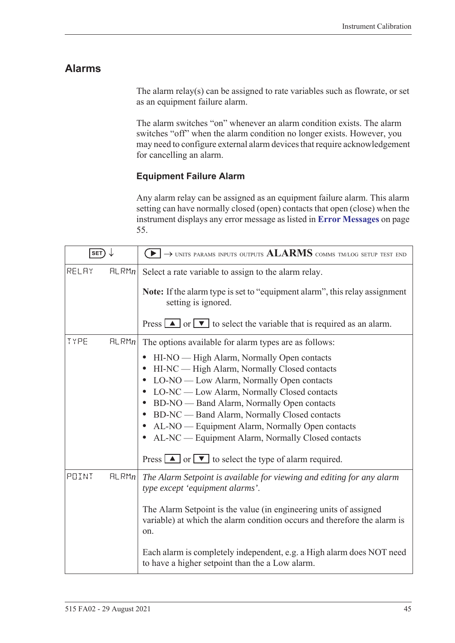### **Alarms**

The alarm relay(s) can be assigned to rate variables such as flowrate, or set as an equipment failure alarm.

The alarm switches "on" whenever an alarm condition exists. The alarm switches "off" when the alarm condition no longer exists. However, you may need to configure external alarm devices that require acknowledgement for cancelling an alarm.

#### **Equipment Failure Alarm**

Any alarm relay can be assigned as an equipment failure alarm. This alarm setting can have normally closed (open) contacts that open (close) when the instrument displays any error message as listed in **[Error Messages](#page-64-0)** on page [55.](#page-64-0)

| SET)  |       | $\rightarrow$ units params inputs outputs $ALARMS$ comms tm/log setup test end                                                                       |
|-------|-------|------------------------------------------------------------------------------------------------------------------------------------------------------|
| RELAY | HLRMn | Select a rate variable to assign to the alarm relay.                                                                                                 |
|       |       | Note: If the alarm type is set to "equipment alarm", this relay assignment<br>setting is ignored.                                                    |
|       |       | Press $\boxed{\blacktriangle}$ or $\boxed{\blacktriangledown}$ to select the variable that is required as an alarm.                                  |
| TYPE  | HLRMn | The options available for alarm types are as follows:                                                                                                |
|       |       | HI-NO — High Alarm, Normally Open contacts<br>$\bullet$                                                                                              |
|       |       | HI-NC — High Alarm, Normally Closed contacts                                                                                                         |
|       |       | LO-NO — Low Alarm, Normally Open contacts<br>$\bullet$                                                                                               |
|       |       | LO-NC — Low Alarm, Normally Closed contacts<br>$\bullet$                                                                                             |
|       |       | BD-NO — Band Alarm, Normally Open contacts<br>$\bullet$                                                                                              |
|       |       | BD-NC — Band Alarm, Normally Closed contacts<br>$\bullet$                                                                                            |
|       |       | AL-NO — Equipment Alarm, Normally Open contacts<br>$\bullet$<br>AL-NC — Equipment Alarm, Normally Closed contacts                                    |
|       |       |                                                                                                                                                      |
|       |       | Press $\boxed{\blacktriangle}$ or $\boxed{\blacktriangledown}$ to select the type of alarm required.                                                 |
| POINT | HLRMn | The Alarm Setpoint is available for viewing and editing for any alarm<br>type except 'equipment alarms'.                                             |
|       |       | The Alarm Setpoint is the value (in engineering units of assigned<br>variable) at which the alarm condition occurs and therefore the alarm is<br>on. |
|       |       | Each alarm is completely independent, e.g. a High alarm does NOT need<br>to have a higher setpoint than the a Low alarm.                             |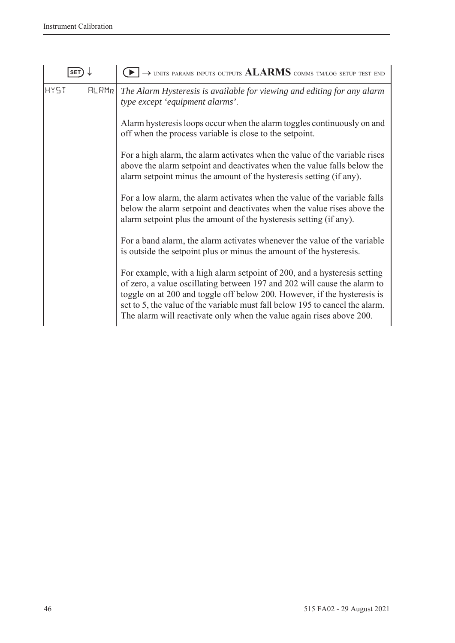| SET                  | $\rightarrow$ units params inputs outputs $ALARMS$ comms tm/log setup test end                                                                                                                                                                                                                                                                                                           |
|----------------------|------------------------------------------------------------------------------------------------------------------------------------------------------------------------------------------------------------------------------------------------------------------------------------------------------------------------------------------------------------------------------------------|
| <b>HY5T</b><br>FLRMn | The Alarm Hysteresis is available for viewing and editing for any alarm<br>type except 'equipment alarms'.                                                                                                                                                                                                                                                                               |
|                      | Alarm hysteresis loops occur when the alarm toggles continuously on and<br>off when the process variable is close to the setpoint.                                                                                                                                                                                                                                                       |
|                      | For a high alarm, the alarm activates when the value of the variable rises<br>above the alarm setpoint and deactivates when the value falls below the<br>alarm setpoint minus the amount of the hysteresis setting (if any).                                                                                                                                                             |
|                      | For a low alarm, the alarm activates when the value of the variable falls<br>below the alarm setpoint and deactivates when the value rises above the<br>alarm setpoint plus the amount of the hysteresis setting (if any).                                                                                                                                                               |
|                      | For a band alarm, the alarm activates whenever the value of the variable<br>is outside the setpoint plus or minus the amount of the hysteresis.                                                                                                                                                                                                                                          |
|                      | For example, with a high alarm setpoint of 200, and a hysteresis setting<br>of zero, a value oscillating between 197 and 202 will cause the alarm to<br>toggle on at 200 and toggle off below 200. However, if the hysteresis is<br>set to 5, the value of the variable must fall below 195 to cancel the alarm.<br>The alarm will reactivate only when the value again rises above 200. |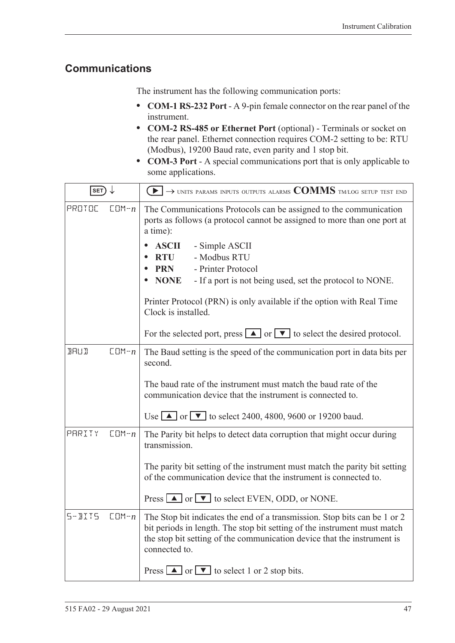### <span id="page-56-0"></span>**Communications**

The instrument has the following communication ports:

- **• COM-1 RS-232 Port** A 9-pin female connector on the rear panel of the instrument.
- **• COM-2 RS-485 or Ethernet Port** (optional) Terminals or socket on the rear panel. Ethernet connection requires COM-2 setting to be: RTU (Modbus), 19200 Baud rate, even parity and 1 stop bit.
- **• COM-3 Port** A special communications port that is only applicable to some applications.

| SET)        |           | $\textcolor{blue}{\blacktriangleright} \rightarrow$ units params inputs outputs alarms $\textcolor{blue}{\mathbf{COMMS}}$ tmlog setup test end                                                                                                    |  |  |  |  |  |
|-------------|-----------|---------------------------------------------------------------------------------------------------------------------------------------------------------------------------------------------------------------------------------------------------|--|--|--|--|--|
| PROTOC      | $CDM - n$ | The Communications Protocols can be assigned to the communication<br>ports as follows (a protocol cannot be assigned to more than one port at<br>a time):                                                                                         |  |  |  |  |  |
|             |           | <b>ASCII</b><br>- Simple ASCII<br>- Modbus RTU<br><b>RTU</b>                                                                                                                                                                                      |  |  |  |  |  |
|             |           | - Printer Protocol<br><b>PRN</b>                                                                                                                                                                                                                  |  |  |  |  |  |
|             |           | <b>NONE</b><br>- If a port is not being used, set the protocol to NONE.                                                                                                                                                                           |  |  |  |  |  |
|             |           | Printer Protocol (PRN) is only available if the option with Real Time<br>Clock is installed.                                                                                                                                                      |  |  |  |  |  |
|             |           | For the selected port, press $\boxed{\blacktriangle}$ or $\boxed{\blacktriangledown}$ to select the desired protocol.                                                                                                                             |  |  |  |  |  |
| <b>BRUD</b> | $CDM - n$ | The Baud setting is the speed of the communication port in data bits per<br>second.                                                                                                                                                               |  |  |  |  |  |
|             |           | The baud rate of the instrument must match the baud rate of the<br>communication device that the instrument is connected to.                                                                                                                      |  |  |  |  |  |
|             |           | Use $\blacksquare$ or $\blacksquare$ to select 2400, 4800, 9600 or 19200 baud.                                                                                                                                                                    |  |  |  |  |  |
| PARITY      | $CDM - n$ | The Parity bit helps to detect data corruption that might occur during<br>transmission.                                                                                                                                                           |  |  |  |  |  |
|             |           | The parity bit setting of the instrument must match the parity bit setting<br>of the communication device that the instrument is connected to.                                                                                                    |  |  |  |  |  |
|             |           | Press $\Box$ or $\nabla$ to select EVEN, ODD, or NONE.                                                                                                                                                                                            |  |  |  |  |  |
| $5 - B115$  | $CDM - n$ | The Stop bit indicates the end of a transmission. Stop bits can be 1 or 2<br>bit periods in length. The stop bit setting of the instrument must match<br>the stop bit setting of the communication device that the instrument is<br>connected to. |  |  |  |  |  |
|             |           | Press $\boxed{\blacktriangle}$ or $\boxed{\blacktriangledown}$ to select 1 or 2 stop bits.                                                                                                                                                        |  |  |  |  |  |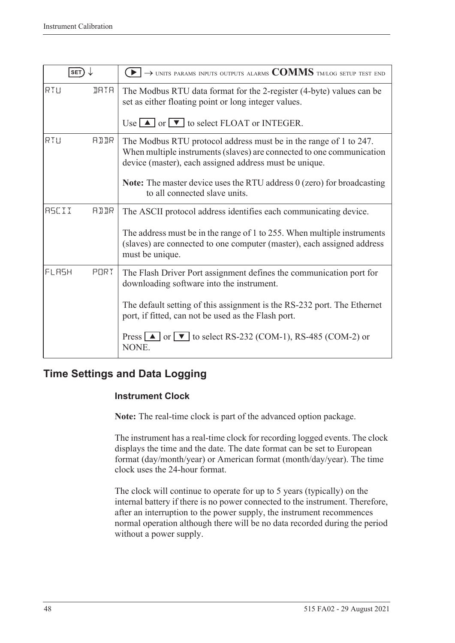| SET)         |             | $\rightarrow$ units params inputs outputs alarms $\text{COMMS}$ tm/log setup test end                                                                                                                |
|--------------|-------------|------------------------------------------------------------------------------------------------------------------------------------------------------------------------------------------------------|
| RTU          | <b>IRTR</b> | The Modbus RTU data format for the 2-register (4-byte) values can be<br>set as either floating point or long integer values.                                                                         |
|              |             | Use $\Box$ or $\nabla$ to select FLOAT or INTEGER.                                                                                                                                                   |
| RTU          | AIIR        | The Modbus RTU protocol address must be in the range of 1 to 247.<br>When multiple instruments (slaves) are connected to one communication<br>device (master), each assigned address must be unique. |
|              |             | <b>Note:</b> The master device uses the RTU address $0$ (zero) for broadcasting<br>to all connected slave units.                                                                                     |
| <b>RSCII</b> | <b>ATTR</b> | The ASCII protocol address identifies each communicating device.                                                                                                                                     |
|              |             | The address must be in the range of 1 to 255. When multiple instruments<br>(slaves) are connected to one computer (master), each assigned address<br>must be unique.                                 |
| FLASH        | PORT        | The Flash Driver Port assignment defines the communication port for<br>downloading software into the instrument.                                                                                     |
|              |             | The default setting of this assignment is the RS-232 port. The Ethernet<br>port, if fitted, can not be used as the Flash port.                                                                       |
|              |             | Press $\Box$ or $\nabla$ to select RS-232 (COM-1), RS-485 (COM-2) or<br>NONE.                                                                                                                        |

### **Time Settings and Data Logging**

#### **Instrument Clock**

**Note:** The real-time clock is part of the advanced option package.

The instrument has a real-time clock for recording logged events. The clock displays the time and the date. The date format can be set to European format (day/month/year) or American format (month/day/year). The time clock uses the 24-hour format.

The clock will continue to operate for up to 5 years (typically) on the internal battery if there is no power connected to the instrument. Therefore, after an interruption to the power supply, the instrument recommences normal operation although there will be no data recorded during the period without a power supply.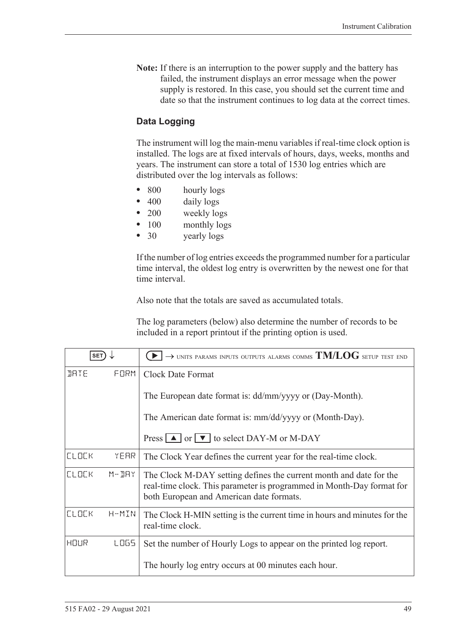**Note:** If there is an interruption to the power supply and the battery has failed, the instrument displays an error message when the power supply is restored. In this case, you should set the current time and date so that the instrument continues to log data at the correct times.

#### **Data Logging**

The instrument will log the main-menu variables if real-time clock option is installed. The logs are at fixed intervals of hours, days, weeks, months and years. The instrument can store a total of 1530 log entries which are distributed over the log intervals as follows:

- 800 hourly logs
- 400 daily logs
- **•** 200 weekly logs
- 100 monthly logs
- **•** 30 yearly logs

If the number of log entries exceeds the programmed number for a particular time interval, the oldest log entry is overwritten by the newest one for that time interval.

Also note that the totals are saved as accumulated totals.

The log parameters (below) also determine the number of records to be included in a report printout if the printing option is used.

| <b>SET</b>   |           | $\rightarrow$ units params inputs outputs alarms comms $\text{TM/LOG}$ setup test end                                                                                                   |  |  |
|--------------|-----------|-----------------------------------------------------------------------------------------------------------------------------------------------------------------------------------------|--|--|
| <b>JRTE</b>  | FORM      | <b>Clock Date Format</b>                                                                                                                                                                |  |  |
|              |           | The European date format is: dd/mm/yyyy or (Day-Month).                                                                                                                                 |  |  |
|              |           | The American date format is: mm/dd/yyyy or (Month-Day).                                                                                                                                 |  |  |
|              |           | Press $\boxed{\blacktriangle}$ or $\boxed{\blacktriangledown}$ to select DAY-M or M-DAY                                                                                                 |  |  |
| <b>CLOCK</b> | YEAR      | The Clock Year defines the current year for the real-time clock.                                                                                                                        |  |  |
| <b>CLOCK</b> | $M - JHY$ | The Clock M-DAY setting defines the current month and date for the<br>real-time clock. This parameter is programmed in Month-Day format for<br>both European and American date formats. |  |  |
| <b>CLOCK</b> | H-MIN     | The Clock H-MIN setting is the current time in hours and minutes for the<br>real-time clock.                                                                                            |  |  |
| HOUR         | LOGS.     | Set the number of Hourly Logs to appear on the printed log report.                                                                                                                      |  |  |
|              |           | The hourly log entry occurs at 00 minutes each hour.                                                                                                                                    |  |  |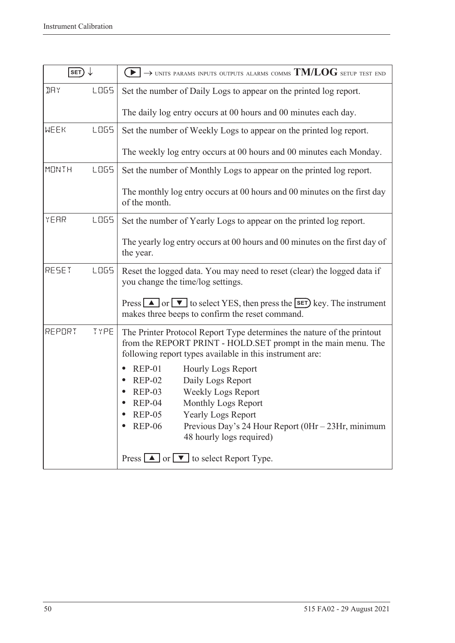| SET)         |             | $\rightarrow$ units params inputs outputs alarms comms $TM/LOG$ setup test end                                                                                                                                                                                                                                        |  |  |  |
|--------------|-------------|-----------------------------------------------------------------------------------------------------------------------------------------------------------------------------------------------------------------------------------------------------------------------------------------------------------------------|--|--|--|
| <b>IRY</b>   | LOG5        | Set the number of Daily Logs to appear on the printed log report.                                                                                                                                                                                                                                                     |  |  |  |
|              |             | The daily log entry occurs at 00 hours and 00 minutes each day.                                                                                                                                                                                                                                                       |  |  |  |
| MEEK         | <b>LOGS</b> | Set the number of Weekly Logs to appear on the printed log report.                                                                                                                                                                                                                                                    |  |  |  |
|              |             | The weekly log entry occurs at 00 hours and 00 minutes each Monday.                                                                                                                                                                                                                                                   |  |  |  |
| <b>MONTH</b> | LO65        | Set the number of Monthly Logs to appear on the printed log report.                                                                                                                                                                                                                                                   |  |  |  |
|              |             | The monthly log entry occurs at 00 hours and 00 minutes on the first day<br>of the month.                                                                                                                                                                                                                             |  |  |  |
| YEAR         | LO65        | Set the number of Yearly Logs to appear on the printed log report.                                                                                                                                                                                                                                                    |  |  |  |
|              |             | The yearly log entry occurs at 00 hours and 00 minutes on the first day of<br>the year.                                                                                                                                                                                                                               |  |  |  |
| RESET        | <b>LOGS</b> | Reset the logged data. You may need to reset (clear) the logged data if<br>you change the time/log settings.                                                                                                                                                                                                          |  |  |  |
|              |             | Press $\Box$ or $\nabla$ to select YES, then press the <b>SET</b> ) key. The instrument<br>makes three beeps to confirm the reset command.                                                                                                                                                                            |  |  |  |
| REPORT       | TYPE        | The Printer Protocol Report Type determines the nature of the printout<br>from the REPORT PRINT - HOLD.SET prompt in the main menu. The<br>following report types available in this instrument are:                                                                                                                   |  |  |  |
|              |             | <b>REP-01</b><br><b>Hourly Logs Report</b><br>Daily Logs Report<br><b>REP-02</b><br>Weekly Logs Report<br><b>REP-03</b><br>$REP-04$<br>Monthly Logs Report<br><b>REP-05</b><br><b>Yearly Logs Report</b><br><b>REP-06</b><br>Previous Day's 24 Hour Report $(0Hr - 23Hr, \text{minimum})$<br>48 hourly logs required) |  |  |  |
|              |             | Press $\boxed{\blacktriangle}$ or $\boxed{\blacktriangledown}$ to select Report Type.                                                                                                                                                                                                                                 |  |  |  |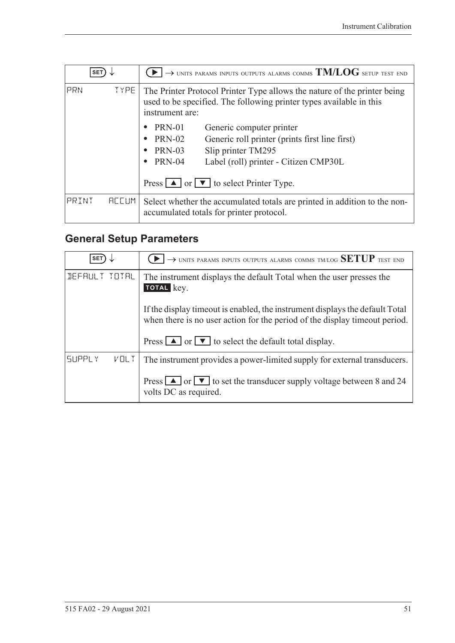| <b>SET</b> |                   | $\rightarrow$ units params inputs outputs alarms comms $\mathrm{TM/LOG}$ setup test end                                                                            |  |  |  |
|------------|-------------------|--------------------------------------------------------------------------------------------------------------------------------------------------------------------|--|--|--|
| PRN        | TYPE <sup>1</sup> | The Printer Protocol Printer Type allows the nature of the printer being<br>used to be specified. The following printer types available in this<br>instrument are: |  |  |  |
|            |                   | <b>PRN-01</b><br>Generic computer printer                                                                                                                          |  |  |  |
|            |                   | <b>PRN-02</b><br>Generic roll printer (prints first line first)                                                                                                    |  |  |  |
|            |                   | Slip printer TM295<br><b>PRN-03</b><br>$\bullet$                                                                                                                   |  |  |  |
|            |                   | <b>PRN-04</b><br>Label (roll) printer - Citizen CMP30L<br>٠                                                                                                        |  |  |  |
|            |                   | Press $\boxed{\blacktriangle}$ or $\boxed{\blacktriangledown}$ to select Printer Type.                                                                             |  |  |  |
| PRINT      | <b>REEUM</b>      | Select whether the accumulated totals are printed in addition to the non-<br>accumulated totals for printer protocol.                                              |  |  |  |

# <span id="page-60-0"></span>**General Setup Parameters**

| <b>SET</b>                   | $\rightarrow$ UNITS PARAMS INPUTS OUTPUTS ALARMS COMMS TM/LOG SETUP TEST END                                                                                 |
|------------------------------|--------------------------------------------------------------------------------------------------------------------------------------------------------------|
| DEFAULT TOTAL                | The instrument displays the default Total when the user presses the<br>TOTAL key.                                                                            |
|                              | If the display time out is enabled, the instrument displays the default Total<br>when there is no user action for the period of the display time out period. |
|                              | Press $\Box$ or $\Box$ to select the default total display.                                                                                                  |
| <b>SUPPLY</b><br><b>VOLT</b> | The instrument provides a power-limited supply for external transducers.                                                                                     |
|                              | Press $\boxed{\blacktriangle}$ or $\boxed{\blacktriangledown}$ to set the transducer supply voltage between 8 and 24<br>volts DC as required.                |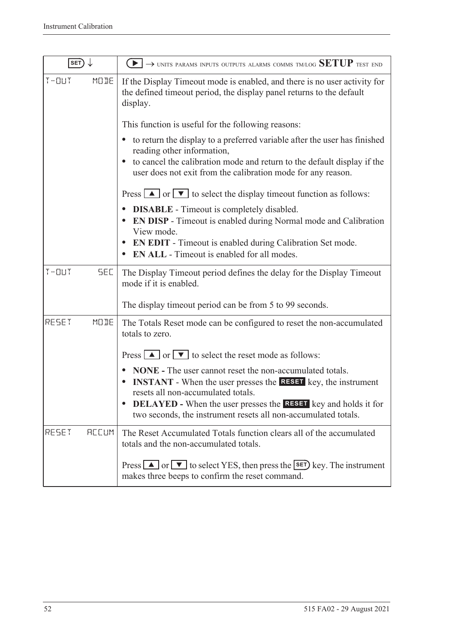| SET)                    | $\rightarrow$ units params inputs outputs alarms comms tmlog $\operatorname{SETUP}$ test end                                                                                         |  |
|-------------------------|--------------------------------------------------------------------------------------------------------------------------------------------------------------------------------------|--|
| $T - 11T$<br>MODE       | If the Display Timeout mode is enabled, and there is no user activity for<br>the defined timeout period, the display panel returns to the default<br>display.                        |  |
|                         | This function is useful for the following reasons:                                                                                                                                   |  |
|                         | to return the display to a preferred variable after the user has finished<br>$\bullet$<br>reading other information,                                                                 |  |
|                         | to cancel the calibration mode and return to the default display if the<br>user does not exit from the calibration mode for any reason.                                              |  |
|                         | Press $\Box$ or $\nabla$ to select the display timeout function as follows:                                                                                                          |  |
|                         | <b>DISABLE</b> - Timeout is completely disabled.<br>$\bullet$<br><b>EN DISP</b> - Timeout is enabled during Normal mode and Calibration<br>$\bullet$<br>View mode.                   |  |
|                         | <b>EN EDIT</b> - Timeout is enabled during Calibration Set mode.<br>$\bullet$<br><b>EN ALL</b> - Timeout is enabled for all modes.                                                   |  |
| $T - 11T$<br><b>SEC</b> | The Display Timeout period defines the delay for the Display Timeout<br>mode if it is enabled.                                                                                       |  |
|                         | The display timeout period can be from 5 to 99 seconds.                                                                                                                              |  |
| RESET<br>MODE           | The Totals Reset mode can be configured to reset the non-accumulated<br>totals to zero.                                                                                              |  |
|                         | Press $\boxed{\blacktriangle}$ or $\boxed{\blacktriangledown}$ to select the reset mode as follows:                                                                                  |  |
|                         | <b>NONE</b> - The user cannot reset the non-accumulated totals.<br><b>INSTANT</b> - When the user presses the <b>RESET</b> key, the instrument<br>resets all non-accumulated totals. |  |
|                         | <b>DELAYED</b> - When the user presses the <b>RESET</b> key and holds it for<br>two seconds, the instrument resets all non-accumulated totals.                                       |  |
| RESET<br><b>REEUM</b>   | The Reset Accumulated Totals function clears all of the accumulated<br>totals and the non-accumulated totals.                                                                        |  |
|                         | Press $\Box$ or $\nabla$ to select YES, then press the <b>SET</b> ) key. The instrument<br>makes three beeps to confirm the reset command.                                           |  |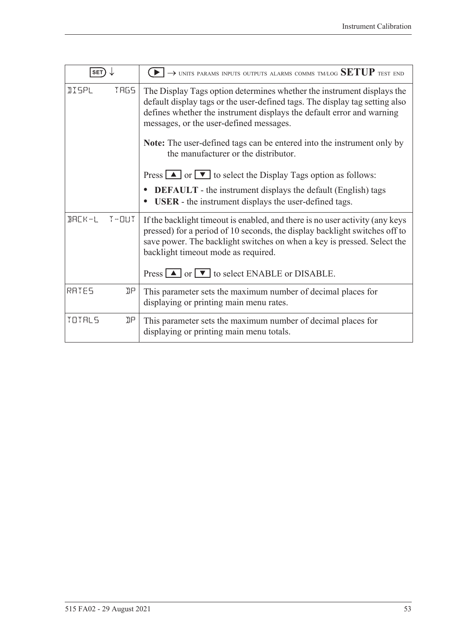| <b>SET</b>   |      | $\rightarrow$ units params inputs outputs alarms comms tm/log SETUP test end                                                                                                                                                                                                                                                                                                                       |
|--------------|------|----------------------------------------------------------------------------------------------------------------------------------------------------------------------------------------------------------------------------------------------------------------------------------------------------------------------------------------------------------------------------------------------------|
| <b>IISPL</b> | TRG5 | The Display Tags option determines whether the instrument displays the<br>default display tags or the user-defined tags. The display tag setting also<br>defines whether the instrument displays the default error and warning<br>messages, or the user-defined messages.<br><b>Note:</b> The user-defined tags can be entered into the instrument only by<br>the manufacturer or the distributor. |
|              |      | Press $\Box$ or $\nabla$ to select the Display Tags option as follows:                                                                                                                                                                                                                                                                                                                             |
|              |      | <b>DEFAULT</b> - the instrument displays the default (English) tags<br><b>USER</b> - the instrument displays the user-defined tags.                                                                                                                                                                                                                                                                |
| BACK-L T-OUT |      | If the backlight timeout is enabled, and there is no user activity (any keys<br>pressed) for a period of 10 seconds, the display backlight switches off to<br>save power. The backlight switches on when a key is pressed. Select the<br>backlight timeout mode as required.<br>Press $\Box$ or $\nabla$ to select ENABLE or DISABLE.                                                              |
|              |      |                                                                                                                                                                                                                                                                                                                                                                                                    |
| RATES        | ηp   | This parameter sets the maximum number of decimal places for<br>displaying or printing main menu rates.                                                                                                                                                                                                                                                                                            |
| TOTALS       | ηp   | This parameter sets the maximum number of decimal places for<br>displaying or printing main menu totals.                                                                                                                                                                                                                                                                                           |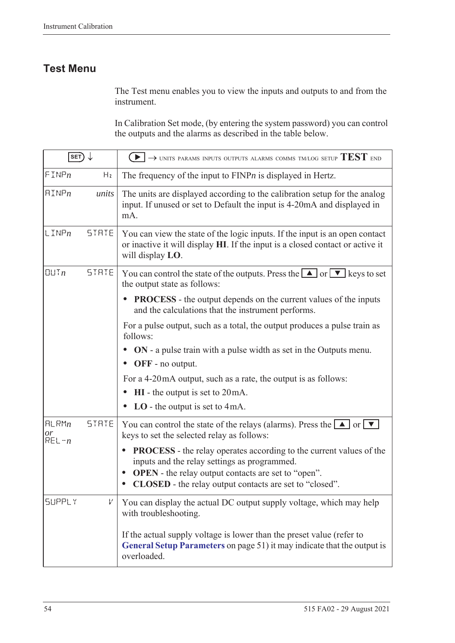### **Test Menu**

The Test menu enables you to view the inputs and outputs to and from the instrument.

In Calibration Set mode, (by entering the system password) you can control the outputs and the alarms as described in the table below.

| SET)                     |              | $\rightarrow$ units params inputs outputs alarms comms tm/log setup $\mathrm{TEST}$ end                                                                                                                                                                                                           |
|--------------------------|--------------|---------------------------------------------------------------------------------------------------------------------------------------------------------------------------------------------------------------------------------------------------------------------------------------------------|
| FINPn                    | Hz           | The frequency of the input to $FINPn$ is displayed in Hertz.                                                                                                                                                                                                                                      |
| $\text{HIMP}_n$          | units        | The units are displayed according to the calibration setup for the analog<br>input. If unused or set to Default the input is 4-20mA and displayed in<br>mA.                                                                                                                                       |
| $L$ INP $n$              | STATE        | You can view the state of the logic inputs. If the input is an open contact<br>or inactive it will display HI. If the input is a closed contact or active it<br>will display LO.                                                                                                                  |
| $\Box$ Tn                | <b>STRTE</b> | You can control the state of the outputs. Press the $\Box$ or $\neg$ keys to set<br>the output state as follows:                                                                                                                                                                                  |
|                          |              | <b>PROCESS</b> - the output depends on the current values of the inputs<br>and the calculations that the instrument performs.                                                                                                                                                                     |
|                          |              | For a pulse output, such as a total, the output produces a pulse train as<br>follows:                                                                                                                                                                                                             |
|                          |              | ON - a pulse train with a pulse width as set in the Outputs menu.<br>OFF - no output.                                                                                                                                                                                                             |
|                          |              | For a 4-20 mA output, such as a rate, the output is as follows:                                                                                                                                                                                                                                   |
|                          |              | $HI$ - the output is set to $20mA$ .                                                                                                                                                                                                                                                              |
|                          |              | $LO$ - the output is set to 4mA.                                                                                                                                                                                                                                                                  |
| HLRMn<br>or<br>$REL - n$ | <b>STATE</b> | You can control the state of the relays (alarms). Press the $\Box$ or $\nabla$<br>keys to set the selected relay as follows:                                                                                                                                                                      |
|                          |              | <b>PROCESS</b> - the relay operates according to the current values of the<br>$\bullet$<br>inputs and the relay settings as programmed.<br><b>OPEN</b> - the relay output contacts are set to "open".<br>$\bullet$<br><b>CLOSED</b> - the relay output contacts are set to "closed".<br>$\bullet$ |
| <b>SUPPLY</b>            | V            | You can display the actual DC output supply voltage, which may help<br>with troubleshooting.                                                                                                                                                                                                      |
|                          |              | If the actual supply voltage is lower than the preset value (refer to<br>General Setup Parameters on page 51) it may indicate that the output is<br>overloaded.                                                                                                                                   |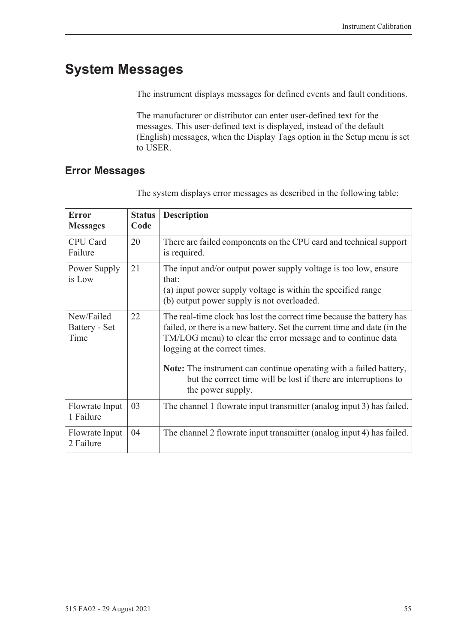# **System Messages**

The instrument displays messages for defined events and fault conditions.

The manufacturer or distributor can enter user-defined text for the messages. This user-defined text is displayed, instead of the default (English) messages, when the Display Tags option in the Setup menu is set to USER.

### <span id="page-64-0"></span>**Error Messages**

| <b>Error</b><br><b>Messages</b>     | <b>Status</b><br>Code | <b>Description</b>                                                                                                                                                                                                                                 |
|-------------------------------------|-----------------------|----------------------------------------------------------------------------------------------------------------------------------------------------------------------------------------------------------------------------------------------------|
| CPU Card<br>Failure                 | 20                    | There are failed components on the CPU card and technical support<br>is required.                                                                                                                                                                  |
| Power Supply<br>is Low              | 21                    | The input and/or output power supply voltage is too low, ensure<br>that:<br>(a) input power supply voltage is within the specified range<br>(b) output power supply is not overloaded.                                                             |
| New/Failed<br>Battery - Set<br>Time | 22                    | The real-time clock has lost the correct time because the battery has<br>failed, or there is a new battery. Set the current time and date (in the<br>TM/LOG menu) to clear the error message and to continue data<br>logging at the correct times. |
|                                     |                       | Note: The instrument can continue operating with a failed battery,<br>but the correct time will be lost if there are interruptions to<br>the power supply.                                                                                         |
| Flowrate Input<br>1 Failure         | 03                    | The channel 1 flowrate input transmitter (analog input 3) has failed.                                                                                                                                                                              |
| Flowrate Input<br>2 Failure         | 04                    | The channel 2 flowrate input transmitter (analog input 4) has failed.                                                                                                                                                                              |

The system displays error messages as described in the following table: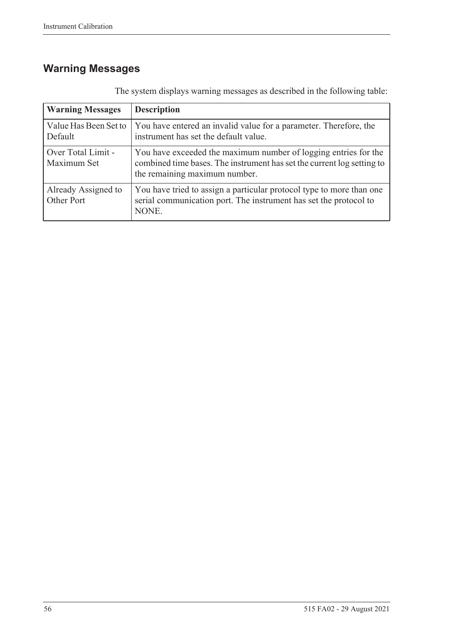# **Warning Messages**

| <b>Warning Messages</b>           | <b>Description</b>                                                                                                                                                         |  |  |  |  |  |  |  |  |  |
|-----------------------------------|----------------------------------------------------------------------------------------------------------------------------------------------------------------------------|--|--|--|--|--|--|--|--|--|
| Value Has Been Set to<br>Default  | You have entered an invalid value for a parameter. Therefore, the<br>instrument has set the default value.                                                                 |  |  |  |  |  |  |  |  |  |
| Over Total Limit -<br>Maximum Set | You have exceeded the maximum number of logging entries for the<br>combined time bases. The instrument has set the current log setting to<br>the remaining maximum number. |  |  |  |  |  |  |  |  |  |
| Already Assigned to<br>Other Port | You have tried to assign a particular protocol type to more than one<br>serial communication port. The instrument has set the protocol to<br>NONE.                         |  |  |  |  |  |  |  |  |  |

The system displays warning messages as described in the following table: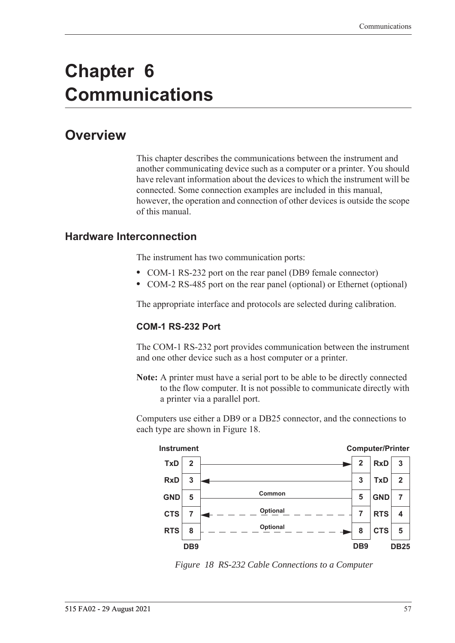# **Chapter 6 Communications**

# **Overview**

This chapter describes the communications between the instrument and another communicating device such as a computer or a printer. You should have relevant information about the devices to which the instrument will be connected. Some connection examples are included in this manual, however, the operation and connection of other devices is outside the scope of this manual.

#### **Hardware Interconnection**

The instrument has two communication ports:

- **•** COM-1 RS-232 port on the rear panel (DB9 female connector)
- **•** COM-2 RS-485 port on the rear panel (optional) or Ethernet (optional)

The appropriate interface and protocols are selected during calibration.

#### **COM-1 RS-232 Port**

The COM-1 RS-232 port provides communication between the instrument and one other device such as a host computer or a printer.

**Note:** A printer must have a serial port to be able to be directly connected to the flow computer. It is not possible to communicate directly with a printer via a parallel port.

Computers use either a DB9 or a DB25 connector, and the connections to each type are shown in [Figure 18.](#page-66-0)



<span id="page-66-0"></span>*Figure 18 RS-232 Cable Connections to a Computer*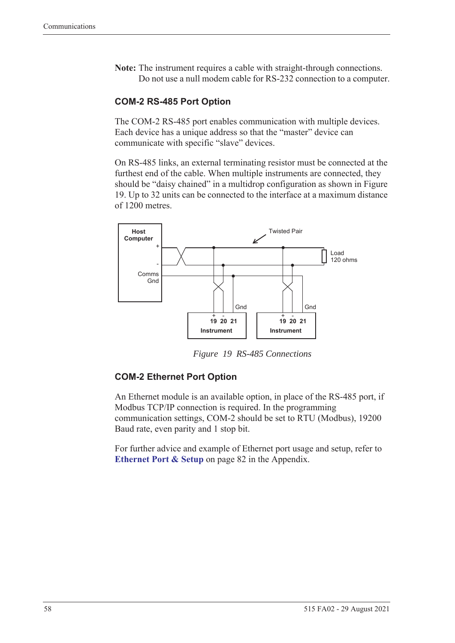**Note:** The instrument requires a cable with straight-through connections. Do not use a null modem cable for RS-232 connection to a computer.

#### **COM-2 RS-485 Port Option**

The COM-2 RS-485 port enables communication with multiple devices. Each device has a unique address so that the "master" device can communicate with specific "slave" devices.

On RS-485 links, an external terminating resistor must be connected at the furthest end of the cable. When multiple instruments are connected, they should be "daisy chained" in a multidrop configuration as shown in Figure [19](#page-67-0). Up to 32 units can be connected to the interface at a maximum distance of 1200 metres.



*Figure 19 RS-485 Connections*

#### <span id="page-67-0"></span>**COM-2 Ethernet Port Option**

An Ethernet module is an available option, in place of the RS-485 port, if Modbus TCP/IP connection is required. In the programming communication settings, COM-2 should be set to RTU (Modbus), 19200 Baud rate, even parity and 1 stop bit.

For further advice and example of Ethernet port usage and setup, refer to **[Ethernet Port & Setup](#page-91-0)** on page 82 in the Appendix.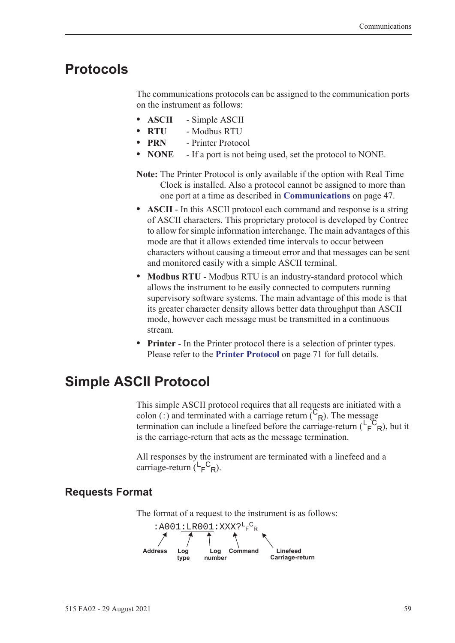### **Protocols**

The communications protocols can be assigned to the communication ports on the instrument as follows:

- **• ASCII** Simple ASCII
- **• RTU** Modbus RTU
- **• PRN** Printer Protocol
- **• NONE** If a port is not being used, set the protocol to NONE.
- **Note:** The Printer Protocol is only available if the option with Real Time Clock is installed. Also a protocol cannot be assigned to more than one port at a time as described in **[Communications](#page-56-0)** on page 47.
- **• ASCII** In this ASCII protocol each command and response is a string of ASCII characters. This proprietary protocol is developed by Contrec to allow for simple information interchange. The main advantages of this mode are that it allows extended time intervals to occur between characters without causing a timeout error and that messages can be sent and monitored easily with a simple ASCII terminal.
- **• Modbus RTU** Modbus RTU is an industry-standard protocol which allows the instrument to be easily connected to computers running supervisory software systems. The main advantage of this mode is that its greater character density allows better data throughput than ASCII mode, however each message must be transmitted in a continuous stream.
- **• Printer** In the Printer protocol there is a selection of printer types. Please refer to the **[Printer Protocol](#page-80-0)** on page 71 for full details.

# **Simple ASCII Protocol**

This simple ASCII protocol requires that all requests are initiated with a colon (:) and terminated with a carriage return  $\binom{C_R}{R}$ . The message termination can include a linefeed before the carriage-return  $(\mathsf{L}_\mathsf{F}^\mathsf{C}_{\mathsf{R}})$ , but it is the carriage-return that acts as the message termination.

All responses by the instrument are terminated with a linefeed and a carriage-return  $(L_F^C_R)$ .

### **Requests Format**

The format of a request to the instrument is as follows:

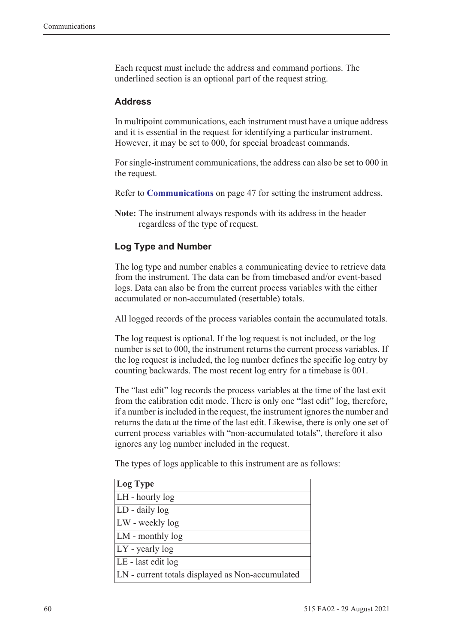Each request must include the address and command portions. The underlined section is an optional part of the request string.

#### **Address**

In multipoint communications, each instrument must have a unique address and it is essential in the request for identifying a particular instrument. However, it may be set to 000, for special broadcast commands.

For single-instrument communications, the address can also be set to 000 in the request.

Refer to **[Communications](#page-56-0)** on page 47 for setting the instrument address.

**Note:** The instrument always responds with its address in the header regardless of the type of request.

#### **Log Type and Number**

The log type and number enables a communicating device to retrieve data from the instrument. The data can be from timebased and/or event-based logs. Data can also be from the current process variables with the either accumulated or non-accumulated (resettable) totals.

All logged records of the process variables contain the accumulated totals.

The log request is optional. If the log request is not included, or the log number is set to 000, the instrument returns the current process variables. If the log request is included, the log number defines the specific log entry by counting backwards. The most recent log entry for a timebase is 001.

The "last edit" log records the process variables at the time of the last exit from the calibration edit mode. There is only one "last edit" log, therefore, if a number is included in the request, the instrument ignores the number and returns the data at the time of the last edit. Likewise, there is only one set of current process variables with "non-accumulated totals", therefore it also ignores any log number included in the request.

The types of logs applicable to this instrument are as follows:

| Log Type                                         |
|--------------------------------------------------|
| LH - hourly log                                  |
| LD - daily log                                   |
| LW - weekly log                                  |
| LM - monthly log                                 |
| $LY$ - yearly log                                |
| LE - last edit log                               |
| LN - current totals displayed as Non-accumulated |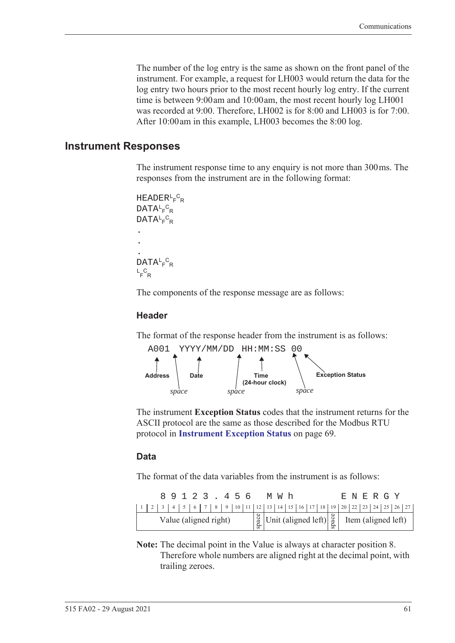The number of the log entry is the same as shown on the front panel of the instrument. For example, a request for LH003 would return the data for the log entry two hours prior to the most recent hourly log entry. If the current time is between 9:00 am and 10:00 am, the most recent hourly log LH001 was recorded at 9:00. Therefore, LH002 is for 8:00 and LH003 is for 7:00. After 10:00 am in this example, LH003 becomes the 8:00 log.

#### **Instrument Responses**

The instrument response time to any enquiry is not more than 300 ms. The responses from the instrument are in the following format:

```
HEADER<sup>L</sup>F<sup>C</sup>R
DATA<sup>L</sup>F<sup>C</sup>R
DATA<sup>L</sup>F<sup>C</sup>R
.
.
.
DATA<sup>L</sup>F<sup>C</sup>R
L_F^CR
```
The components of the response message are as follows:

#### **Header**

The format of the response header from the instrument is as follows:



The instrument **Exception Status** codes that the instrument returns for the ASCII protocol are the same as those described for the Modbus RTU protocol in **[Instrument Exception Status](#page-78-0)** on page 69.

#### **Data**

The format of the data variables from the instrument is as follows:

|                       |  |  |  |  |  |  |  | 89123.456 |  |  | M W h                                                                                                                                                         |  |  |  |  | E N E R G Y |  |  |
|-----------------------|--|--|--|--|--|--|--|-----------|--|--|---------------------------------------------------------------------------------------------------------------------------------------------------------------|--|--|--|--|-------------|--|--|
|                       |  |  |  |  |  |  |  |           |  |  |                                                                                                                                                               |  |  |  |  |             |  |  |
| Value (aligned right) |  |  |  |  |  |  |  |           |  |  | $\begin{bmatrix} \frac{8}{9} \\ \frac{8}{9} \end{bmatrix}$ Unit (aligned left) $\begin{bmatrix} \frac{8}{9} \\ \frac{8}{9} \end{bmatrix}$ Item (aligned left) |  |  |  |  |             |  |  |

**Note:** The decimal point in the Value is always at character position 8. Therefore whole numbers are aligned right at the decimal point, with trailing zeroes.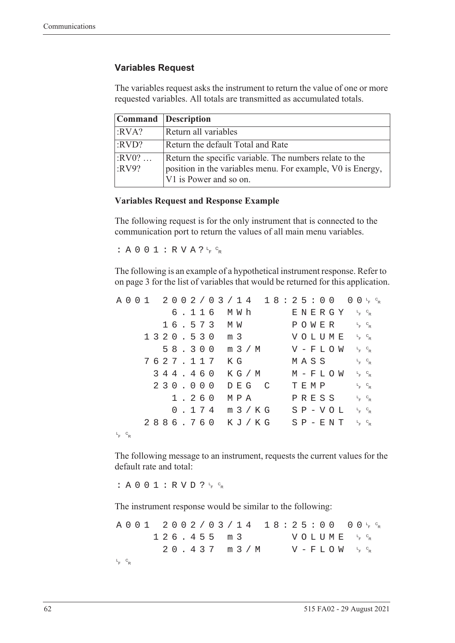#### **Variables Request**

The variables request asks the instrument to return the value of one or more requested variables. All totals are transmitted as accumulated totals.

|                  | Command Description                                                                                                                             |
|------------------|-------------------------------------------------------------------------------------------------------------------------------------------------|
| :RVA?            | Return all variables                                                                                                                            |
| :RVD?            | Return the default Total and Rate                                                                                                               |
| $:RV0?$<br>:RV9? | Return the specific variable. The numbers relate to the<br>position in the variables menu. For example, V0 is Energy,<br>V1 is Power and so on. |

#### **Variables Request and Response Example**

The following request is for the only instrument that is connected to the communication port to return the values of all main menu variables.

:  $A 0 0 1 : R V A ? \frac{C}{F} C_R$ 

The following is an example of a hypothetical instrument response. Refer to [on page 3](#page-12-0) for the list of variables that would be returned for this application.

|                 |  |  |  |  |          |  |                  |  |       | A 0 0 1 2 0 0 2 / 0 3 / 1 4 1 8 : 2 5 : 0 0 0 0 0 ⊦ ° R |  |      |  |                          |  |                                   |  |  |
|-----------------|--|--|--|--|----------|--|------------------|--|-------|---------------------------------------------------------|--|------|--|--------------------------|--|-----------------------------------|--|--|
|                 |  |  |  |  |          |  | 6.116 MWh        |  |       |                                                         |  |      |  | ENERGY 'F <sup>c</sup> r |  |                                   |  |  |
|                 |  |  |  |  |          |  | 16.573 MW        |  |       |                                                         |  |      |  | POWER                    |  | $L_F$ $C_R$                       |  |  |
|                 |  |  |  |  |          |  | 1320.530 m 3     |  |       |                                                         |  |      |  | VOLUME                   |  | $L$ <sub>F</sub> $C$ <sub>R</sub> |  |  |
|                 |  |  |  |  |          |  |                  |  |       | 58.300 m 3/M                                            |  |      |  | $V - F L O W$ $F c_R$    |  |                                   |  |  |
|                 |  |  |  |  | 7627.117 |  | КG               |  |       |                                                         |  |      |  | MASS                     |  | $L_F$ $C_R$                       |  |  |
|                 |  |  |  |  | 344.460  |  |                  |  |       | K G / M                                                 |  |      |  | M – F L O W              |  | $L_{F}$ $C_{R}$                   |  |  |
|                 |  |  |  |  | 230.000  |  |                  |  | DEG C |                                                         |  | TEMP |  |                          |  | $L_F$ $C_R$                       |  |  |
|                 |  |  |  |  | 1.260    |  | МРА              |  |       |                                                         |  |      |  | PRESS                    |  | $L_F$ $C_R$                       |  |  |
|                 |  |  |  |  |          |  | $0.174$ m $3/KG$ |  |       |                                                         |  |      |  | $S P - V O L$            |  | $L_{F}$ $C_{R}$                   |  |  |
|                 |  |  |  |  |          |  |                  |  |       | 2886.760 KJ/KG SP-ENT                                   |  |      |  |                          |  | $L$ <sub>F</sub> $C$ <sub>R</sub> |  |  |
| $L_{F}$ $C_{R}$ |  |  |  |  |          |  |                  |  |       |                                                         |  |      |  |                          |  |                                   |  |  |

The following message to an instrument, requests the current values for the default rate and total:

: A 0 0 1 : R V D ?  $L_F$   $C_R$ 

The instrument response would be similar to the following:

A001 2002/03/14 18:25:00  $F$   $\circ$ <sub>R</sub>  $126.455 m3$ <sup>F</sup> <sup>C</sup> R  $20.437$  m  $3/M$  $F$   $\circ$ <sub>R</sub> L <sup>F</sup> <sup>C</sup> R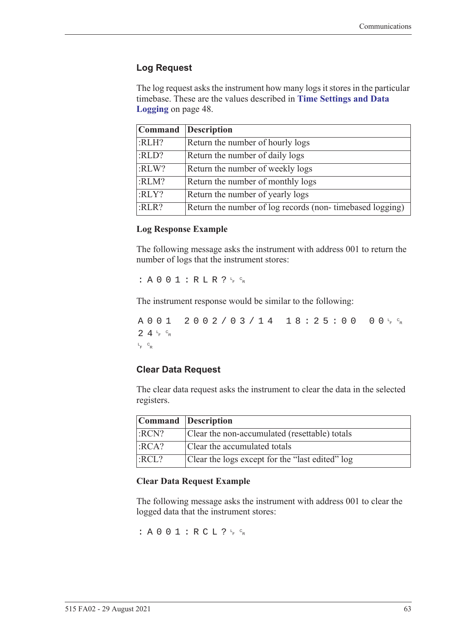### **Log Request**

The log request asks the instrument how many logs it stores in the particular timebase. These are the values described in **[Time Settings and Data](#page-57-0)  Logging** [on page 48](#page-57-0).

|       | Command Description                                      |
|-------|----------------------------------------------------------|
| :RLH? | Return the number of hourly logs                         |
| :RLD? | Return the number of daily logs                          |
| :RLW? | Return the number of weekly logs                         |
| :RLM? | Return the number of monthly logs                        |
| :RLY? | Return the number of yearly logs                         |
| :RLR? | Return the number of log records (non-timebased logging) |

#### **Log Response Example**

The following message asks the instrument with address 001 to return the number of logs that the instrument stores:

 $: A 0 0 1 : R L R ? \nmid R$ 

The instrument response would be similar to the following:

A001 2002/03/14 18:25:00  $F$   $\circ$ R  $24r$ <sub>F</sub>  $c_R$ L <sup>F</sup> <sup>C</sup> R

#### **Clear Data Request**

The clear data request asks the instrument to clear the data in the selected registers.

| Command Description |                                                 |
|---------------------|-------------------------------------------------|
| :RCN?               | Clear the non-accumulated (resettable) totals   |
| $ $ :RCA?           | Clear the accumulated totals                    |
| :RCL?               | Clear the logs except for the "last edited" log |

#### **Clear Data Request Example**

The following message asks the instrument with address 001 to clear the logged data that the instrument stores:

: A 0 0 1 : R C L ?  $L_F$   $c_R$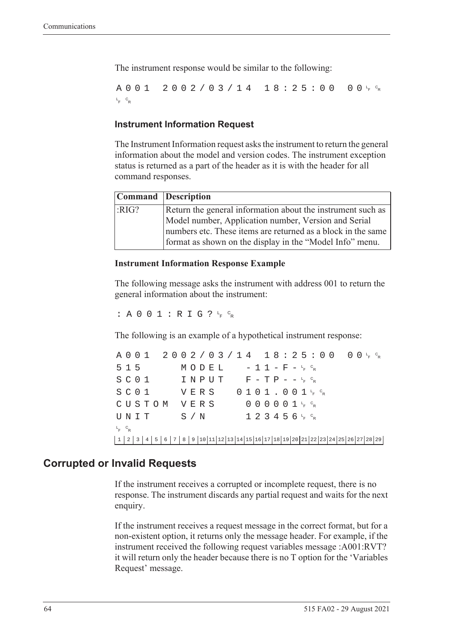The instrument response would be similar to the following:

A001 2002/03/14 18:25:00  $F$   $\circ$ <sub>R</sub> L <sup>F</sup> <sup>C</sup> R

### **Instrument Information Request**

The Instrument Information request asks the instrument to return the general information about the model and version codes. The instrument exception status is returned as a part of the header as it is with the header for all command responses.

|      | Command Description                                                                                                      |
|------|--------------------------------------------------------------------------------------------------------------------------|
| RIG? | Return the general information about the instrument such as                                                              |
|      | Model number, Application number, Version and Serial                                                                     |
|      | numbers etc. These items are returned as a block in the same<br>format as shown on the display in the "Model Info" menu. |

#### **Instrument Information Response Example**

The following message asks the instrument with address 001 to return the general information about the instrument:

: A 0 0 1 : R I G ?  $L_F$   $C_R$ 

The following is an example of a hypothetical instrument response:

A001 2002/03/14 18:25:00 <sup>F</sup> <sup>C</sup> R  $515$   $MODEL$   $-11-F-F_{R}^{c}$  $S$  C O  $1$  I N P U T F - T P - - <sup>L</sup><sub>F</sub> <sup>C</sup>R  $S$  C O  $1$  V E R S O  $1$  O  $1$  J  $1$  , O  $0$   $1$   $1$   $1$   $6$   $8$ CUSTOM VERS 000001<sup>t</sup>F<sup>c</sup>r  $\texttt{UNIT}$  S/N 123456<sup>L</sup>F <sup>C</sup>R L <sup>F</sup> <sup>C</sup> R 1 2 3 4 5 6 7 8 9 10 11 12 13 14 15 16 17 18 19 20 21 22 23 24 25 26 27 28 29

### **Corrupted or Invalid Requests**

If the instrument receives a corrupted or incomplete request, there is no response. The instrument discards any partial request and waits for the next enquiry.

If the instrument receives a request message in the correct format, but for a non-existent option, it returns only the message header. For example, if the instrument received the following request variables message :A001:RVT? it will return only the header because there is no T option for the 'Variables Request' message.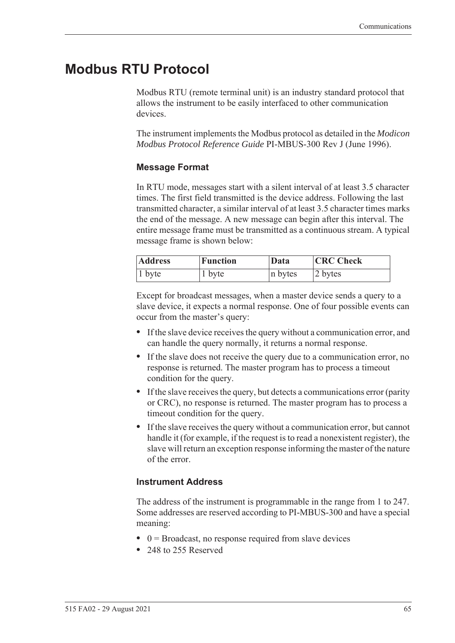# **Modbus RTU Protocol**

<span id="page-74-0"></span>Modbus RTU (remote terminal unit) is an industry standard protocol that allows the instrument to be easily interfaced to other communication devices.

The instrument implements the Modbus protocol as detailed in the *Modicon Modbus Protocol Reference Guide* PI-MBUS-300 Rev J (June 1996).

### **Message Format**

In RTU mode, messages start with a silent interval of at least 3.5 character times. The first field transmitted is the device address. Following the last transmitted character, a similar interval of at least 3.5 character times marks the end of the message. A new message can begin after this interval. The entire message frame must be transmitted as a continuous stream. A typical message frame is shown below:

| <b>Address</b> | <b>Function</b> | Data    | <b>CRC</b> Check |
|----------------|-----------------|---------|------------------|
| $ 1$ byte      | 1 byte          | n bytes | 2 bytes          |

Except for broadcast messages, when a master device sends a query to a slave device, it expects a normal response. One of four possible events can occur from the master's query:

- **•** If the slave device receives the query without a communication error, and can handle the query normally, it returns a normal response.
- **•** If the slave does not receive the query due to a communication error, no response is returned. The master program has to process a timeout condition for the query.
- **•** If the slave receives the query, but detects a communications error (parity or CRC), no response is returned. The master program has to process a timeout condition for the query.
- **•** If the slave receives the query without a communication error, but cannot handle it (for example, if the request is to read a nonexistent register), the slave will return an exception response informing the master of the nature of the error.

### **Instrument Address**

The address of the instrument is programmable in the range from 1 to 247. Some addresses are reserved according to PI-MBUS-300 and have a special meaning:

- 0 = Broadcast, no response required from slave devices
- **•** 248 to 255 Reserved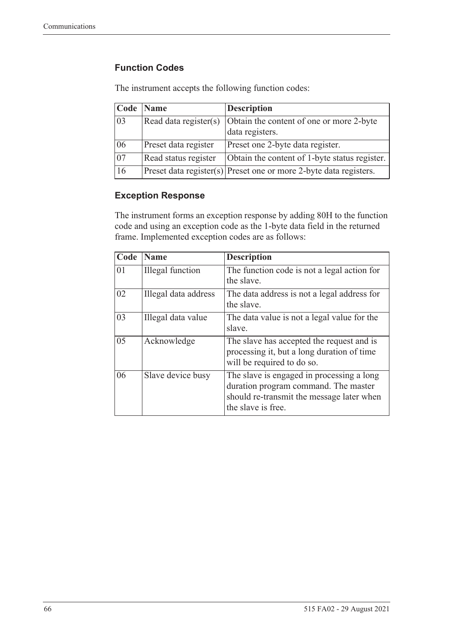### **Function Codes**

| Code            | <b>Name</b>           | <b>Description</b>                                                    |
|-----------------|-----------------------|-----------------------------------------------------------------------|
| 03              | Read data register(s) | Obtain the content of one or more 2-byte<br>data registers.           |
| 06              | Preset data register  | Preset one 2-byte data register.                                      |
| $\overline{07}$ | Read status register  | Obtain the content of 1-byte status register.                         |
| 16              |                       | $ $ Preset data register(s) Preset one or more 2-byte data registers. |

The instrument accepts the following function codes:

### **Exception Response**

The instrument forms an exception response by adding 80H to the function code and using an exception code as the 1-byte data field in the returned frame. Implemented exception codes are as follows:

| Code | Name                    | <b>Description</b>                                                                                                                                   |
|------|-------------------------|------------------------------------------------------------------------------------------------------------------------------------------------------|
| 01   | <b>Illegal</b> function | The function code is not a legal action for<br>the slave.                                                                                            |
| 02   | Illegal data address    | The data address is not a legal address for<br>the slave.                                                                                            |
| 03   | Illegal data value      | The data value is not a legal value for the<br>slave.                                                                                                |
| 05   | Acknowledge             | The slave has accepted the request and is<br>processing it, but a long duration of time<br>will be required to do so.                                |
| 06   | Slave device busy       | The slave is engaged in processing a long<br>duration program command. The master<br>should re-transmit the message later when<br>the slave is free. |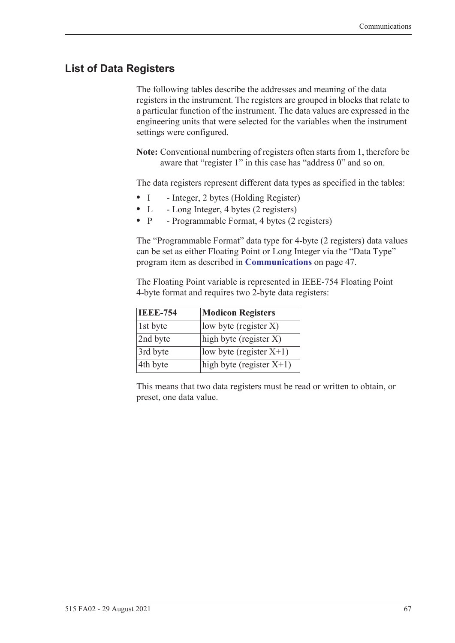# **List of Data Registers**

The following tables describe the addresses and meaning of the data registers in the instrument. The registers are grouped in blocks that relate to a particular function of the instrument. The data values are expressed in the engineering units that were selected for the variables when the instrument settings were configured.

**Note:** Conventional numbering of registers often starts from 1, therefore be aware that "register 1" in this case has "address 0" and so on.

The data registers represent different data types as specified in the tables:

- I Integer, 2 bytes (Holding Register)
- L Long Integer, 4 bytes (2 registers)
- P Programmable Format, 4 bytes (2 registers)

The "Programmable Format" data type for 4-byte (2 registers) data values can be set as either Floating Point or Long Integer via the "Data Type" program item as described in **[Communications](#page-56-0)** on page 47.

The Floating Point variable is represented in IEEE-754 Floating Point 4-byte format and requires two 2-byte data registers:

| <b>IEEE-754</b> | <b>Modicon Registers</b>    |
|-----------------|-----------------------------|
| 1st byte        | low byte (register $X$ )    |
| 2nd byte        | high byte (register X)      |
| 3rd byte        | $ low byte (register X+1) $ |
| 4th byte        | high byte (register $X+1$ ) |

This means that two data registers must be read or written to obtain, or preset, one data value.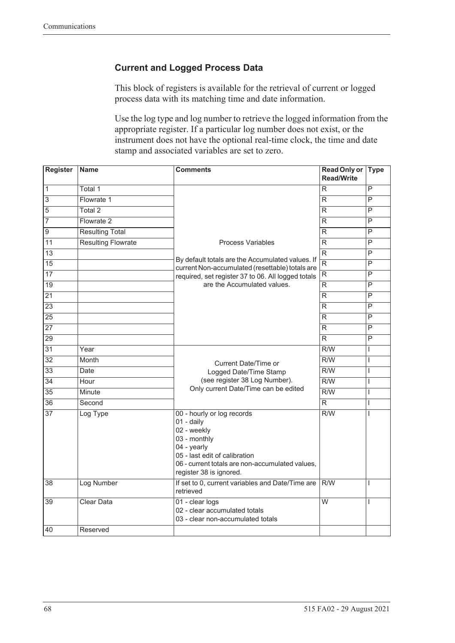### **Current and Logged Process Data**

This block of registers is available for the retrieval of current or logged process data with its matching time and date information.

Use the log type and log number to retrieve the logged information from the appropriate register. If a particular log number does not exist, or the instrument does not have the optional real-time clock, the time and date stamp and associated variables are set to zero.

| Register         | <b>Name</b>               | <b>Comments</b>                                                                                                                                                                                                | <b>Read Only or</b><br><b>Read/Write</b> | <b>Type</b>             |
|------------------|---------------------------|----------------------------------------------------------------------------------------------------------------------------------------------------------------------------------------------------------------|------------------------------------------|-------------------------|
| $\overline{1}$   | Total 1                   |                                                                                                                                                                                                                | R                                        | P                       |
| $\overline{3}$   | Flowrate 1                |                                                                                                                                                                                                                | R                                        | P                       |
| $\overline{5}$   | Total <sub>2</sub>        |                                                                                                                                                                                                                | R                                        | P                       |
| $\overline{7}$   | Flowrate 2                |                                                                                                                                                                                                                | R                                        | P                       |
| $\boldsymbol{9}$ | <b>Resulting Total</b>    |                                                                                                                                                                                                                | R                                        | P                       |
| $\overline{11}$  | <b>Resulting Flowrate</b> | <b>Process Variables</b>                                                                                                                                                                                       | R                                        | $\overline{P}$          |
| 13               |                           |                                                                                                                                                                                                                | $\overline{R}$                           | P                       |
| 15               |                           | By default totals are the Accumulated values. If<br>current Non-accumulated (resettable) totals are                                                                                                            | $\overline{R}$                           | $\overline{P}$          |
| $\overline{17}$  |                           | required, set register 37 to 06. All logged totals                                                                                                                                                             | $\overline{\mathsf{R}}$                  | $\overline{P}$          |
| $\overline{19}$  |                           | are the Accumulated values.                                                                                                                                                                                    | R                                        | P                       |
| 21               |                           |                                                                                                                                                                                                                | $\overline{R}$                           | P                       |
| $\overline{23}$  |                           |                                                                                                                                                                                                                | R                                        | P                       |
| $\overline{25}$  |                           |                                                                                                                                                                                                                | R                                        | P                       |
| $\overline{27}$  |                           |                                                                                                                                                                                                                | R                                        | $\overline{\mathsf{P}}$ |
| 29               |                           |                                                                                                                                                                                                                | $\overline{R}$                           | P                       |
| $\overline{31}$  | Year                      |                                                                                                                                                                                                                | R/W                                      | T                       |
| $\overline{32}$  | Month                     | Current Date/Time or                                                                                                                                                                                           | $\overline{R/W}$                         | $\mathsf{I}$            |
| $\overline{33}$  | Date                      | Logged Date/Time Stamp                                                                                                                                                                                         | $\overline{R/W}$                         | $\overline{1}$          |
| $\overline{34}$  | Hour                      | (see register 38 Log Number).                                                                                                                                                                                  | R/W                                      | $\overline{1}$          |
| $\overline{35}$  | Minute                    | Only current Date/Time can be edited                                                                                                                                                                           | $\overline{R/W}$                         | $\mathsf{I}$            |
| $\overline{36}$  | Second                    |                                                                                                                                                                                                                | $\overline{R}$                           | $\mathsf{I}$            |
| $\overline{37}$  | Log Type                  | 00 - hourly or log records<br>$01 - \text{daily}$<br>02 - weekly<br>03 - monthly<br>04 - yearly<br>05 - last edit of calibration<br>06 - current totals are non-accumulated values,<br>register 38 is ignored. | R/W                                      | I                       |
| 38               | Log Number                | If set to 0, current variables and Date/Time are<br>retrieved                                                                                                                                                  | R/W                                      | T                       |
| 39               | <b>Clear Data</b>         | 01 - clear logs<br>02 - clear accumulated totals<br>03 - clear non-accumulated totals                                                                                                                          | $\overline{W}$                           | T                       |
| 40               | Reserved                  |                                                                                                                                                                                                                |                                          |                         |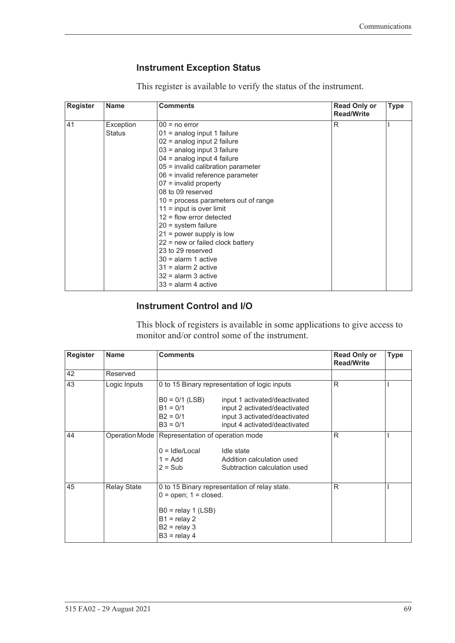### <span id="page-78-0"></span>**Instrument Exception Status**

This register is available to verify the status of the instrument.

| <b>Register</b> | <b>Name</b>   | <b>Comments</b>                        | <b>Read Only or</b><br><b>Read/Write</b> | <b>Type</b> |
|-----------------|---------------|----------------------------------------|------------------------------------------|-------------|
| 41              | Exception     | $00 = no error$                        | R                                        |             |
|                 | <b>Status</b> | $01$ = analog input 1 failure          |                                          |             |
|                 |               | 02 = analog input 2 failure            |                                          |             |
|                 |               | 03 = analog input 3 failure            |                                          |             |
|                 |               | $04$ = analog input 4 failure          |                                          |             |
|                 |               | 05 = invalid calibration parameter     |                                          |             |
|                 |               | 06 = invalid reference parameter       |                                          |             |
|                 |               | $07$ = invalid property                |                                          |             |
|                 |               | 08 to 09 reserved                      |                                          |             |
|                 |               | $10$ = process parameters out of range |                                          |             |
|                 |               | $11 =$ input is over limit             |                                          |             |
|                 |               | $12$ = flow error detected             |                                          |             |
|                 |               | $20 =$ system failure                  |                                          |             |
|                 |               | $21$ = power supply is low             |                                          |             |
|                 |               | $22$ = new or failed clock battery     |                                          |             |
|                 |               | 23 to 29 reserved                      |                                          |             |
|                 |               | $30 =$ alarm 1 active                  |                                          |             |
|                 |               | $31$ = alarm 2 active                  |                                          |             |
|                 |               | $32$ = alarm 3 active                  |                                          |             |
|                 |               | $33$ = alarm 4 active                  |                                          |             |

### **Instrument Control and I/O**

This block of registers is available in some applications to give access to monitor and/or control some of the instrument.

| <b>Register</b> | <b>Name</b>        | <b>Comments</b>                                                                                                                                          |                                                                                                                                  | <b>Read Only or</b><br><b>Read/Write</b> | <b>Type</b> |
|-----------------|--------------------|----------------------------------------------------------------------------------------------------------------------------------------------------------|----------------------------------------------------------------------------------------------------------------------------------|------------------------------------------|-------------|
| 42              | Reserved           |                                                                                                                                                          |                                                                                                                                  |                                          |             |
| 43              | Logic Inputs       |                                                                                                                                                          | 0 to 15 Binary representation of logic inputs                                                                                    |                                          |             |
|                 |                    | $B0 = 0/1$ (LSB)<br>$B1 = 0/1$<br>$B2 = 0/1$<br>$B3 = 0/1$                                                                                               | input 1 activated/deactivated<br>input 2 activated/deactivated<br>input 3 activated/deactivated<br>input 4 activated/deactivated |                                          |             |
| 44              |                    | Operation Mode   Representation of operation mode<br>$0 =$ Idle/Local<br>$1 = Add$<br>$2 = Sub$                                                          | Idle state<br>Addition calculation used<br>Subtraction calculation used                                                          | R                                        |             |
| 45              | <b>Relay State</b> | 0 to 15 Binary representation of relay state.<br>$0 =$ open; $1 =$ closed.<br>$B0 =$ relay 1 (LSB)<br>$B1$ = relay 2<br>$B2 =$ relay 3<br>$B3 =$ relay 4 |                                                                                                                                  | R                                        |             |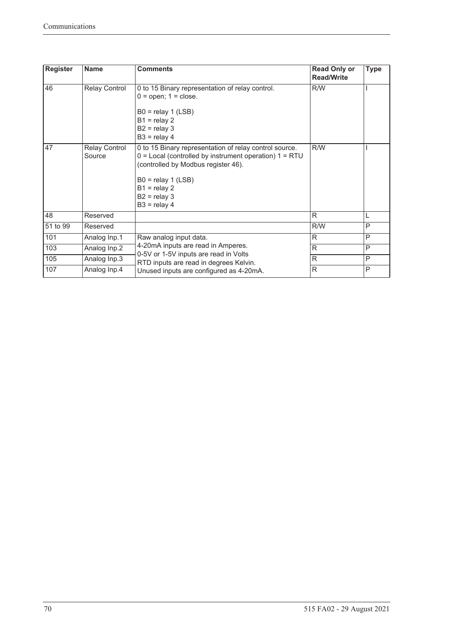| <b>Register</b> | <b>Name</b>                    | <b>Comments</b>                                                                                                                                                                                                                           | <b>Read Only or</b><br><b>Read/Write</b> | <b>Type</b> |
|-----------------|--------------------------------|-------------------------------------------------------------------------------------------------------------------------------------------------------------------------------------------------------------------------------------------|------------------------------------------|-------------|
| 46              | <b>Relay Control</b>           | 0 to 15 Binary representation of relay control.<br>$0 =$ open; $1 =$ close.<br>$B0 =$ relay 1 (LSB)<br>$B1 =$ relay 2<br>$B2 =$ relay 3<br>$B3 =$ relay 4                                                                                 | R/W                                      |             |
| 47              | <b>Relay Control</b><br>Source | 0 to 15 Binary representation of relay control source.<br>$0 =$ Local (controlled by instrument operation) $1 = RTU$<br>(controlled by Modbus register 46).<br>$B0 =$ relay 1 (LSB)<br>$B1 =$ relay 2<br>$B2 =$ relay 3<br>$B3 =$ relay 4 | R/W                                      |             |
| 48              | Reserved                       |                                                                                                                                                                                                                                           | R                                        | L           |
| 51 to 99        | Reserved                       |                                                                                                                                                                                                                                           | R/W                                      | P           |
| 101             | Analog Inp.1                   | Raw analog input data.                                                                                                                                                                                                                    | $\mathsf{R}$                             | P           |
| 103             | Analog Inp.2                   | 4-20mA inputs are read in Amperes.                                                                                                                                                                                                        | R                                        | P           |
| 105             | Analog Inp.3                   | 0-5V or 1-5V inputs are read in Volts<br>RTD inputs are read in degrees Kelvin.                                                                                                                                                           | R                                        | P           |
| 107             | Analog Inp.4                   | Unused inputs are configured as 4-20mA.                                                                                                                                                                                                   | R                                        | P           |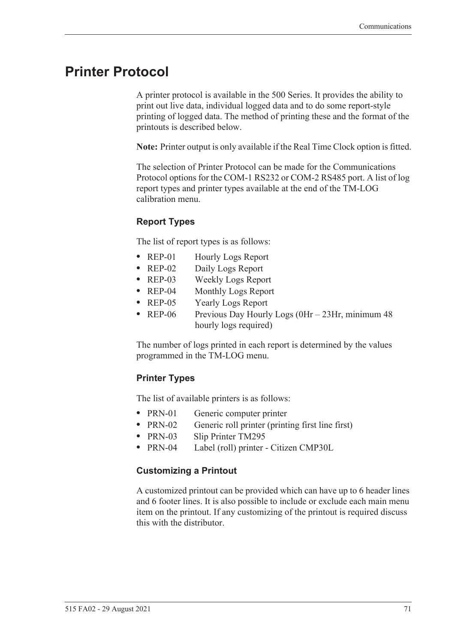# **Printer Protocol**

<span id="page-80-1"></span>A printer protocol is available in the 500 Series. It provides the ability to print out live data, individual logged data and to do some report-style printing of logged data. The method of printing these and the format of the printouts is described below.

**Note:** Printer output is only available if the Real Time Clock option is fitted.

The selection of Printer Protocol can be made for the Communications Protocol options for the COM-1 RS232 or COM-2 RS485 port. A list of log report types and printer types available at the end of the TM-LOG calibration menu.

### <span id="page-80-2"></span>**Report Types**

The list of report types is as follows:

- REP-01 Hourly Logs Report
- **•** REP-02 Daily Logs Report
- **•** REP-03 Weekly Logs Report
- **•** REP-04 Monthly Logs Report
- **•** REP-05 Yearly Logs Report
- REP-06 Previous Day Hourly Logs (0Hr 23Hr, minimum 48 hourly logs required)

The number of logs printed in each report is determined by the values programmed in the TM-LOG menu.

### <span id="page-80-3"></span>**Printer Types**

The list of available printers is as follows:

- PRN-01 Generic computer printer
- PRN-02 Generic roll printer (printing first line first)
- **•** PRN-03 Slip Printer TM295
- **•** PRN-04 Label (roll) printer Citizen CMP30L

#### <span id="page-80-0"></span>**Customizing a Printout**

A customized printout can be provided which can have up to 6 header lines and 6 footer lines. It is also possible to include or exclude each main menu item on the printout. If any customizing of the printout is required discuss this with the distributor.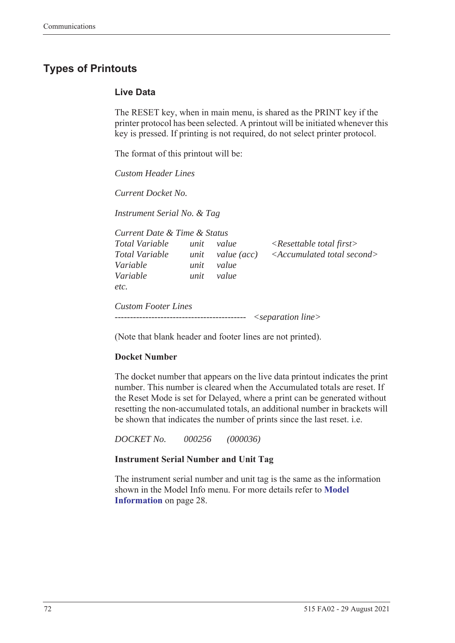# <span id="page-81-1"></span>**Types of Printouts**

### <span id="page-81-0"></span>**Live Data**

The RESET key, when in main menu, is shared as the PRINT key if the printer protocol has been selected. A printout will be initiated whenever this key is pressed. If printing is not required, do not select printer protocol.

The format of this printout will be:

*Custom Header Lines*

*Current Docket No.* 

*Instrument Serial No. & Tag*

| Current Date & Time & Status                 |                      |                               |                                                                                   |
|----------------------------------------------|----------------------|-------------------------------|-----------------------------------------------------------------------------------|
| Total Variable<br>Total Variable<br>Variable | unit<br>unit<br>unit | value<br>value (acc)<br>value | $\langle$ Resettable total first $\rangle$<br>$\leq$ Accumulated total second $>$ |
| Variable<br>etc.                             | unit                 | value                         |                                                                                   |
| <b>Custom Footer Lines</b>                   |                      |                               | $\leq$ separation line $>$                                                        |

(Note that blank header and footer lines are not printed).

### **Docket Number**

The docket number that appears on the live data printout indicates the print number. This number is cleared when the Accumulated totals are reset. If the Reset Mode is set for Delayed, where a print can be generated without resetting the non-accumulated totals, an additional number in brackets will be shown that indicates the number of prints since the last reset. i.e.

*DOCKET No. 000256 (000036)*

#### **Instrument Serial Number and Unit Tag**

The instrument serial number and unit tag is the same as the information shown in the Model Info menu. For more details refer to **[Model](#page-37-0)  [Information](#page-37-0)** on page 28.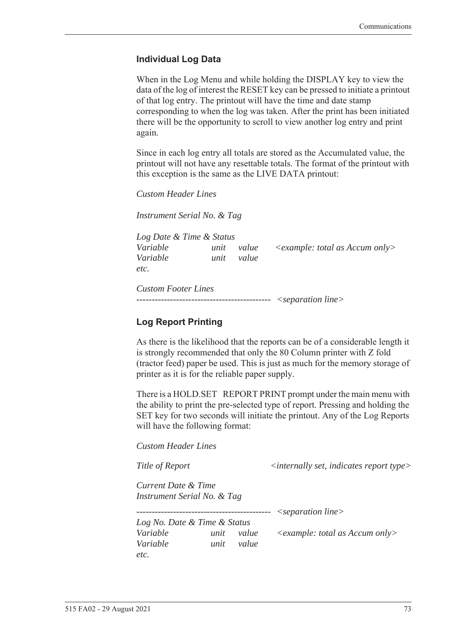### <span id="page-82-0"></span>**Individual Log Data**

When in the Log Menu and while holding the DISPLAY key to view the data of the log of interest the RESET key can be pressed to initiate a printout of that log entry. The printout will have the time and date stamp corresponding to when the log was taken. After the print has been initiated there will be the opportunity to scroll to view another log entry and print again.

Since in each log entry all totals are stored as the Accumulated value, the printout will not have any resettable totals. The format of the printout with this exception is the same as the LIVE DATA printout:

*Custom Header Lines*

*Instrument Serial No. & Tag*

*Log Date & Time & Status Variable unit value <example: total as Accum only> Variable unit value etc.*

*Custom Footer Lines -------------------------------------------- <separation line>*

### <span id="page-82-1"></span>**Log Report Printing**

As there is the likelihood that the reports can be of a considerable length it is strongly recommended that only the 80 Column printer with Z fold (tractor feed) paper be used. This is just as much for the memory storage of printer as it is for the reliable paper supply.

There is a HOLD.SET REPORT PRINT prompt under the main menu with the ability to print the pre-selected type of report. Pressing and holding the SET key for two seconds will initiate the printout. Any of the Log Reports will have the following format:

*Custom Header Lines*

*Title of Report*  $\langle$  *internally set, indicates report type>* 

*Current Date & Time Instrument Serial No. & Tag*

*-------------------------------------------- <separation line>*

*Log No. Date & Time & Status Variable unit value <example: total as Accum only> Variable unit value etc.*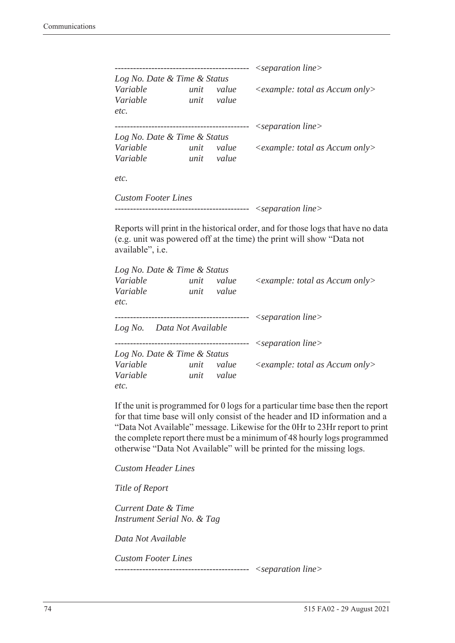|                              |      |       | $\leq$ separation line $>$              |
|------------------------------|------|-------|-----------------------------------------|
| Log No. Date & Time & Status |      |       |                                         |
| Variable                     | unit | value | $\leq$ example: total as Accum only $>$ |
| Variable                     | unit | value |                                         |
| etc.                         |      |       |                                         |
|                              |      |       | $\leq$ separation line $>$              |
| Log No. Date & Time & Status |      |       |                                         |
| Variable                     | unit | value | $\leq$ example: total as Accum only>    |
| Variable                     | unit | value |                                         |
| etc.                         |      |       |                                         |
| <b>Custom Footer Lines</b>   |      |       |                                         |

```
-------------------------------------------- <separation line>
```
Reports will print in the historical order, and for those logs that have no data (e.g. unit was powered off at the time) the print will show "Data not available", i.e.

| Log No. Date & Time & Status |      |           |                                                  |
|------------------------------|------|-----------|--------------------------------------------------|
| Variable                     | unit | value     | $\langle$ example: total as Accum only $\rangle$ |
| Variable                     | unit | value     |                                                  |
| etc.                         |      |           |                                                  |
|                              |      |           | $\leq$ separation line $>$                       |
| Log No. Data Not Available   |      |           |                                                  |
|                              |      | --------- | $\leq$ separation line $>$                       |
| Log No. Date & Time & Status |      |           |                                                  |
| Variable                     | unit | value     | $\leq$ example: total as Accum only $>$          |
| Variable                     | unit | value     |                                                  |
| etc.                         |      |           |                                                  |

If the unit is programmed for 0 logs for a particular time base then the report for that time base will only consist of the header and ID information and a "Data Not Available" message. Likewise for the 0Hr to 23Hr report to print the complete report there must be a minimum of 48 hourly logs programmed otherwise "Data Not Available" will be printed for the missing logs.

*Custom Header Lines*

*Title of Report*

*Current Date & Time Instrument Serial No. & Tag*

*Data Not Available*

*Custom Footer Lines* 

*-------------------------------------------- <separation line>*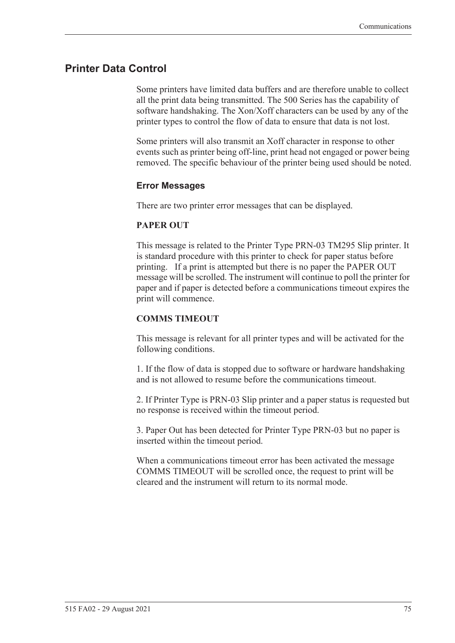### <span id="page-84-0"></span>**Printer Data Control**

Some printers have limited data buffers and are therefore unable to collect all the print data being transmitted. The 500 Series has the capability of software handshaking. The Xon/Xoff characters can be used by any of the printer types to control the flow of data to ensure that data is not lost.

Some printers will also transmit an Xoff character in response to other events such as printer being off-line, print head not engaged or power being removed. The specific behaviour of the printer being used should be noted.

### <span id="page-84-1"></span>**Error Messages**

There are two printer error messages that can be displayed.

#### **PAPER OUT**

This message is related to the Printer Type PRN-03 TM295 Slip printer. It is standard procedure with this printer to check for paper status before printing. If a print is attempted but there is no paper the PAPER OUT message will be scrolled. The instrument will continue to poll the printer for paper and if paper is detected before a communications timeout expires the print will commence.

#### **COMMS TIMEOUT**

This message is relevant for all printer types and will be activated for the following conditions.

1. If the flow of data is stopped due to software or hardware handshaking and is not allowed to resume before the communications timeout.

2. If Printer Type is PRN-03 Slip printer and a paper status is requested but no response is received within the timeout period.

3. Paper Out has been detected for Printer Type PRN-03 but no paper is inserted within the timeout period.

When a communications timeout error has been activated the message COMMS TIMEOUT will be scrolled once, the request to print will be cleared and the instrument will return to its normal mode.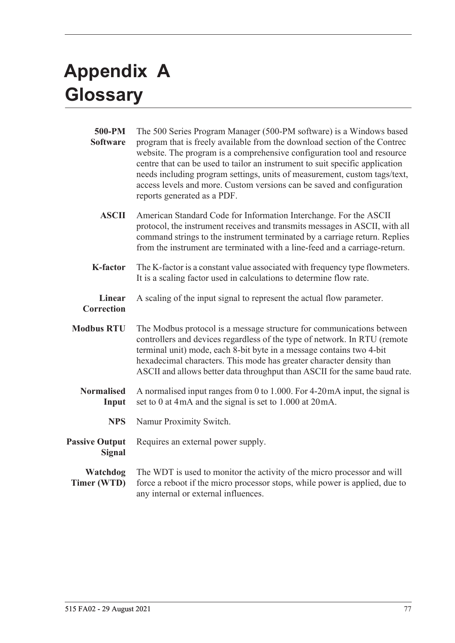# <span id="page-86-1"></span>**Appendix A Glossary**

<span id="page-86-0"></span>

| 500-PM<br><b>Software</b>              | The 500 Series Program Manager (500-PM software) is a Windows based<br>program that is freely available from the download section of the Contrec<br>website. The program is a comprehensive configuration tool and resource<br>centre that can be used to tailor an instrument to suit specific application<br>needs including program settings, units of measurement, custom tags/text,<br>access levels and more. Custom versions can be saved and configuration<br>reports generated as a PDF. |
|----------------------------------------|---------------------------------------------------------------------------------------------------------------------------------------------------------------------------------------------------------------------------------------------------------------------------------------------------------------------------------------------------------------------------------------------------------------------------------------------------------------------------------------------------|
| <b>ASCII</b>                           | American Standard Code for Information Interchange. For the ASCII<br>protocol, the instrument receives and transmits messages in ASCII, with all<br>command strings to the instrument terminated by a carriage return. Replies<br>from the instrument are terminated with a line-feed and a carriage-return.                                                                                                                                                                                      |
| <b>K-factor</b>                        | The K-factor is a constant value associated with frequency type flowmeters.<br>It is a scaling factor used in calculations to determine flow rate.                                                                                                                                                                                                                                                                                                                                                |
| <b>Linear</b><br><b>Correction</b>     | A scaling of the input signal to represent the actual flow parameter.                                                                                                                                                                                                                                                                                                                                                                                                                             |
| <b>Modbus RTU</b>                      | The Modbus protocol is a message structure for communications between<br>controllers and devices regardless of the type of network. In RTU (remote<br>terminal unit) mode, each 8-bit byte in a message contains two 4-bit<br>hexadecimal characters. This mode has greater character density than<br>ASCII and allows better data throughput than ASCII for the same baud rate.                                                                                                                  |
| <b>Normalised</b><br>Input             | A normalised input ranges from 0 to 1.000. For 4-20 mA input, the signal is<br>set to 0 at 4mA and the signal is set to 1.000 at 20mA.                                                                                                                                                                                                                                                                                                                                                            |
| <b>NPS</b>                             | Namur Proximity Switch.                                                                                                                                                                                                                                                                                                                                                                                                                                                                           |
| <b>Passive Output</b><br><b>Signal</b> | Requires an external power supply.                                                                                                                                                                                                                                                                                                                                                                                                                                                                |
| Watchdog<br>Timer (WTD)                | The WDT is used to monitor the activity of the micro processor and will<br>force a reboot if the micro processor stops, while power is applied, due to<br>any internal or external influences.                                                                                                                                                                                                                                                                                                    |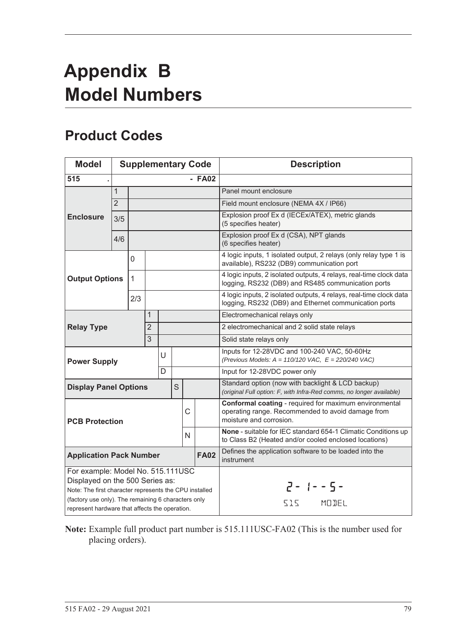# <span id="page-88-1"></span>**Appendix B Model Numbers**

# <span id="page-88-0"></span>**Product Codes**

| <b>Model</b>                                                                                                                                                                          |                |              |                |   |   |   | <b>Supplementary Code</b> | <b>Description</b>                                                                                                                     |
|---------------------------------------------------------------------------------------------------------------------------------------------------------------------------------------|----------------|--------------|----------------|---|---|---|---------------------------|----------------------------------------------------------------------------------------------------------------------------------------|
| 515                                                                                                                                                                                   |                |              |                |   |   |   | $-$ FA02                  |                                                                                                                                        |
|                                                                                                                                                                                       | $\mathbf{1}$   |              |                |   |   |   |                           | Panel mount enclosure                                                                                                                  |
|                                                                                                                                                                                       | $\overline{2}$ |              |                |   |   |   |                           | Field mount enclosure (NEMA 4X / IP66)                                                                                                 |
| <b>Enclosure</b>                                                                                                                                                                      | 3/5            |              |                |   |   |   |                           | Explosion proof Ex d (IECEx/ATEX), metric glands<br>(5 specifies heater)                                                               |
|                                                                                                                                                                                       | 4/6            |              |                |   |   |   |                           | Explosion proof Ex d (CSA), NPT glands<br>(6 specifies heater)                                                                         |
|                                                                                                                                                                                       |                | 0            |                |   |   |   |                           | 4 logic inputs, 1 isolated output, 2 relays (only relay type 1 is<br>available), RS232 (DB9) communication port                        |
| <b>Output Options</b>                                                                                                                                                                 |                | $\mathbf{1}$ |                |   |   |   |                           | 4 logic inputs, 2 isolated outputs, 4 relays, real-time clock data<br>logging, RS232 (DB9) and RS485 communication ports               |
|                                                                                                                                                                                       |                | 2/3          |                |   |   |   |                           | 4 logic inputs, 2 isolated outputs, 4 relays, real-time clock data<br>logging, RS232 (DB9) and Ethernet communication ports            |
|                                                                                                                                                                                       |                |              | 1              |   |   |   |                           | Electromechanical relays only                                                                                                          |
| <b>Relay Type</b>                                                                                                                                                                     |                |              | $\overline{2}$ |   |   |   |                           | 2 electromechanical and 2 solid state relays                                                                                           |
|                                                                                                                                                                                       |                |              | $\overline{3}$ |   |   |   |                           | Solid state relays only                                                                                                                |
| <b>Power Supply</b>                                                                                                                                                                   |                |              |                | U |   |   |                           | Inputs for 12-28VDC and 100-240 VAC, 50-60Hz<br>(Previous Models: $A = 110/120$ VAC, $E = 220/240$ VAC)                                |
|                                                                                                                                                                                       |                |              |                | D |   |   |                           | Input for 12-28VDC power only                                                                                                          |
| <b>Display Panel Options</b>                                                                                                                                                          |                |              |                |   | S |   |                           | Standard option (now with backlight & LCD backup)<br>(original Full option: F, with Infra-Red comms, no longer available)              |
| <b>PCB Protection</b>                                                                                                                                                                 |                |              |                |   |   | C |                           | Conformal coating - required for maximum environmental<br>operating range. Recommended to avoid damage from<br>moisture and corrosion. |
|                                                                                                                                                                                       |                |              |                |   |   | N |                           | None - suitable for IEC standard 654-1 Climatic Conditions up<br>to Class B2 (Heated and/or cooled enclosed locations)                 |
| <b>Application Pack Number</b>                                                                                                                                                        |                |              |                |   |   |   | <b>FA02</b>               | Defines the application software to be loaded into the<br>instrument                                                                   |
| For example: Model No. 515.111USC<br>Displayed on the 500 Series as:<br>Note: The first character represents the CPU installed<br>(factory use only). The remaining 6 characters only |                |              |                |   |   |   |                           | $2 - 1 - 5 -$                                                                                                                          |
| represent hardware that affects the operation.                                                                                                                                        |                |              |                |   |   |   |                           | MODEL<br>515                                                                                                                           |

**Note:** Example full product part number is 515.111USC-FA02 (This is the number used for placing orders).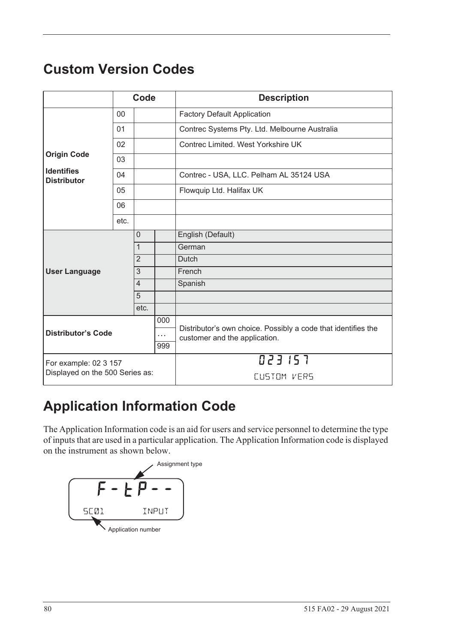# <span id="page-89-1"></span>**Custom Version Codes**

|                                         |      | Code           |                               | <b>Description</b>                                            |
|-----------------------------------------|------|----------------|-------------------------------|---------------------------------------------------------------|
|                                         | 00   |                |                               | <b>Factory Default Application</b>                            |
|                                         | 01   |                |                               | Contrec Systems Pty. Ltd. Melbourne Australia                 |
|                                         | 02   |                |                               | Contrec Limited. West Yorkshire UK                            |
| <b>Origin Code</b>                      | 03   |                |                               |                                                               |
| <b>Identifies</b><br><b>Distributor</b> | 04   |                |                               | Contrec - USA, LLC. Pelham AL 35124 USA                       |
|                                         | 05   |                |                               | Flowquip Ltd. Halifax UK                                      |
|                                         | 06   |                |                               |                                                               |
|                                         | etc. |                |                               |                                                               |
|                                         |      | 0              |                               | English (Default)                                             |
|                                         |      | $\mathbf{1}$   |                               | German                                                        |
|                                         |      | $\overline{2}$ |                               | Dutch                                                         |
| <b>User Language</b>                    |      | $\overline{3}$ |                               | French                                                        |
|                                         |      | $\overline{4}$ |                               | Spanish                                                       |
|                                         |      | $\overline{5}$ |                               |                                                               |
|                                         |      | etc.           |                               |                                                               |
|                                         |      |                | 000                           | Distributor's own choice. Possibly a code that identifies the |
| <b>Distributor's Code</b>               |      | $\cdots$       | customer and the application. |                                                               |
|                                         |      |                | 999                           |                                                               |
| For example: 02 3 157                   |      |                |                               | 023157                                                        |
| Displayed on the 500 Series as:         |      |                |                               | CUSTOM VERS                                                   |

# **Application Information Code**

The Application Information code is an aid for users and service personnel to determine the type of inputs that are used in a particular application. The Application Information code is displayed on the instrument as shown below.

<span id="page-89-0"></span>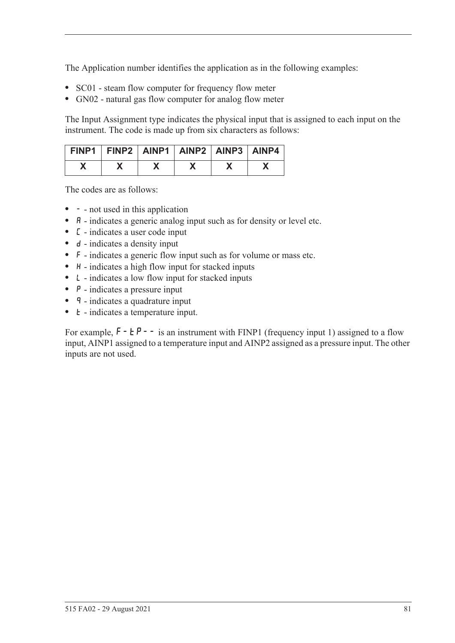The Application number identifies the application as in the following examples:

- **•** SC01 steam flow computer for frequency flow meter
- **•** GN02 natural gas flow computer for analog flow meter

The Input Assignment type indicates the physical input that is assigned to each input on the instrument. The code is made up from six characters as follows:

| FINP1   FINP2   AINP1   AINP2   AINP3   AINP4 |  |  |  |
|-----------------------------------------------|--|--|--|
|                                               |  |  |  |

The codes are as follows:

- - not used in this application
- **A** indicates a generic analog input such as for density or level etc.
- **•** C indicates a user code input
- d indicates a density input
- **•** F indicates a generic flow input such as for volume or mass etc.
- H indicates a high flow input for stacked inputs
- **•** L indicates a low flow input for stacked inputs
- **•** P indicates a pressure input
- **q** indicates a quadrature input
- *k* indicates a temperature input.

For example,  $F - tP - -$  is an instrument with FINP1 (frequency input 1) assigned to a flow input, AINP1 assigned to a temperature input and AINP2 assigned as a pressure input. The other inputs are not used.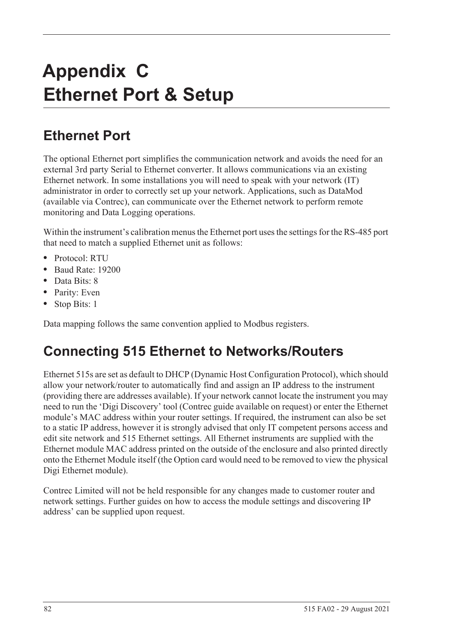# **Appendix C Ethernet Port & Setup**

# **Ethernet Port**

The optional Ethernet port simplifies the communication network and avoids the need for an external 3rd party Serial to Ethernet converter. It allows communications via an existing Ethernet network. In some installations you will need to speak with your network (IT) administrator in order to correctly set up your network. Applications, such as DataMod (available via Contrec), can communicate over the Ethernet network to perform remote monitoring and Data Logging operations.

Within the instrument's calibration menus the Ethernet port uses the settings for the RS-485 port that need to match a supplied Ethernet unit as follows:

- **•** Protocol: RTU
- **•** Baud Rate: 19200
- **•** Data Bits: 8
- **•** Parity: Even
- **•** Stop Bits: 1

Data mapping follows the same convention applied to Modbus registers.

# **Connecting 515 Ethernet to Networks/Routers**

Ethernet 515s are set as default to DHCP (Dynamic Host Configuration Protocol), which should allow your network/router to automatically find and assign an IP address to the instrument (providing there are addresses available). If your network cannot locate the instrument you may need to run the 'Digi Discovery' tool (Contrec guide available on request) or enter the Ethernet module's MAC address within your router settings. If required, the instrument can also be set to a static IP address, however it is strongly advised that only IT competent persons access and edit site network and 515 Ethernet settings. All Ethernet instruments are supplied with the Ethernet module MAC address printed on the outside of the enclosure and also printed directly onto the Ethernet Module itself (the Option card would need to be removed to view the physical Digi Ethernet module).

Contrec Limited will not be held responsible for any changes made to customer router and network settings. Further guides on how to access the module settings and discovering IP address' can be supplied upon request.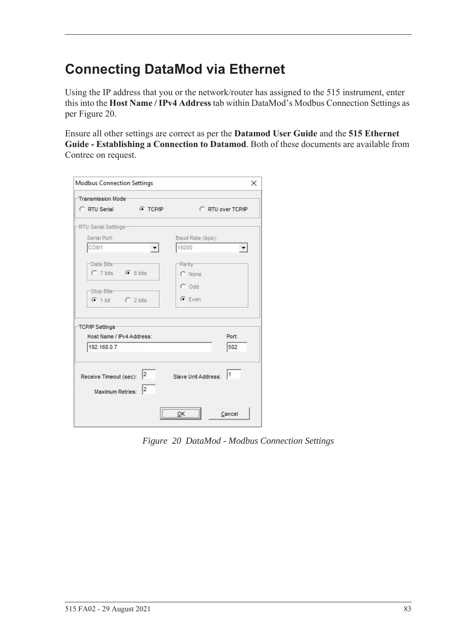# **Connecting DataMod via Ethernet**

Using the IP address that you or the network/router has assigned to the 515 instrument, enter this into the **Host Name / IPv4 Address** tab within DataMod's Modbus Connection Settings as per [Figure 20.](#page-92-0)

Ensure all other settings are correct as per the **Datamod User Guide** and the **515 Ethernet Guide - Establishing a Connection to Datamod**. Both of these documents are available from Contrec on request.

| Transmission Mode-        |                  |                     |                   |
|---------------------------|------------------|---------------------|-------------------|
| C RTU Serial              | <b>CONTINUES</b> |                     | C RTU over TCP/IP |
| -RTU Serial Settings-     |                  |                     |                   |
| Serial Port:              |                  | Baud Rate (bps):    |                   |
| COM1                      |                  | 19200               |                   |
| -Data Bits-               |                  | -Parity-            |                   |
| C 7 bits C 8 bits         |                  | C None              |                   |
|                           |                  | $C$ Odd             |                   |
| -Stop Bits-               |                  |                     |                   |
| $C$ 1 bit $C$ 2 bits      |                  | $G$ Even            |                   |
| <b>TCP/IP Settings</b>    |                  |                     |                   |
| Host Name / IPv4 Address: |                  |                     | Port:             |
| 192.168.0.7               |                  |                     | 502               |
|                           |                  |                     |                   |
|                           |                  |                     |                   |
| Receive Timeout (sec): 2  |                  | Slave Unit Address: | 1                 |
| <b>Maximum Retries:</b>   | 2                |                     |                   |
|                           |                  | ,                   |                   |
|                           |                  | ок                  | Cancel            |

<span id="page-92-0"></span>*Figure 20 DataMod - Modbus Connection Settings*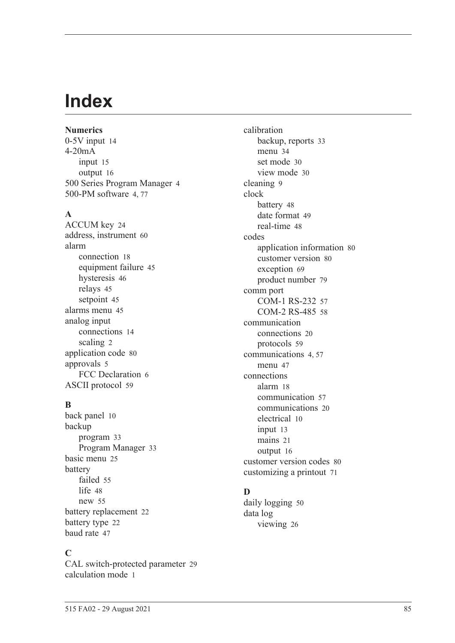# **Index**

**Numerics** 0-5V inpu[t 14](#page-23-0) 4-20mA input [15](#page-24-0) output [16](#page-25-0) 500 Series Program Manage[r 4](#page-14-0) 500-PM software [4,](#page-14-0) [77](#page-86-0)

### **A**

ACCUM ke[y 24](#page-33-0) address, instrumen[t 60](#page-69-0) alarm connection [18](#page-27-0) equipment failur[e 45](#page-54-0) hysteresi[s 46](#page-55-0) relays [45](#page-54-1) setpoin[t 45](#page-54-2) alarms menu [45](#page-54-3) analog input connection[s 14](#page-23-1) scalin[g 2](#page-12-0) application cod[e 80](#page-89-0) approvals [5](#page-15-0) FCC Declaration [6](#page-15-1) ASCII protoco[l 59](#page-68-0)

### **B**

back panel [10](#page-19-0) backup program [33](#page-42-0) Program Manage[r 33](#page-42-1) basic men[u 25](#page-34-0) battery faile[d 55](#page-64-0) lif[e 48](#page-57-1) ne[w 55](#page-64-0) battery replacemen[t 22](#page-31-0) battery typ[e 22](#page-31-1) baud rat[e 47](#page-56-1)

### **C**

CAL switch-protected parameter [29](#page-38-0) calculation mod[e 1](#page-11-0)

calibration backup, reports [33](#page-42-0) menu [34](#page-43-0) set mode [30](#page-39-0) view mode [30](#page-39-1) cleaning [9](#page-18-0) clock batter[y 48](#page-57-1) date format [49](#page-58-0) real-tim[e 48](#page-57-2) codes application information [80](#page-89-0) customer versio[n 80](#page-89-1) exception [69](#page-78-0) product numbe[r 79](#page-88-0) comm port COM-1 RS-232 [57](#page-66-0) COM-2 RS-485 [58](#page-67-0) communication connection[s 20](#page-29-0) protocols [59](#page-68-1) communication[s 4,](#page-13-0) [57](#page-66-1) menu [47](#page-56-2) connections alar[m 18](#page-27-0) communication [57](#page-66-2) communication[s 20](#page-29-0) electrical [10](#page-19-1) input [13](#page-22-0) mains [21](#page-30-0) output [16](#page-25-1) customer version codes [80](#page-89-1) customizing a printout [71](#page-80-0)

# **D**

daily logging [50](#page-59-0) data log viewing [26](#page-35-0)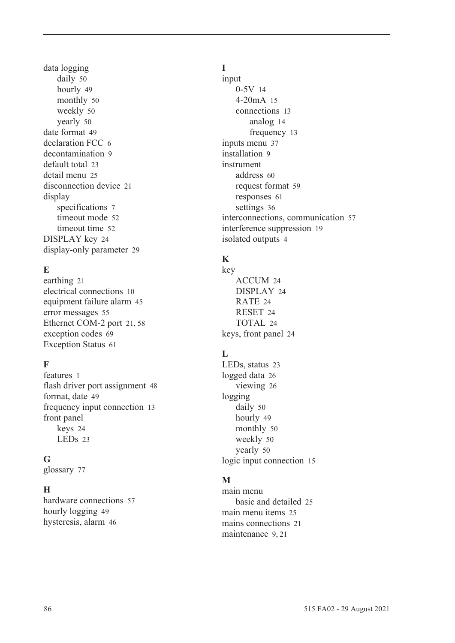data logging daily [50](#page-59-0) hourl[y 49](#page-58-1) monthly [50](#page-59-1) weekl[y 50](#page-59-2) yearly [50](#page-59-3) date format [49](#page-58-0) declaration FCC [6](#page-15-1) decontamination [9](#page-18-0) default tota[l 23](#page-32-0) detail men[u 25](#page-34-0) disconnection device [21](#page-30-1) display specifications [7](#page-16-0) timeout mod[e 52](#page-61-0) timeout time [52](#page-61-1) DISPLAY key [24](#page-33-1) display-only parameter [29](#page-38-1)

# **E**

earthin[g 21](#page-30-2) electrical connections [10](#page-19-1) equipment failure alarm [45](#page-54-0) error message[s 55](#page-64-1) Ethernet COM-2 por[t 21,](#page-30-3) [58](#page-67-1) exception codes [69](#page-78-0) Exception Status [61](#page-70-0)

# **F**

features [1](#page-10-0) flash driver port assignmen[t 48](#page-57-3) format, date [49](#page-58-0) frequency input connection [13](#page-22-1) front panel keys [24](#page-33-2) LEDs [23](#page-32-1)

# **G**

glossary [77](#page-86-1)

# **H**

hardware connections [57](#page-66-2) hourly logging [49](#page-58-1) hysteresis, alar[m 46](#page-55-0)

# **I**

input 0-5[V 14](#page-23-0) 4-20mA [15](#page-24-0) connections [13](#page-22-0) analog [14](#page-23-1) frequency [13](#page-22-1) inputs menu [37](#page-46-0) installation [9](#page-18-1) instrument address [60](#page-69-0) request forma[t 59](#page-68-2) response[s 61](#page-70-1) setting[s 36](#page-45-0) interconnections, communication [57](#page-66-2) interference suppression [19](#page-28-0) isolated output[s 4](#page-13-1)

# **K**

key ACCUM [24](#page-33-0) DISPLA[Y 24](#page-33-1) RATE [24](#page-33-3) RESE[T 24](#page-33-4) TOTAL [24](#page-33-5) keys, front panel [24](#page-33-2)

# **L**

LEDs, status [23](#page-32-1) logged dat[a 26](#page-35-0) viewin[g 26](#page-35-1) logging daily [50](#page-59-0) hourly [49](#page-58-1) monthly [50](#page-59-1) weekl[y 50](#page-59-2) yearly [50](#page-59-3) logic input connection [15](#page-24-1)

# **M**

main menu basic and detailed [25](#page-34-0) main menu item[s 25](#page-34-1) mains connections [21](#page-30-0) maintenanc[e 9,](#page-18-1) [21](#page-30-4)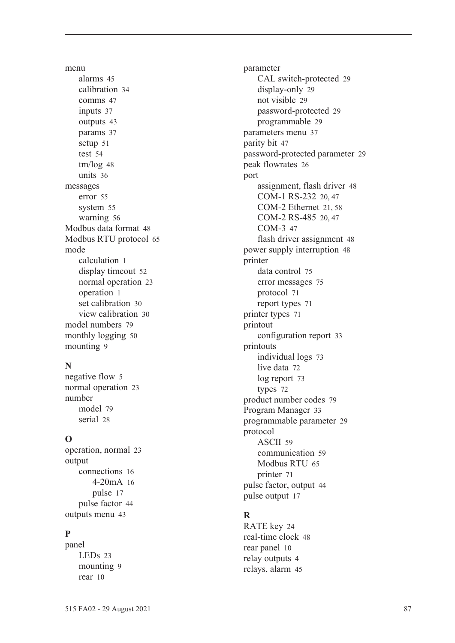menu alarm[s 45](#page-54-3) calibratio[n 34](#page-43-0) comms [47](#page-56-2) input[s 37](#page-46-0) output[s 43](#page-52-0) params [37](#page-46-1) setu[p 51](#page-60-0) test [54](#page-63-0) tm/lo[g 48](#page-57-4) unit[s 36](#page-45-1) messages erro[r 55](#page-64-1) syste[m 55](#page-64-2) warnin[g 56](#page-65-0) Modbus data forma[t 48](#page-57-5) Modbus RTU protoco[l 65](#page-74-0) mode calculation [1](#page-11-0) display timeou[t 52](#page-61-0) normal operatio[n 23](#page-32-2) operatio[n 1](#page-11-0) set calibration [30](#page-39-0) view calibration [30](#page-39-1) model number[s 79](#page-88-1) monthly logging [50](#page-59-1) mountin[g 9](#page-18-2)

# **N**

negative flow [5](#page-14-1) normal operatio[n 23](#page-32-2) number mode[l 79](#page-88-1) seria[l 28](#page-37-1)

# **O**

operation, norma[l 23](#page-32-2) output connection[s 16](#page-25-1) 4-20m[A 16](#page-25-0) puls[e 17](#page-26-0) pulse facto[r 44](#page-53-0) outputs men[u 43](#page-52-0)

# **P**

panel LED[s 23](#page-32-1) mountin[g 9](#page-18-2) rear [10](#page-19-0)

parameter CAL switch-protected [29](#page-38-0) display-only [29](#page-38-1) not visibl[e 29](#page-38-2) password-protected [29](#page-38-3) programmable [29](#page-38-4) parameters men[u 37](#page-46-1) parity bit [47](#page-56-3) password-protected parameter [29](#page-38-3) peak flowrate[s 26](#page-35-2) port assignment, flash driver [48](#page-57-3) COM-1 RS-232 [20,](#page-29-1) [47](#page-56-4) COM-2 Ethernet [21,](#page-30-3) [58](#page-67-1) COM-2 RS-485 [20,](#page-29-2) [47](#page-56-5) COM-[3 47](#page-56-6) flash driver assignment [48](#page-57-3) power supply interruption [48](#page-57-1) printer data control [75](#page-84-0) error messages [75](#page-84-1) protocol [71](#page-80-1) report types [71](#page-80-2) printer type[s 71](#page-80-3) printout configuration repor[t 33](#page-42-2) printouts individual logs [73](#page-82-0) live data [72](#page-81-0) log report [73](#page-82-1) type[s 72](#page-81-1) product number codes [79](#page-88-0) Program Manager [33](#page-42-1) programmable parameter [29](#page-38-4) protocol ASCI[I 59](#page-68-0) communication [59](#page-68-1) Modbus RT[U 65](#page-74-0) printer [71](#page-80-1) pulse factor, output [44](#page-53-0) pulse output [17](#page-26-0)

# **R**

RATE key [24](#page-33-3) real-time cloc[k 48](#page-57-2) rear panel [10](#page-19-0) relay output[s 4](#page-13-2) relays, alarm [45](#page-54-1)